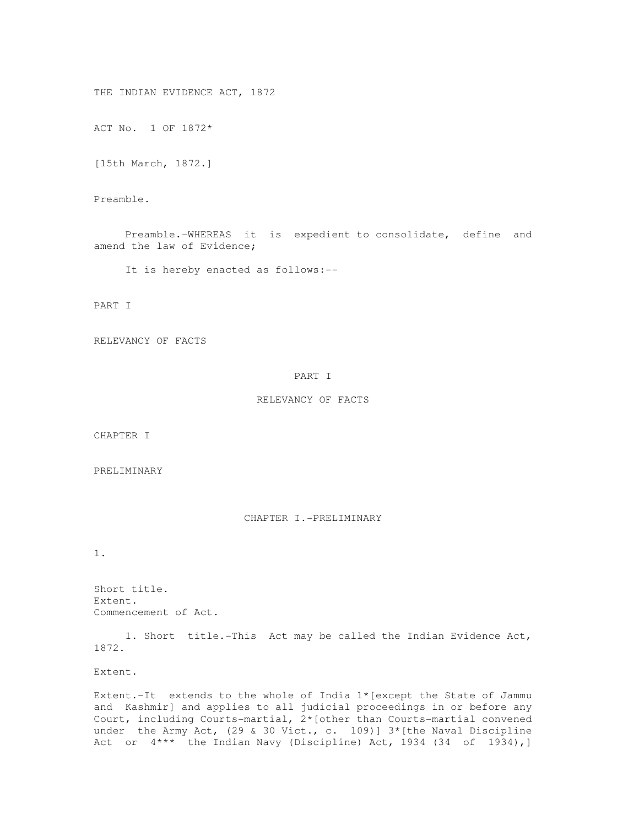THE INDIAN EVIDENCE ACT, 1872

ACT No. 1 OF 1872\*

[15th March, 1872.]

Preamble.

 Preamble.-WHEREAS it is expedient to consolidate, define and amend the law of Evidence;

It is hereby enacted as follows:--

PART I

RELEVANCY OF FACTS

### PART I

RELEVANCY OF FACTS

CHAPTER I

PRELIMINARY

CHAPTER I.-PRELIMINARY

1.

Short title. Extent. Commencement of Act.

 1. Short title.-This Act may be called the Indian Evidence Act, 1872.

Extent.

Extent.-It extends to the whole of India 1\*[except the State of Jammu and Kashmir] and applies to all judicial proceedings in or before any Court, including Courts-martial, 2\*[other than Courts-martial convened under the Army Act, (29 & 30 Vict., c. 109)]  $3*[$ the Naval Discipline Act or 4\*\*\* the Indian Navy (Discipline) Act, 1934 (34 of 1934),]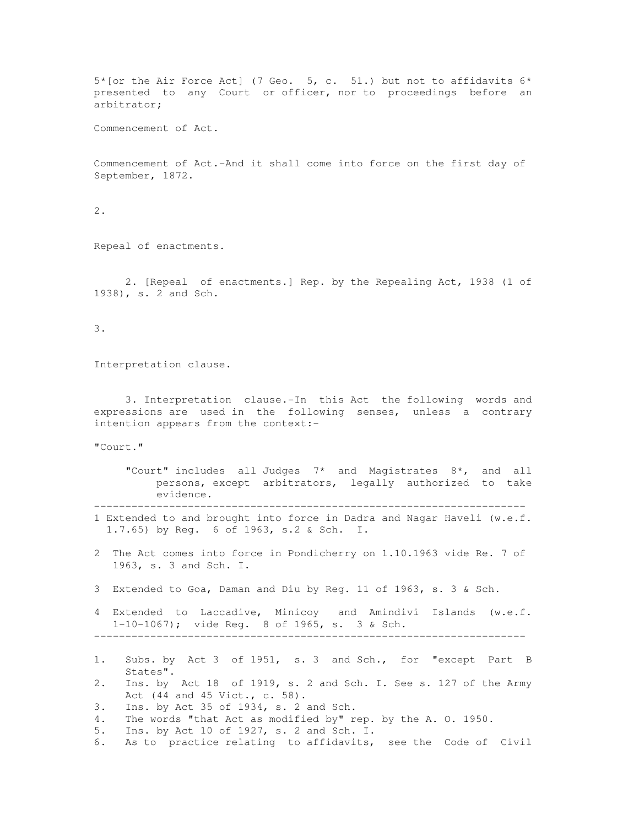$5*[$ or the Air Force Act] (7 Geo. 5, c. 51.) but not to affidavits  $6*$ presented to any Court or officer, nor to proceedings before an arbitrator;

Commencement of Act.

Commencement of Act.-And it shall come into force on the first day of September, 1872.

2.

Repeal of enactments.

 2. [Repeal of enactments.] Rep. by the Repealing Act, 1938 (1 of 1938), s. 2 and Sch.

3.

Interpretation clause.

 3. Interpretation clause.-In this Act the following words and expressions are used in the following senses, unless a contrary intention appears from the context:-

"Court."

 "Court" includes all Judges 7\* and Magistrates 8\*, and all persons, except arbitrators, legally authorized to take evidence.

---------------------------------------------------------------------

- 1 Extended to and brought into force in Dadra and Nagar Haveli (w.e.f. 1.7.65) by Reg. 6 of 1963, s.2 & Sch. I.
- 2 The Act comes into force in Pondicherry on 1.10.1963 vide Re. 7 of 1963, s. 3 and Sch. I.
- 3 Extended to Goa, Daman and Diu by Reg. 11 of 1963, s. 3 & Sch.
- 4 Extended to Laccadive, Minicoy and Amindivi Islands (w.e.f. 1-10-1067); vide Reg. 8 of 1965, s. 3 & Sch. ---------------------------------------------------------------------
- 1. Subs. by Act 3 of 1951, s. 3 and Sch., for "except Part B States".
- 2. Ins. by Act 18 of 1919, s. 2 and Sch. I. See s. 127 of the Army Act (44 and 45 Vict., c. 58).
- 3. Ins. by Act 35 of 1934, s. 2 and Sch.
- 4. The words "that Act as modified by" rep. by the A. O. 1950.
- 5. Ins. by Act 10 of 1927, s. 2 and Sch. I.
- 6. As to practice relating to affidavits, see the Code of Civil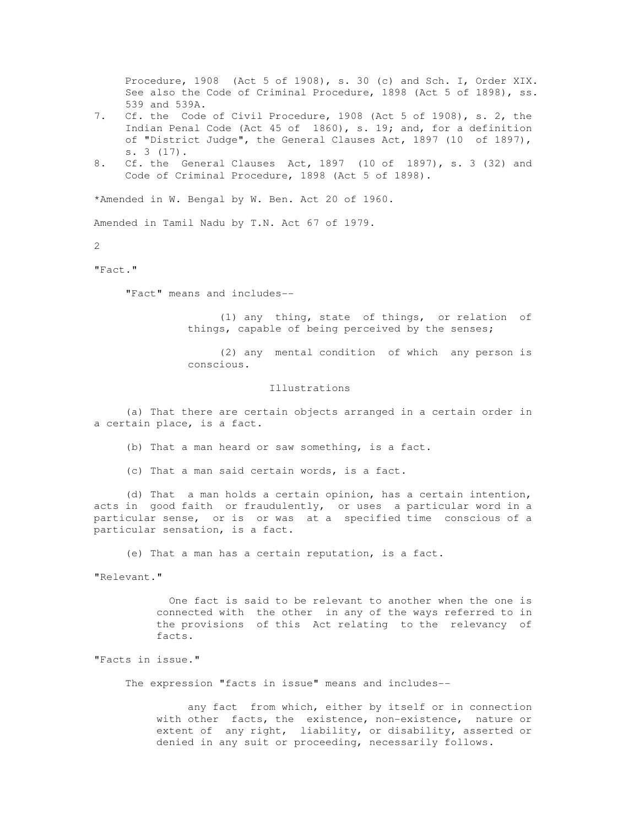Procedure, 1908 (Act 5 of 1908), s. 30 (c) and Sch. I, Order XIX. See also the Code of Criminal Procedure, 1898 (Act 5 of 1898), ss. 539 and 539A.

- 7. Cf. the Code of Civil Procedure, 1908 (Act 5 of 1908), s. 2, the Indian Penal Code (Act 45 of 1860), s. 19; and, for a definition of "District Judge", the General Clauses Act, 1897 (10 of 1897), s. 3 (17).
- 8. Cf. the General Clauses Act, 1897 (10 of 1897), s. 3 (32) and Code of Criminal Procedure, 1898 (Act 5 of 1898).

\*Amended in W. Bengal by W. Ben. Act 20 of 1960.

Amended in Tamil Nadu by T.N. Act 67 of 1979.

2

# "Fact."

"Fact" means and includes--

 (1) any thing, state of things, or relation of things, capable of being perceived by the senses;

 (2) any mental condition of which any person is conscious.

#### Illustrations

 (a) That there are certain objects arranged in a certain order in a certain place, is a fact.

(b) That a man heard or saw something, is a fact.

(c) That a man said certain words, is a fact.

 (d) That a man holds a certain opinion, has a certain intention, acts in good faith or fraudulently, or uses a particular word in a particular sense, or is or was at a specified time conscious of a particular sensation, is a fact.

(e) That a man has a certain reputation, is a fact.

"Relevant."

 One fact is said to be relevant to another when the one is connected with the other in any of the ways referred to in the provisions of this Act relating to the relevancy of facts.

"Facts in issue."

The expression "facts in issue" means and includes--

 any fact from which, either by itself or in connection with other facts, the existence, non-existence, nature or extent of any right, liability, or disability, asserted or denied in any suit or proceeding, necessarily follows.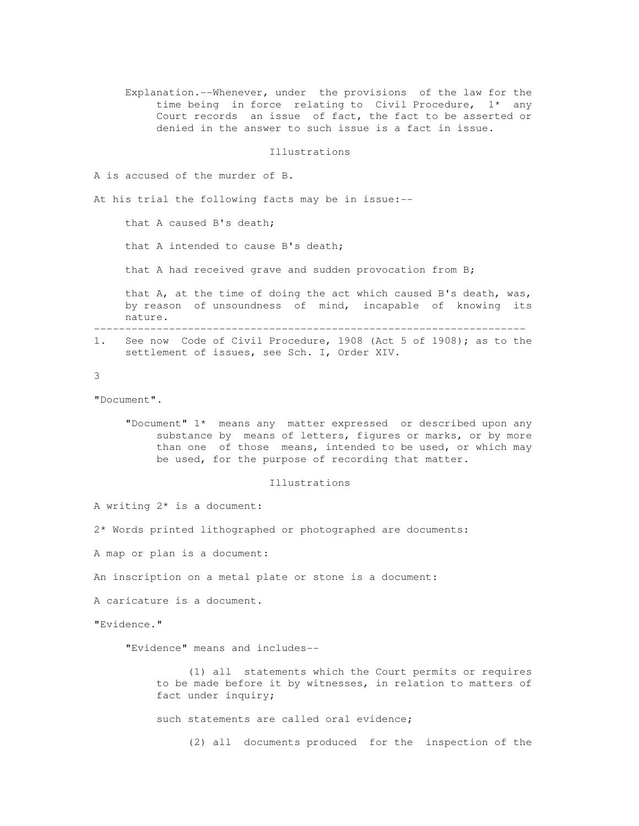Explanation.--Whenever, under the provisions of the law for the time being in force relating to Civil Procedure, 1\* any Court records an issue of fact, the fact to be asserted or denied in the answer to such issue is a fact in issue.

Illustrations

A is accused of the murder of B.

At his trial the following facts may be in issue:--

that A caused B's death;

that A intended to cause B's death;

that A had received grave and sudden provocation from B;

 that A, at the time of doing the act which caused B's death, was, by reason of unsoundness of mind, incapable of knowing its nature.

--------------------------------------------------------------------- 1. See now Code of Civil Procedure, 1908 (Act 5 of 1908); as to the settlement of issues, see Sch. I, Order XIV.

#### 3

"Document".

 "Document" 1\* means any matter expressed or described upon any substance by means of letters, figures or marks, or by more than one of those means, intended to be used, or which may be used, for the purpose of recording that matter.

### Illustrations

A writing 2\* is a document:

2\* Words printed lithographed or photographed are documents:

A map or plan is a document:

An inscription on a metal plate or stone is a document:

A caricature is a document.

"Evidence."

"Evidence" means and includes--

 (1) all statements which the Court permits or requires to be made before it by witnesses, in relation to matters of fact under inquiry;

such statements are called oral evidence;

(2) all documents produced for the inspection of the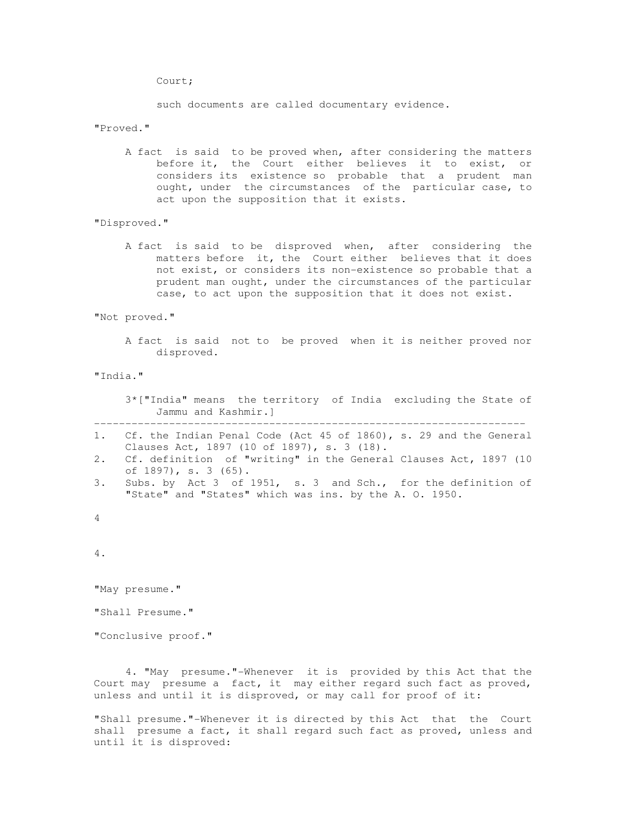Court;

such documents are called documentary evidence.

# "Proved."

 A fact is said to be proved when, after considering the matters before it, the Court either believes it to exist, or considers its existence so probable that a prudent man ought, under the circumstances of the particular case, to act upon the supposition that it exists.

"Disproved."

 A fact is said to be disproved when, after considering the matters before it, the Court either believes that it does not exist, or considers its non-existence so probable that a prudent man ought, under the circumstances of the particular case, to act upon the supposition that it does not exist.

"Not proved."

 A fact is said not to be proved when it is neither proved nor disproved.

"India."

 3\*["India" means the territory of India excluding the State of Jammu and Kashmir.]

- ---------------------------------------------------------------------
- 1. Cf. the Indian Penal Code (Act 45 of 1860), s. 29 and the General Clauses Act, 1897 (10 of 1897), s. 3 (18).
- 2. Cf. definition of "writing" in the General Clauses Act, 1897 (10 of 1897), s. 3 (65).
- 3. Subs. by Act 3 of 1951, s. 3 and Sch., for the definition of "State" and "States" which was ins. by the A. O. 1950.
- 4

4.

"May presume."

"Shall Presume."

"Conclusive proof."

 4. "May presume."-Whenever it is provided by this Act that the Court may presume a fact, it may either regard such fact as proved, unless and until it is disproved, or may call for proof of it:

"Shall presume."-Whenever it is directed by this Act that the Court shall presume a fact, it shall regard such fact as proved, unless and until it is disproved: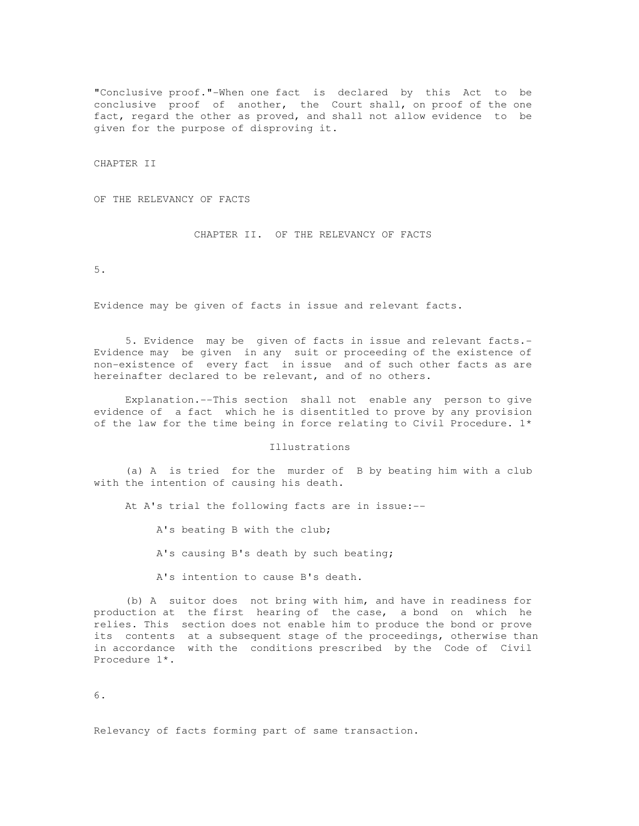"Conclusive proof."-When one fact is declared by this Act to be conclusive proof of another, the Court shall, on proof of the one fact, regard the other as proved, and shall not allow evidence to be given for the purpose of disproving it.

CHAPTER II

OF THE RELEVANCY OF FACTS

CHAPTER II. OF THE RELEVANCY OF FACTS

5.

Evidence may be given of facts in issue and relevant facts.

 5. Evidence may be given of facts in issue and relevant facts.- Evidence may be given in any suit or proceeding of the existence of non-existence of every fact in issue and of such other facts as are hereinafter declared to be relevant, and of no others.

 Explanation.--This section shall not enable any person to give evidence of a fact which he is disentitled to prove by any provision of the law for the time being in force relating to Civil Procedure. 1\*

Illustrations

 (a) A is tried for the murder of B by beating him with a club with the intention of causing his death.

At A's trial the following facts are in issue:--

A's beating B with the club;

A's causing B's death by such beating;

A's intention to cause B's death.

 (b) A suitor does not bring with him, and have in readiness for production at the first hearing of the case, a bond on which he relies. This section does not enable him to produce the bond or prove its contents at a subsequent stage of the proceedings, otherwise than in accordance with the conditions prescribed by the Code of Civil Procedure 1\*.

6.

Relevancy of facts forming part of same transaction.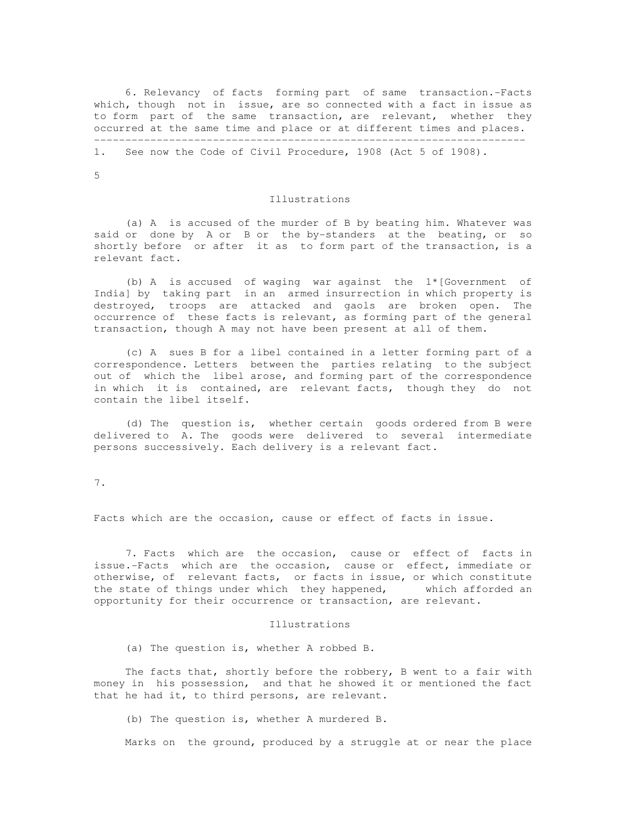6. Relevancy of facts forming part of same transaction.-Facts which, though not in issue, are so connected with a fact in issue as to form part of the same transaction, are relevant, whether they occurred at the same time and place or at different times and places. ---------------------------------------------------------------------

1. See now the Code of Civil Procedure, 1908 (Act 5 of 1908).

5

#### Illustrations

 (a) A is accused of the murder of B by beating him. Whatever was said or done by A or B or the by-standers at the beating, or so shortly before or after it as to form part of the transaction, is a relevant fact.

 (b) A is accused of waging war against the 1\*[Government of India] by taking part in an armed insurrection in which property is destroyed, troops are attacked and gaols are broken open. The occurrence of these facts is relevant, as forming part of the general transaction, though A may not have been present at all of them.

 (c) A sues B for a libel contained in a letter forming part of a correspondence. Letters between the parties relating to the subject out of which the libel arose, and forming part of the correspondence in which it is contained, are relevant facts, though they do not contain the libel itself.

 (d) The question is, whether certain goods ordered from B were delivered to A. The goods were delivered to several intermediate persons successively. Each delivery is a relevant fact.

7.

Facts which are the occasion, cause or effect of facts in issue.

 7. Facts which are the occasion, cause or effect of facts in issue.-Facts which are the occasion, cause or effect, immediate or otherwise, of relevant facts, or facts in issue, or which constitute the state of things under which they happened, which afforded an opportunity for their occurrence or transaction, are relevant.

#### Illustrations

(a) The question is, whether A robbed B.

 The facts that, shortly before the robbery, B went to a fair with money in his possession, and that he showed it or mentioned the fact that he had it, to third persons, are relevant.

(b) The question is, whether A murdered B.

Marks on the ground, produced by a struggle at or near the place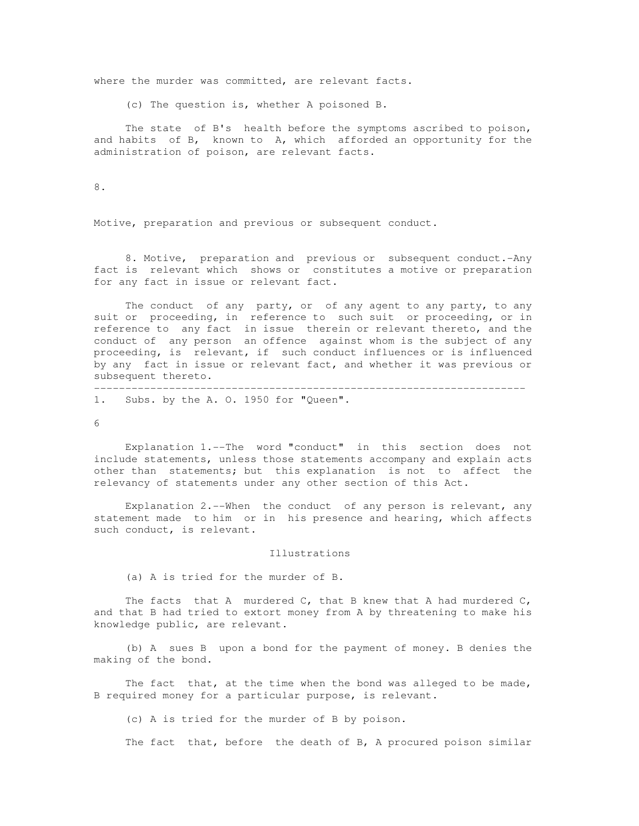where the murder was committed, are relevant facts.

(c) The question is, whether A poisoned B.

 The state of B's health before the symptoms ascribed to poison, and habits of B, known to A, which afforded an opportunity for the administration of poison, are relevant facts.

8.

Motive, preparation and previous or subsequent conduct.

 8. Motive, preparation and previous or subsequent conduct.-Any fact is relevant which shows or constitutes a motive or preparation for any fact in issue or relevant fact.

 The conduct of any party, or of any agent to any party, to any suit or proceeding, in reference to such suit or proceeding, or in reference to any fact in issue therein or relevant thereto, and the conduct of any person an offence against whom is the subject of any proceeding, is relevant, if such conduct influences or is influenced by any fact in issue or relevant fact, and whether it was previous or subsequent thereto.

---------------------------------------------------------------------

1. Subs. by the A. O. 1950 for "Queen".

 $6<sup>1</sup>$ 

 Explanation 1.--The word "conduct" in this section does not include statements, unless those statements accompany and explain acts other than statements; but this explanation is not to affect the relevancy of statements under any other section of this Act.

 Explanation 2.--When the conduct of any person is relevant, any statement made to him or in his presence and hearing, which affects such conduct, is relevant.

### Illustrations

(a) A is tried for the murder of B.

The facts that A murdered  $C$ , that B knew that A had murdered  $C$ , and that B had tried to extort money from A by threatening to make his knowledge public, are relevant.

 (b) A sues B upon a bond for the payment of money. B denies the making of the bond.

The fact that, at the time when the bond was alleged to be made, B required money for a particular purpose, is relevant.

(c) A is tried for the murder of B by poison.

The fact that, before the death of B, A procured poison similar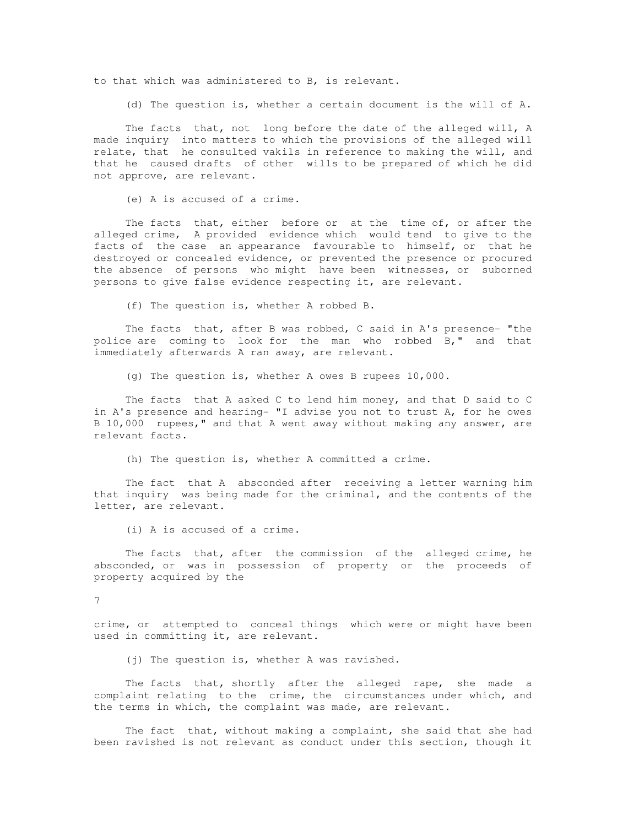to that which was administered to B, is relevant.

(d) The question is, whether a certain document is the will of A.

 The facts that, not long before the date of the alleged will, A made inquiry into matters to which the provisions of the alleged will relate, that he consulted vakils in reference to making the will, and that he caused drafts of other wills to be prepared of which he did not approve, are relevant.

(e) A is accused of a crime.

The facts that, either before or at the time of, or after the alleged crime, A provided evidence which would tend to give to the facts of the case an appearance favourable to himself, or that he destroyed or concealed evidence, or prevented the presence or procured the absence of persons who might have been witnesses, or suborned persons to give false evidence respecting it, are relevant.

(f) The question is, whether A robbed B.

 The facts that, after B was robbed, C said in A's presence- "the police are coming to look for the man who robbed B," and that immediately afterwards A ran away, are relevant.

(g) The question is, whether A owes B rupees 10,000.

 The facts that A asked C to lend him money, and that D said to C in A's presence and hearing- "I advise you not to trust A, for he owes B 10,000 rupees," and that A went away without making any answer, are relevant facts.

(h) The question is, whether A committed a crime.

 The fact that A absconded after receiving a letter warning him that inquiry was being made for the criminal, and the contents of the letter, are relevant.

(i) A is accused of a crime.

The facts that, after the commission of the alleged crime, he absconded, or was in possession of property or the proceeds of property acquired by the

7

crime, or attempted to conceal things which were or might have been used in committing it, are relevant.

(j) The question is, whether A was ravished.

 The facts that, shortly after the alleged rape, she made a complaint relating to the crime, the circumstances under which, and the terms in which, the complaint was made, are relevant.

 The fact that, without making a complaint, she said that she had been ravished is not relevant as conduct under this section, though it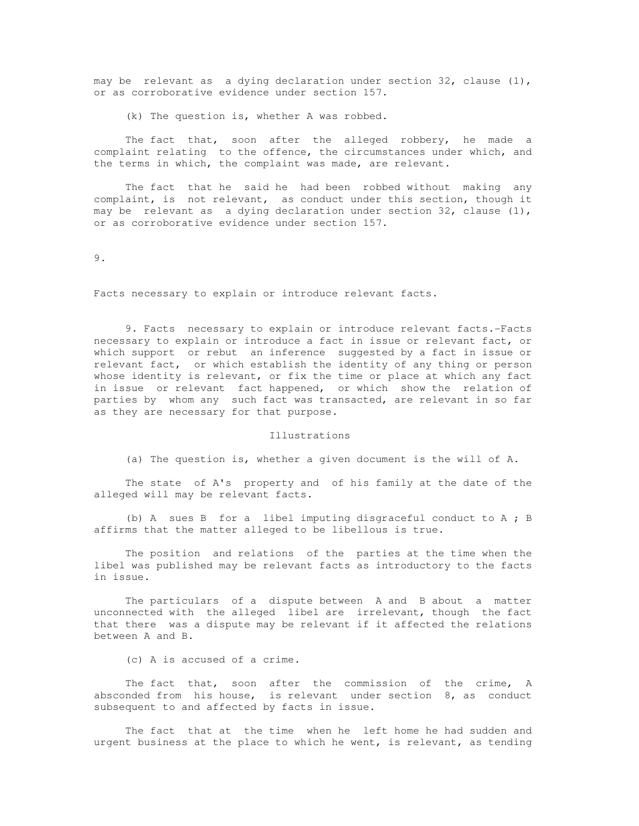may be relevant as a dying declaration under section 32, clause  $(1)$ , or as corroborative evidence under section 157.

(k) The question is, whether A was robbed.

 The fact that, soon after the alleged robbery, he made a complaint relating to the offence, the circumstances under which, and the terms in which, the complaint was made, are relevant.

 The fact that he said he had been robbed without making any complaint, is not relevant, as conduct under this section, though it may be relevant as a dying declaration under section 32, clause  $(1)$ , or as corroborative evidence under section 157.

9.

Facts necessary to explain or introduce relevant facts.

 9. Facts necessary to explain or introduce relevant facts.-Facts necessary to explain or introduce a fact in issue or relevant fact, or which support or rebut an inference suggested by a fact in issue or relevant fact, or which establish the identity of any thing or person whose identity is relevant, or fix the time or place at which any fact in issue or relevant fact happened, or which show the relation of parties by whom any such fact was transacted, are relevant in so far as they are necessary for that purpose.

#### Illustrations

(a) The question is, whether a given document is the will of A.

 The state of A's property and of his family at the date of the alleged will may be relevant facts.

 (b) A sues B for a libel imputing disgraceful conduct to A ; B affirms that the matter alleged to be libellous is true.

 The position and relations of the parties at the time when the libel was published may be relevant facts as introductory to the facts in issue.

 The particulars of a dispute between A and B about a matter unconnected with the alleged libel are irrelevant, though the fact that there was a dispute may be relevant if it affected the relations between A and B.

(c) A is accused of a crime.

 The fact that, soon after the commission of the crime, A absconded from his house, is relevant under section 8, as conduct subsequent to and affected by facts in issue.

 The fact that at the time when he left home he had sudden and urgent business at the place to which he went, is relevant, as tending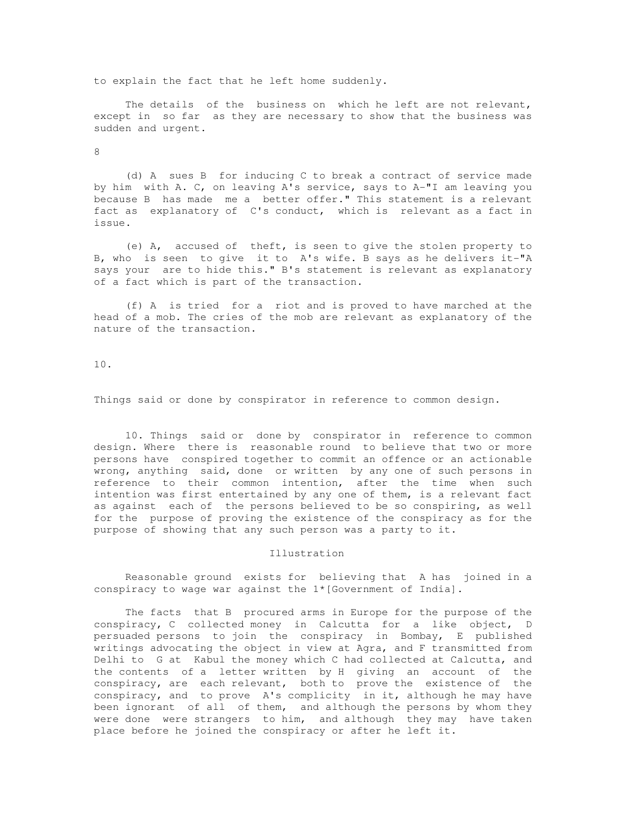to explain the fact that he left home suddenly.

 The details of the business on which he left are not relevant, except in so far as they are necessary to show that the business was sudden and urgent.

8

 (d) A sues B for inducing C to break a contract of service made by him with A. C, on leaving A's service, says to A-"I am leaving you because B has made me a better offer." This statement is a relevant fact as explanatory of C's conduct, which is relevant as a fact in issue.

 (e) A, accused of theft, is seen to give the stolen property to B, who is seen to give it to A's wife. B says as he delivers it-"A says your are to hide this." B's statement is relevant as explanatory of a fact which is part of the transaction.

 (f) A is tried for a riot and is proved to have marched at the head of a mob. The cries of the mob are relevant as explanatory of the nature of the transaction.

10.

Things said or done by conspirator in reference to common design.

 10. Things said or done by conspirator in reference to common design. Where there is reasonable round to believe that two or more persons have conspired together to commit an offence or an actionable wrong, anything said, done or written by any one of such persons in reference to their common intention, after the time when such intention was first entertained by any one of them, is a relevant fact as against each of the persons believed to be so conspiring, as well for the purpose of proving the existence of the conspiracy as for the purpose of showing that any such person was a party to it.

## Illustration

 Reasonable ground exists for believing that A has joined in a conspiracy to wage war against the 1\*[Government of India].

 The facts that B procured arms in Europe for the purpose of the conspiracy, C collected money in Calcutta for a like object, D persuaded persons to join the conspiracy in Bombay, E published writings advocating the object in view at Agra, and F transmitted from Delhi to G at Kabul the money which C had collected at Calcutta, and the contents of a letter written by H giving an account of the conspiracy, are each relevant, both to prove the existence of the conspiracy, and to prove A's complicity in it, although he may have been ignorant of all of them, and although the persons by whom they were done were strangers to him, and although they may have taken place before he joined the conspiracy or after he left it.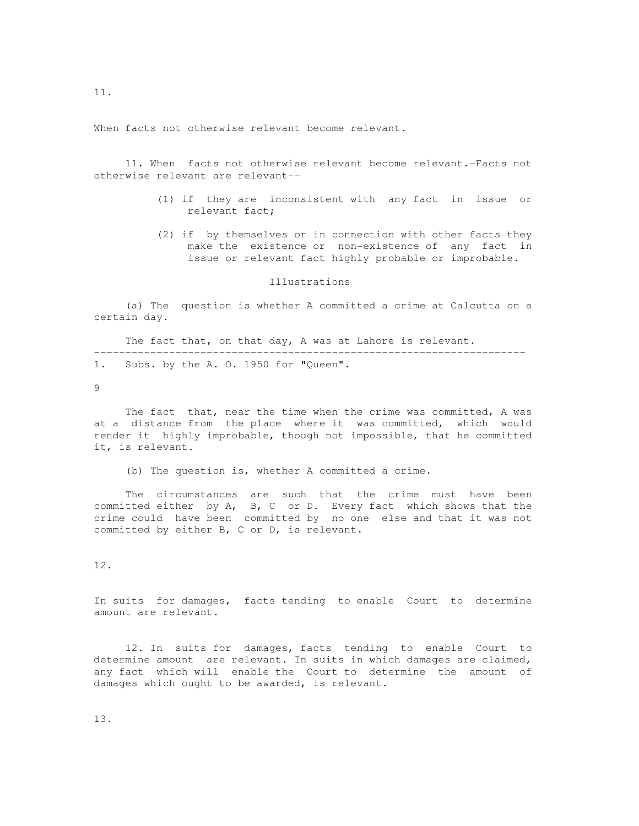When facts not otherwise relevant become relevant.

 11. When facts not otherwise relevant become relevant.-Facts not otherwise relevant are relevant--

- (1) if they are inconsistent with any fact in issue or relevant fact;
- (2) if by themselves or in connection with other facts they make the existence or non-existence of any fact in issue or relevant fact highly probable or improbable.

Illustrations

 (a) The question is whether A committed a crime at Calcutta on a certain day.

 The fact that, on that day, A was at Lahore is relevant. --------------------------------------------------------------------- 1. Subs. by the A. O. 1950 for "Queen".

 $\mathsf{Q}$ 

 The fact that, near the time when the crime was committed, A was at a distance from the place where it was committed, which would render it highly improbable, though not impossible, that he committed it, is relevant.

(b) The question is, whether A committed a crime.

 The circumstances are such that the crime must have been committed either by A, B, C or D. Every fact which shows that the crime could have been committed by no one else and that it was not committed by either B, C or D, is relevant.

## 12.

In suits for damages, facts tending to enable Court to determine amount are relevant.

 12. In suits for damages, facts tending to enable Court to determine amount are relevant. In suits in which damages are claimed, any fact which will enable the Court to determine the amount of damages which ought to be awarded, is relevant.

11.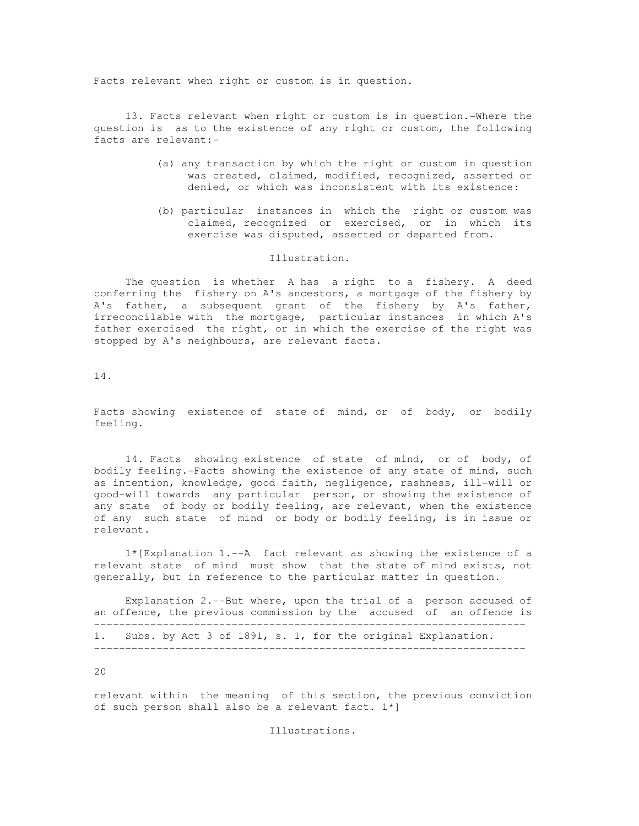Facts relevant when right or custom is in question.

 13. Facts relevant when right or custom is in question.-Where the question is as to the existence of any right or custom, the following facts are relevant:-

- (a) any transaction by which the right or custom in question was created, claimed, modified, recognized, asserted or denied, or which was inconsistent with its existence:
- (b) particular instances in which the right or custom was claimed, recognized or exercised, or in which its exercise was disputed, asserted or departed from.

## Illustration.

 The question is whether A has a right to a fishery. A deed conferring the fishery on A's ancestors, a mortgage of the fishery by A's father, a subsequent grant of the fishery by A's father, irreconcilable with the mortgage, particular instances in which A's father exercised the right, or in which the exercise of the right was stopped by A's neighbours, are relevant facts.

14.

Facts showing existence of state of mind, or of body, or bodily feeling.

 14. Facts showing existence of state of mind, or of body, of bodily feeling.-Facts showing the existence of any state of mind, such as intention, knowledge, good faith, negligence, rashness, ill-will or good-will towards any particular person, or showing the existence of any state of body or bodily feeling, are relevant, when the existence of any such state of mind or body or bodily feeling, is in issue or relevant.

 1\*[Explanation 1.--A fact relevant as showing the existence of a relevant state of mind must show that the state of mind exists, not generally, but in reference to the particular matter in question.

 Explanation 2.--But where, upon the trial of a person accused of an offence, the previous commission by the accused of an offence is --------------------------------------------------------------------- 1. Subs. by Act 3 of 1891, s. 1, for the original Explanation. ---------------------------------------------------------------------

20

relevant within the meaning of this section, the previous conviction of such person shall also be a relevant fact. 1\*]

Illustrations.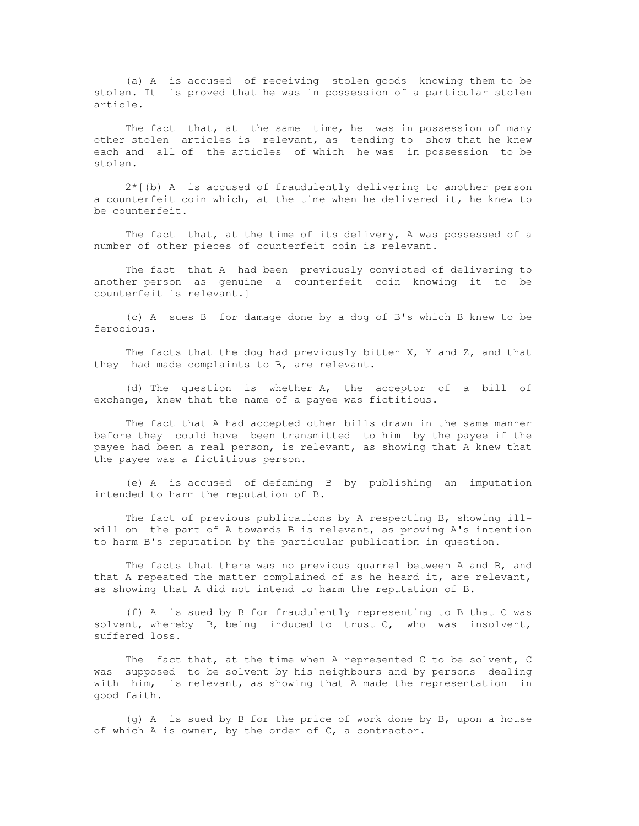(a) A is accused of receiving stolen goods knowing them to be stolen. It is proved that he was in possession of a particular stolen article.

The fact that, at the same time, he was in possession of many other stolen articles is relevant, as tending to show that he knew each and all of the articles of which he was in possession to be stolen.

 $2*(b)$  A is accused of fraudulently delivering to another person a counterfeit coin which, at the time when he delivered it, he knew to be counterfeit.

 The fact that, at the time of its delivery, A was possessed of a number of other pieces of counterfeit coin is relevant.

 The fact that A had been previously convicted of delivering to another person as genuine a counterfeit coin knowing it to be counterfeit is relevant.]

 (c) A sues B for damage done by a dog of B's which B knew to be ferocious.

The facts that the dog had previously bitten  $X$ ,  $Y$  and  $Z$ , and that they had made complaints to B, are relevant.

 (d) The question is whether A, the acceptor of a bill of exchange, knew that the name of a payee was fictitious.

 The fact that A had accepted other bills drawn in the same manner before they could have been transmitted to him by the payee if the payee had been a real person, is relevant, as showing that A knew that the payee was a fictitious person.

 (e) A is accused of defaming B by publishing an imputation intended to harm the reputation of B.

 The fact of previous publications by A respecting B, showing illwill on the part of A towards B is relevant, as proving A's intention to harm B's reputation by the particular publication in question.

 The facts that there was no previous quarrel between A and B, and that A repeated the matter complained of as he heard it, are relevant, as showing that A did not intend to harm the reputation of B.

 (f) A is sued by B for fraudulently representing to B that C was solvent, whereby B, being induced to trust C, who was insolvent, suffered loss.

 The fact that, at the time when A represented C to be solvent, C was supposed to be solvent by his neighbours and by persons dealing with him, is relevant, as showing that A made the representation in good faith.

 $(q)$  A is sued by B for the price of work done by B, upon a house of which A is owner, by the order of C, a contractor.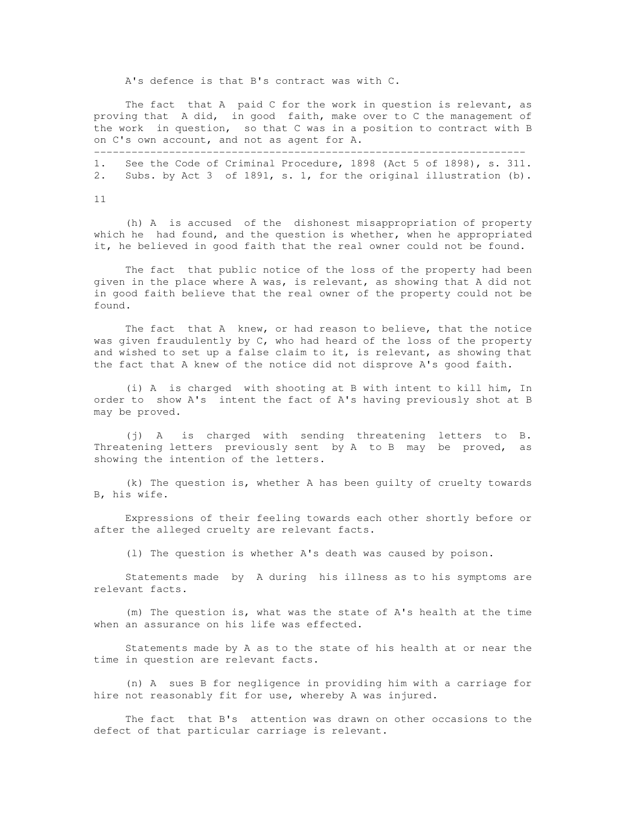A's defence is that B's contract was with C.

---------------------------------------------------------------------

 The fact that A paid C for the work in question is relevant, as proving that A did, in good faith, make over to C the management of the work in question, so that C was in a position to contract with B on C's own account, and not as agent for A.

1. See the Code of Criminal Procedure, 1898 (Act 5 of 1898), s. 311. 2. Subs. by Act 3 of 1891, s. 1, for the original illustration (b).

11

 (h) A is accused of the dishonest misappropriation of property which he had found, and the question is whether, when he appropriated it, he believed in good faith that the real owner could not be found.

 The fact that public notice of the loss of the property had been given in the place where A was, is relevant, as showing that A did not in good faith believe that the real owner of the property could not be found.

 The fact that A knew, or had reason to believe, that the notice was given fraudulently by C, who had heard of the loss of the property and wished to set up a false claim to it, is relevant, as showing that the fact that A knew of the notice did not disprove A's good faith.

 (i) A is charged with shooting at B with intent to kill him, In order to show A's intent the fact of A's having previously shot at B may be proved.

 (j) A is charged with sending threatening letters to B. Threatening letters previously sent by A to B may be proved, as showing the intention of the letters.

 (k) The question is, whether A has been guilty of cruelty towards B, his wife.

 Expressions of their feeling towards each other shortly before or after the alleged cruelty are relevant facts.

(l) The question is whether A's death was caused by poison.

 Statements made by A during his illness as to his symptoms are relevant facts.

 (m) The question is, what was the state of A's health at the time when an assurance on his life was effected.

 Statements made by A as to the state of his health at or near the time in question are relevant facts.

 (n) A sues B for negligence in providing him with a carriage for hire not reasonably fit for use, whereby A was injured.

 The fact that B's attention was drawn on other occasions to the defect of that particular carriage is relevant.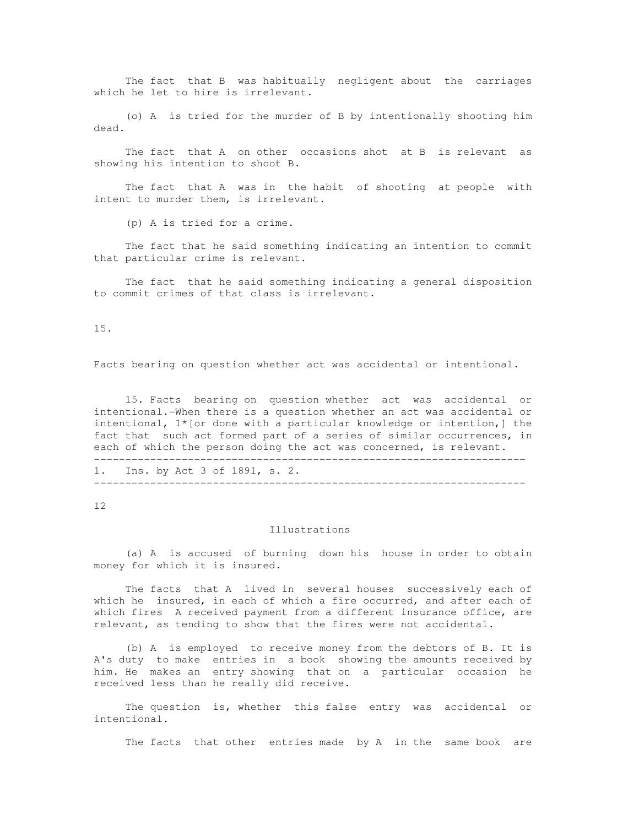The fact that B was habitually negligent about the carriages which he let to hire is irrelevant.

 (o) A is tried for the murder of B by intentionally shooting him dead.

 The fact that A on other occasions shot at B is relevant as showing his intention to shoot B.

 The fact that A was in the habit of shooting at people with intent to murder them, is irrelevant.

(p) A is tried for a crime.

 The fact that he said something indicating an intention to commit that particular crime is relevant.

 The fact that he said something indicating a general disposition to commit crimes of that class is irrelevant.

15.

Facts bearing on question whether act was accidental or intentional.

 15. Facts bearing on question whether act was accidental or intentional.-When there is a question whether an act was accidental or intentional,  $1*(or done with a particular knowledge or intention,] the$ fact that such act formed part of a series of similar occurrences, in each of which the person doing the act was concerned, is relevant. ---------------------------------------------------------------------

1. Ins. by Act 3 of 1891, s. 2. ---------------------------------------------------------------------

12

### Illustrations

 (a) A is accused of burning down his house in order to obtain money for which it is insured.

 The facts that A lived in several houses successively each of which he insured, in each of which a fire occurred, and after each of which fires A received payment from a different insurance office, are relevant, as tending to show that the fires were not accidental.

 (b) A is employed to receive money from the debtors of B. It is A's duty to make entries in a book showing the amounts received by him. He makes an entry showing that on a particular occasion he received less than he really did receive.

 The question is, whether this false entry was accidental or intentional.

The facts that other entries made by A in the same book are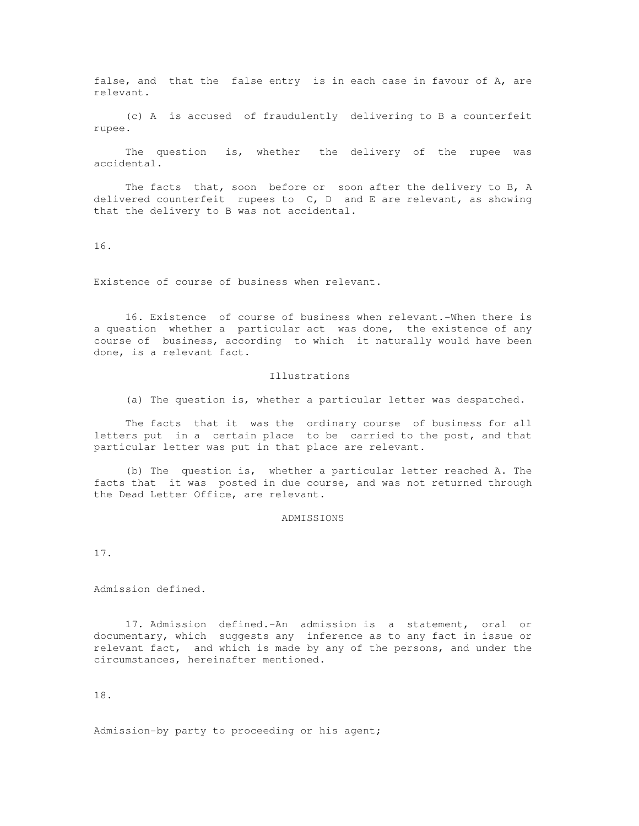false, and that the false entry is in each case in favour of A, are relevant.

 (c) A is accused of fraudulently delivering to B a counterfeit rupee.

 The question is, whether the delivery of the rupee was accidental.

The facts that, soon before or soon after the delivery to B, A delivered counterfeit rupees to C, D and E are relevant, as showing that the delivery to B was not accidental.

16.

Existence of course of business when relevant.

 16. Existence of course of business when relevant.-When there is a question whether a particular act was done, the existence of any course of business, according to which it naturally would have been done, is a relevant fact.

### Illustrations

(a) The question is, whether a particular letter was despatched.

 The facts that it was the ordinary course of business for all letters put in a certain place to be carried to the post, and that particular letter was put in that place are relevant.

 (b) The question is, whether a particular letter reached A. The facts that it was posted in due course, and was not returned through the Dead Letter Office, are relevant.

ADMISSIONS

17.

Admission defined.

 17. Admission defined.-An admission is a statement, oral or documentary, which suggests any inference as to any fact in issue or relevant fact, and which is made by any of the persons, and under the circumstances, hereinafter mentioned.

18.

Admission-by party to proceeding or his agent;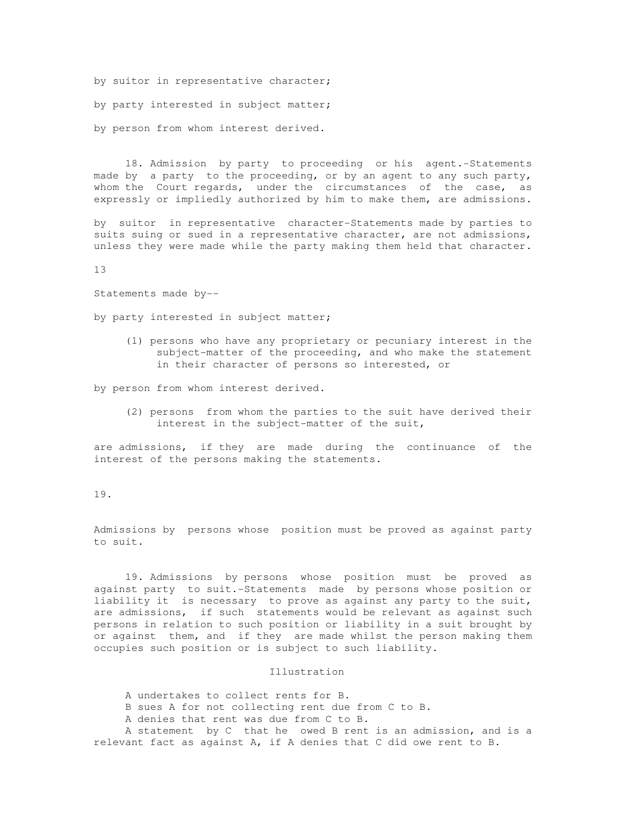by suitor in representative character;

by party interested in subject matter;

by person from whom interest derived.

 18. Admission by party to proceeding or his agent.-Statements made by a party to the proceeding, or by an agent to any such party, whom the Court regards, under the circumstances of the case, as expressly or impliedly authorized by him to make them, are admissions.

by suitor in representative character-Statements made by parties to suits suing or sued in a representative character, are not admissions, unless they were made while the party making them held that character.

13

Statements made by--

by party interested in subject matter;

 (1) persons who have any proprietary or pecuniary interest in the subject-matter of the proceeding, and who make the statement in their character of persons so interested, or

by person from whom interest derived.

 (2) persons from whom the parties to the suit have derived their interest in the subject-matter of the suit,

are admissions, if they are made during the continuance of the interest of the persons making the statements.

19.

Admissions by persons whose position must be proved as against party to suit.

 19. Admissions by persons whose position must be proved as against party to suit.-Statements made by persons whose position or liability it is necessary to prove as against any party to the suit, are admissions, if such statements would be relevant as against such persons in relation to such position or liability in a suit brought by or against them, and if they are made whilst the person making them occupies such position or is subject to such liability.

## Illustration

 A undertakes to collect rents for B. B sues A for not collecting rent due from C to B. A denies that rent was due from C to B. A statement by C that he owed B rent is an admission, and is a relevant fact as against A, if A denies that C did owe rent to B.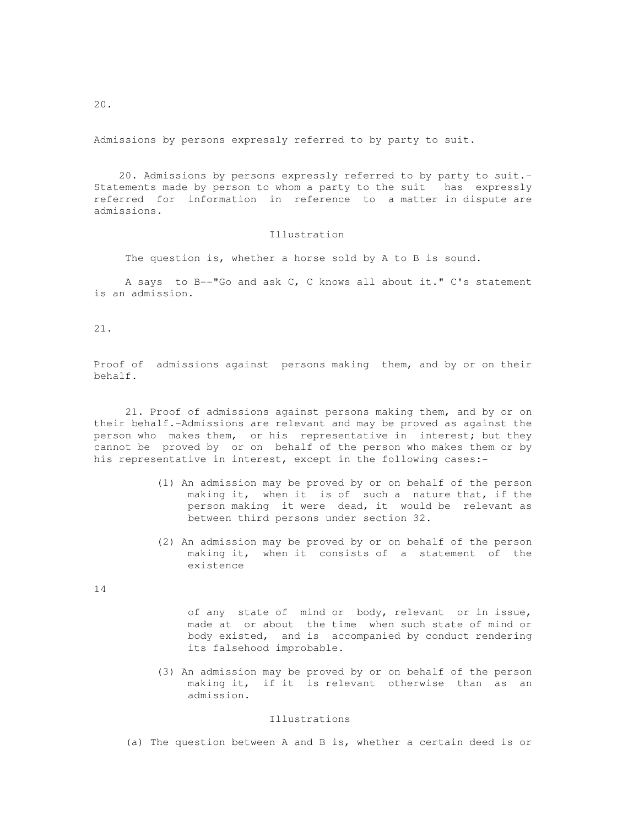Admissions by persons expressly referred to by party to suit.

 20. Admissions by persons expressly referred to by party to suit.- Statements made by person to whom a party to the suit has expressly referred for information in reference to a matter in dispute are admissions.

# Illustration

The question is, whether a horse sold by A to B is sound.

 A says to B--"Go and ask C, C knows all about it." C's statement is an admission.

21.

Proof of admissions against persons making them, and by or on their behalf.

 21. Proof of admissions against persons making them, and by or on their behalf.-Admissions are relevant and may be proved as against the person who makes them, or his representative in interest; but they cannot be proved by or on behalf of the person who makes them or by his representative in interest, except in the following cases:-

- (1) An admission may be proved by or on behalf of the person making it, when it is of such a nature that, if the person making it were dead, it would be relevant as between third persons under section 32.
- (2) An admission may be proved by or on behalf of the person making it, when it consists of a statement of the existence

14

 of any state of mind or body, relevant or in issue, made at or about the time when such state of mind or body existed, and is accompanied by conduct rendering its falsehood improbable.

 (3) An admission may be proved by or on behalf of the person making it, if it is relevant otherwise than as an admission.

#### Illustrations

(a) The question between A and B is, whether a certain deed is or

20.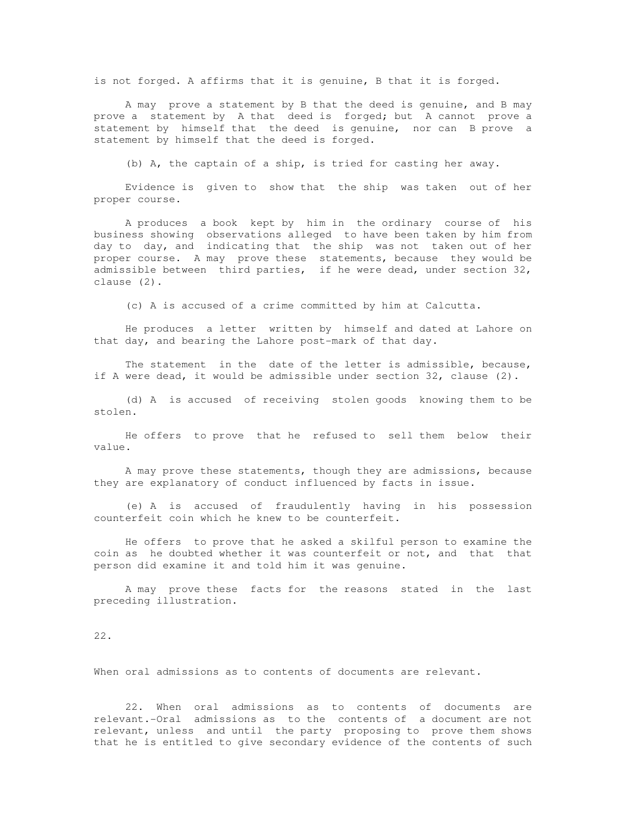is not forged. A affirms that it is genuine, B that it is forged.

 A may prove a statement by B that the deed is genuine, and B may prove a statement by A that deed is forged; but A cannot prove a statement by himself that the deed is genuine, nor can B prove a statement by himself that the deed is forged.

(b) A, the captain of a ship, is tried for casting her away.

 Evidence is given to show that the ship was taken out of her proper course.

 A produces a book kept by him in the ordinary course of his business showing observations alleged to have been taken by him from day to day, and indicating that the ship was not taken out of her proper course. A may prove these statements, because they would be admissible between third parties, if he were dead, under section 32, clause (2).

(c) A is accused of a crime committed by him at Calcutta.

 He produces a letter written by himself and dated at Lahore on that day, and bearing the Lahore post-mark of that day.

 The statement in the date of the letter is admissible, because, if A were dead, it would be admissible under section 32, clause (2).

 (d) A is accused of receiving stolen goods knowing them to be stolen.

 He offers to prove that he refused to sell them below their value.

 A may prove these statements, though they are admissions, because they are explanatory of conduct influenced by facts in issue.

 (e) A is accused of fraudulently having in his possession counterfeit coin which he knew to be counterfeit.

 He offers to prove that he asked a skilful person to examine the coin as he doubted whether it was counterfeit or not, and that that person did examine it and told him it was genuine.

 A may prove these facts for the reasons stated in the last preceding illustration.

22.

When oral admissions as to contents of documents are relevant.

 22. When oral admissions as to contents of documents are relevant.-Oral admissions as to the contents of a document are not relevant, unless and until the party proposing to prove them shows that he is entitled to give secondary evidence of the contents of such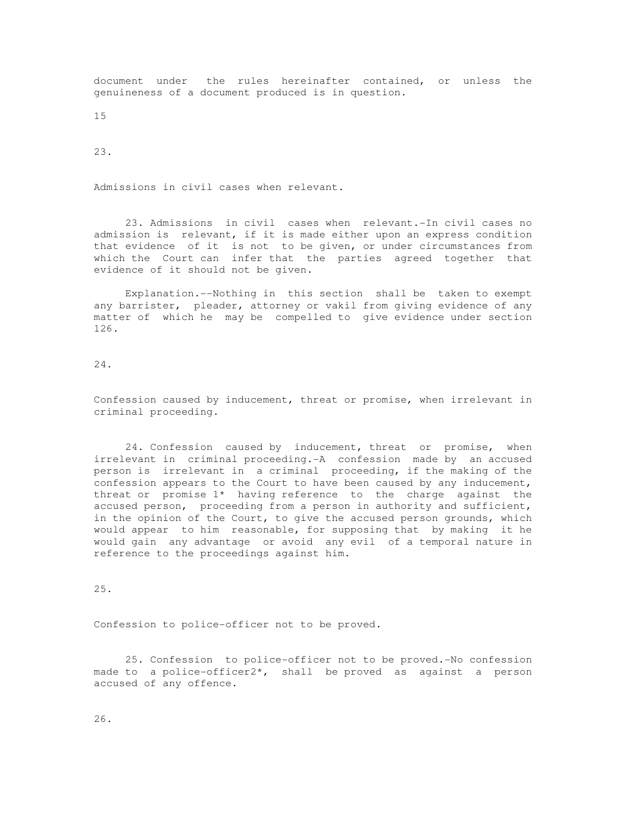document under the rules hereinafter contained, or unless the genuineness of a document produced is in question.

15

23.

Admissions in civil cases when relevant.

 23. Admissions in civil cases when relevant.-In civil cases no admission is relevant, if it is made either upon an express condition that evidence of it is not to be given, or under circumstances from which the Court can infer that the parties agreed together that evidence of it should not be given.

 Explanation.--Nothing in this section shall be taken to exempt any barrister, pleader, attorney or vakil from giving evidence of any matter of which he may be compelled to give evidence under section 126.

24.

Confession caused by inducement, threat or promise, when irrelevant in criminal proceeding.

 24. Confession caused by inducement, threat or promise, when irrelevant in criminal proceeding.-A confession made by an accused person is irrelevant in a criminal proceeding, if the making of the confession appears to the Court to have been caused by any inducement, threat or promise 1\* having reference to the charge against the accused person, proceeding from a person in authority and sufficient, in the opinion of the Court, to give the accused person grounds, which would appear to him reasonable, for supposing that by making it he would gain any advantage or avoid any evil of a temporal nature in reference to the proceedings against him.

25.

Confession to police-officer not to be proved.

 25. Confession to police-officer not to be proved.-No confession made to a police-officer2\*, shall be proved as against a person accused of any offence.

26.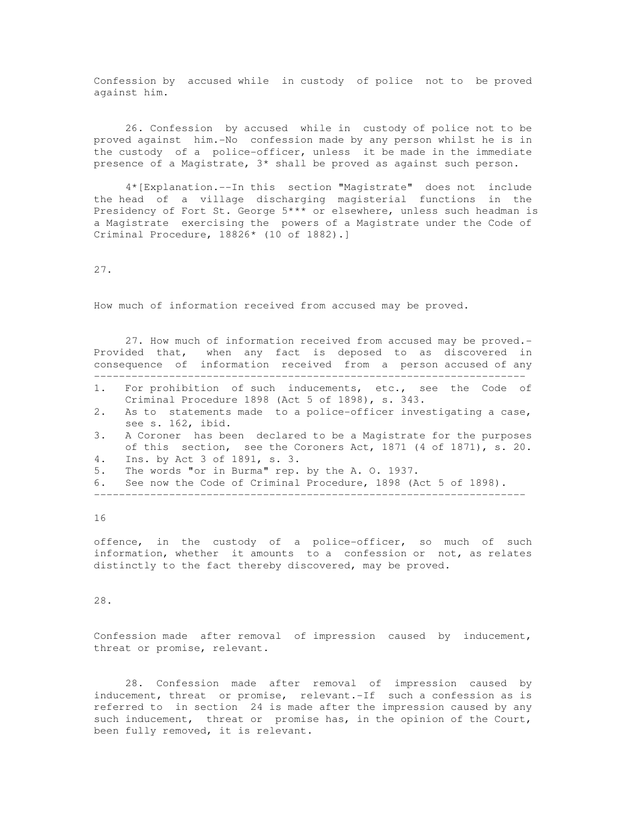Confession by accused while in custody of police not to be proved against him.

 26. Confession by accused while in custody of police not to be proved against him.-No confession made by any person whilst he is in the custody of a police-officer, unless it be made in the immediate presence of a Magistrate, 3\* shall be proved as against such person.

 4\*[Explanation.--In this section "Magistrate" does not include the head of a village discharging magisterial functions in the Presidency of Fort St. George 5\*\*\* or elsewhere, unless such headman is a Magistrate exercising the powers of a Magistrate under the Code of Criminal Procedure, 18826\* (10 of 1882).]

27.

How much of information received from accused may be proved.

 27. How much of information received from accused may be proved.- Provided that, when any fact is deposed to as discovered in consequence of information received from a person accused of any ---------------------------------------------------------------------

- 1. For prohibition of such inducements, etc., see the Code of Criminal Procedure 1898 (Act 5 of 1898), s. 343.
- 2. As to statements made to a police-officer investigating a case, see s. 162, ibid.
- 3. A Coroner has been declared to be a Magistrate for the purposes of this section, see the Coroners Act, 1871 (4 of 1871), s. 20. 4. Ins. by Act 3 of 1891, s. 3.
- 5. The words "or in Burma" rep. by the A. O. 1937.
- 6. See now the Code of Criminal Procedure, 1898 (Act 5 of 1898).

---------------------------------------------------------------------

16

offence, in the custody of a police-officer, so much of such information, whether it amounts to a confession or not, as relates distinctly to the fact thereby discovered, may be proved.

28.

Confession made after removal of impression caused by inducement, threat or promise, relevant.

 28. Confession made after removal of impression caused by inducement, threat or promise, relevant.-If such a confession as is referred to in section 24 is made after the impression caused by any such inducement, threat or promise has, in the opinion of the Court, been fully removed, it is relevant.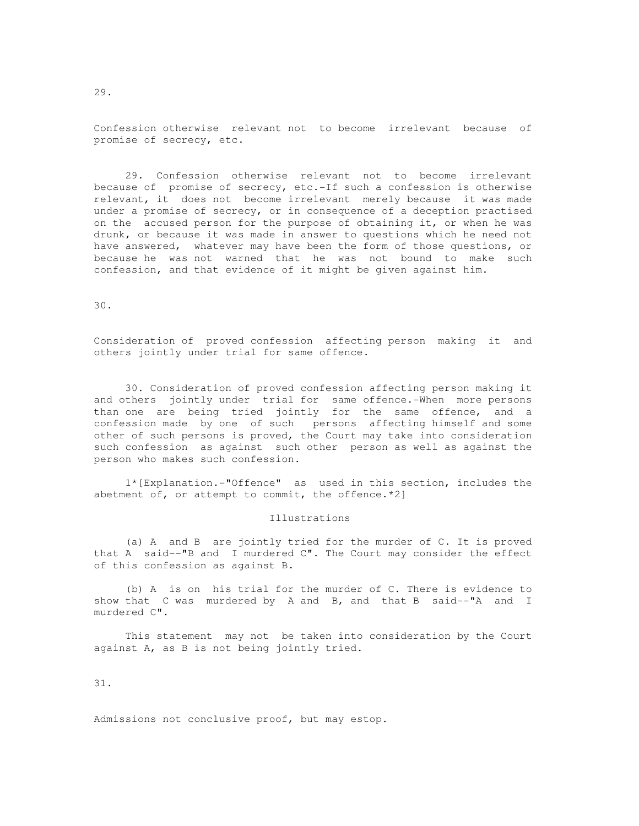Confession otherwise relevant not to become irrelevant because of promise of secrecy, etc.

 29. Confession otherwise relevant not to become irrelevant because of promise of secrecy, etc.-If such a confession is otherwise relevant, it does not become irrelevant merely because it was made under a promise of secrecy, or in consequence of a deception practised on the accused person for the purpose of obtaining it, or when he was drunk, or because it was made in answer to questions which he need not have answered, whatever may have been the form of those questions, or because he was not warned that he was not bound to make such confession, and that evidence of it might be given against him.

30.

Consideration of proved confession affecting person making it and others jointly under trial for same offence.

 30. Consideration of proved confession affecting person making it and others jointly under trial for same offence.-When more persons than one are being tried jointly for the same offence, and a confession made by one of such persons affecting himself and some other of such persons is proved, the Court may take into consideration such confession as against such other person as well as against the person who makes such confession.

 1\*[Explanation.-"Offence" as used in this section, includes the abetment of, or attempt to commit, the offence.\*2]

#### Illustrations

 (a) A and B are jointly tried for the murder of C. It is proved that A said--"B and I murdered C". The Court may consider the effect of this confession as against B.

 (b) A is on his trial for the murder of C. There is evidence to show that C was murdered by A and B, and that B said--"A and I murdered C".

 This statement may not be taken into consideration by the Court against A, as B is not being jointly tried.

31.

Admissions not conclusive proof, but may estop.

29.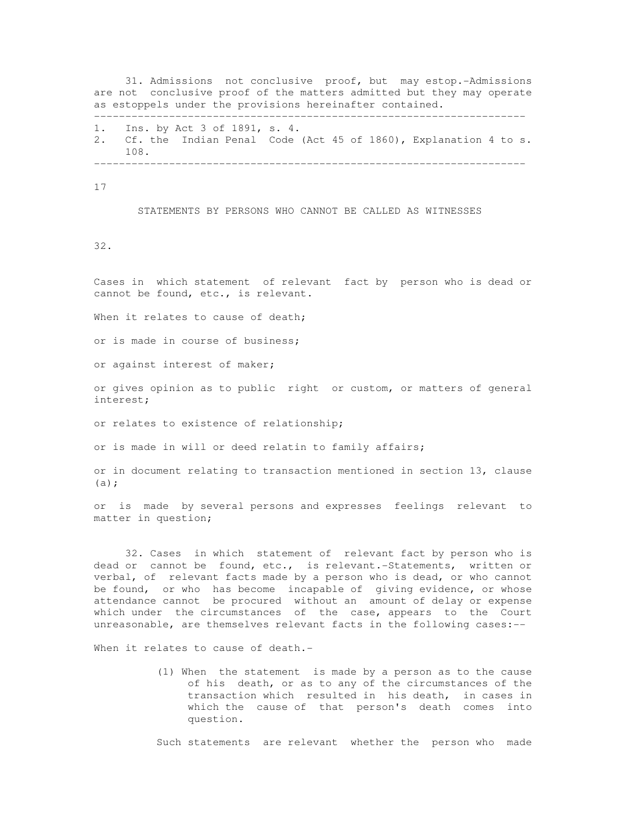31. Admissions not conclusive proof, but may estop.-Admissions are not conclusive proof of the matters admitted but they may operate as estoppels under the provisions hereinafter contained. ---------------------------------------------------------------------

1. Ins. by Act 3 of 1891, s. 4. 2. Cf. the Indian Penal Code (Act 45 of 1860), Explanation 4 to s. 108. ---------------------------------------------------------------------

17

STATEMENTS BY PERSONS WHO CANNOT BE CALLED AS WITNESSES

32.

Cases in which statement of relevant fact by person who is dead or cannot be found, etc., is relevant.

When it relates to cause of death;

or is made in course of business;

or against interest of maker;

or gives opinion as to public right or custom, or matters of general interest;

or relates to existence of relationship;

or is made in will or deed relatin to family affairs;

or in document relating to transaction mentioned in section 13, clause (a);

or is made by several persons and expresses feelings relevant to matter in question;

 32. Cases in which statement of relevant fact by person who is dead or cannot be found, etc., is relevant.-Statements, written or verbal, of relevant facts made by a person who is dead, or who cannot be found, or who has become incapable of giving evidence, or whose attendance cannot be procured without an amount of delay or expense which under the circumstances of the case, appears to the Court unreasonable, are themselves relevant facts in the following cases:--

When it relates to cause of death.-

 (1) When the statement is made by a person as to the cause of his death, or as to any of the circumstances of the transaction which resulted in his death, in cases in which the cause of that person's death comes into question.

Such statements are relevant whether the person who made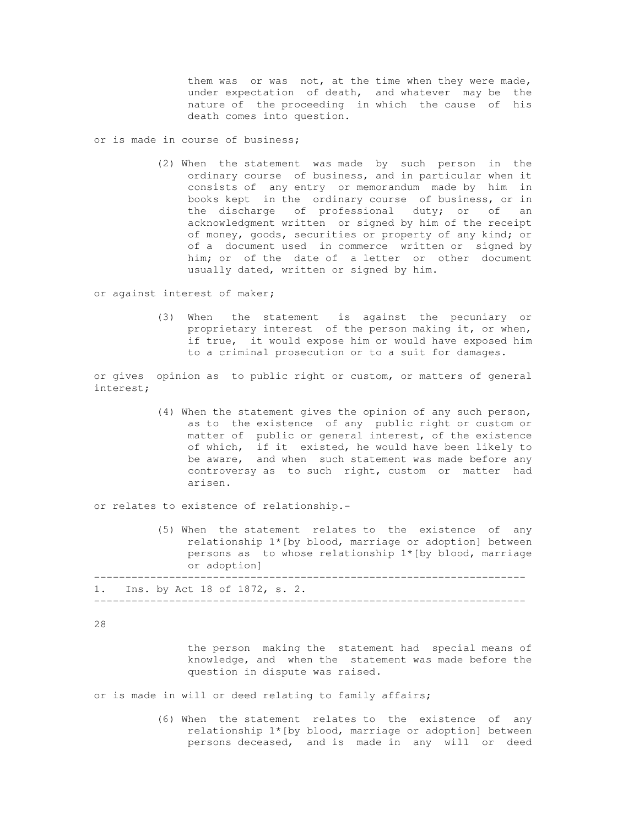them was or was not, at the time when they were made, under expectation of death, and whatever may be the nature of the proceeding in which the cause of his death comes into question.

or is made in course of business;

 (2) When the statement was made by such person in the ordinary course of business, and in particular when it consists of any entry or memorandum made by him in books kept in the ordinary course of business, or in the discharge of professional duty; or of an acknowledgment written or signed by him of the receipt of money, goods, securities or property of any kind; or of a document used in commerce written or signed by him; or of the date of a letter or other document usually dated, written or signed by him.

or against interest of maker;

 (3) When the statement is against the pecuniary or proprietary interest of the person making it, or when, if true, it would expose him or would have exposed him to a criminal prosecution or to a suit for damages.

or gives opinion as to public right or custom, or matters of general interest;

 (4) When the statement gives the opinion of any such person, as to the existence of any public right or custom or matter of public or general interest, of the existence of which, if it existed, he would have been likely to be aware, and when such statement was made before any controversy as to such right, custom or matter had arisen.

or relates to existence of relationship.-

 (5) When the statement relates to the existence of any relationship 1\*[by blood, marriage or adoption] between persons as to whose relationship  $1*(by blood, marriage)$  or adoption] --------------------------------------------------------------------- 1. Ins. by Act 18 of 1872, s. 2. ---------------------------------------------------------------------

28

 the person making the statement had special means of knowledge, and when the statement was made before the question in dispute was raised.

or is made in will or deed relating to family affairs;

 (6) When the statement relates to the existence of any relationship 1\*[by blood, marriage or adoption] between persons deceased, and is made in any will or deed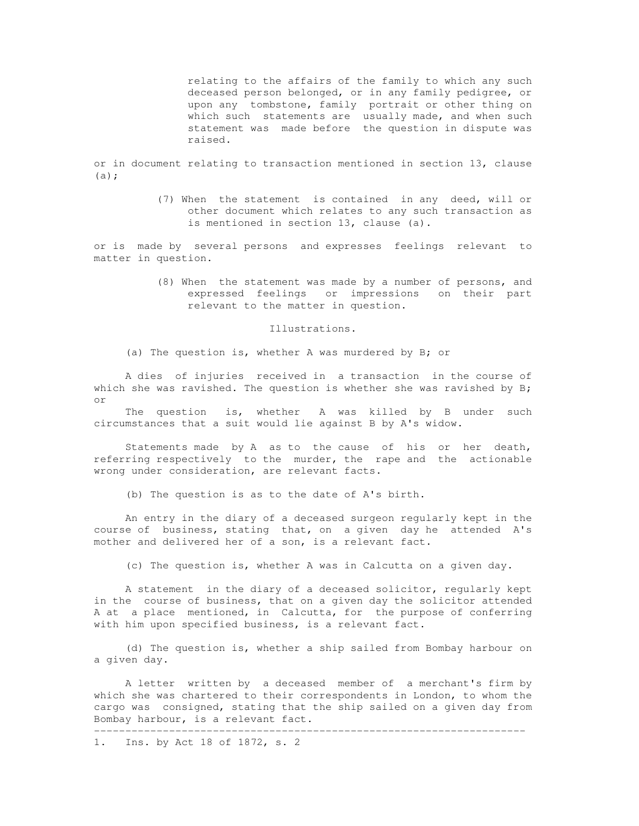relating to the affairs of the family to which any such deceased person belonged, or in any family pedigree, or upon any tombstone, family portrait or other thing on which such statements are usually made, and when such statement was made before the question in dispute was raised.

or in document relating to transaction mentioned in section 13, clause  $(a)$ ;

> (7) When the statement is contained in any deed, will or other document which relates to any such transaction as is mentioned in section 13, clause (a).

or is made by several persons and expresses feelings relevant to matter in question.

> (8) When the statement was made by a number of persons, and expressed feelings or impressions on their part relevant to the matter in question.

> > Illustrations.

(a) The question is, whether A was murdered by B; or

 A dies of injuries received in a transaction in the course of which she was ravished. The question is whether she was ravished by  $B$ ; or

 The question is, whether A was killed by B under such circumstances that a suit would lie against B by A's widow.

 Statements made by A as to the cause of his or her death, referring respectively to the murder, the rape and the actionable wrong under consideration, are relevant facts.

(b) The question is as to the date of A's birth.

 An entry in the diary of a deceased surgeon regularly kept in the course of business, stating that, on a given day he attended A's mother and delivered her of a son, is a relevant fact.

(c) The question is, whether A was in Calcutta on a given day.

 A statement in the diary of a deceased solicitor, regularly kept in the course of business, that on a given day the solicitor attended A at a place mentioned, in Calcutta, for the purpose of conferring with him upon specified business, is a relevant fact.

 (d) The question is, whether a ship sailed from Bombay harbour on a given day.

 A letter written by a deceased member of a merchant's firm by which she was chartered to their correspondents in London, to whom the cargo was consigned, stating that the ship sailed on a given day from Bombay harbour, is a relevant fact. ---------------------------------------------------------------------

1. Ins. by Act 18 of 1872, s. 2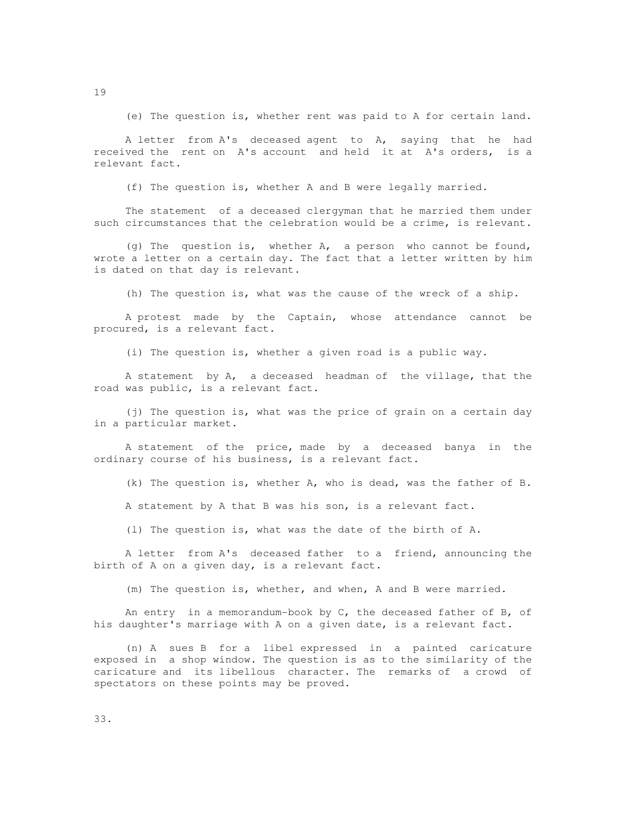(e) The question is, whether rent was paid to A for certain land.

 A letter from A's deceased agent to A, saying that he had received the rent on A's account and held it at A's orders, is a relevant fact.

(f) The question is, whether A and B were legally married.

 The statement of a deceased clergyman that he married them under such circumstances that the celebration would be a crime, is relevant.

 (g) The question is, whether A, a person who cannot be found, wrote a letter on a certain day. The fact that a letter written by him is dated on that day is relevant.

(h) The question is, what was the cause of the wreck of a ship.

 A protest made by the Captain, whose attendance cannot be procured, is a relevant fact.

(i) The question is, whether a given road is a public way.

 A statement by A, a deceased headman of the village, that the road was public, is a relevant fact.

 (j) The question is, what was the price of grain on a certain day in a particular market.

 A statement of the price, made by a deceased banya in the ordinary course of his business, is a relevant fact.

(k) The question is, whether A, who is dead, was the father of B.

A statement by A that B was his son, is a relevant fact.

(l) The question is, what was the date of the birth of A.

 A letter from A's deceased father to a friend, announcing the birth of A on a given day, is a relevant fact.

(m) The question is, whether, and when, A and B were married.

 An entry in a memorandum-book by C, the deceased father of B, of his daughter's marriage with A on a given date, is a relevant fact.

 (n) A sues B for a libel expressed in a painted caricature exposed in a shop window. The question is as to the similarity of the caricature and its libellous character. The remarks of a crowd of spectators on these points may be proved.

19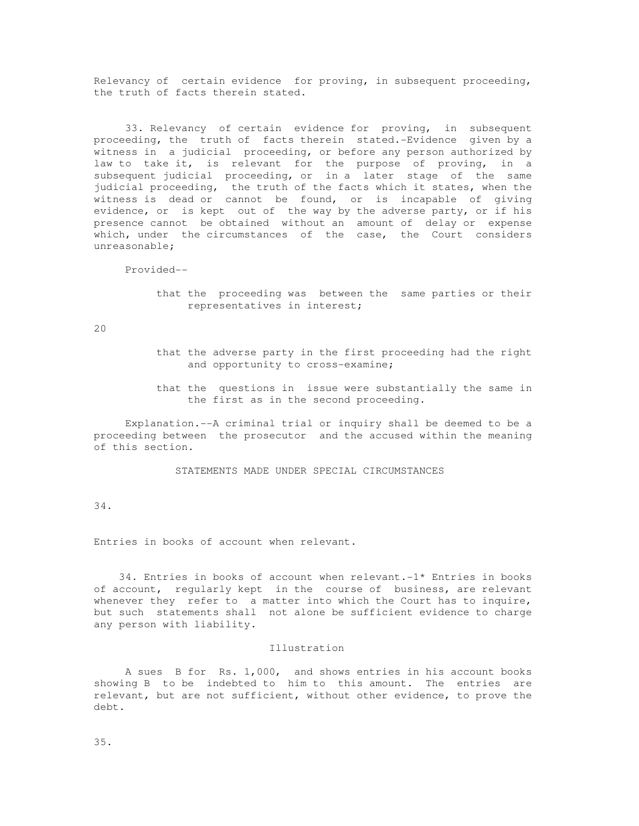Relevancy of certain evidence for proving, in subsequent proceeding, the truth of facts therein stated.

 33. Relevancy of certain evidence for proving, in subsequent proceeding, the truth of facts therein stated.-Evidence given by a witness in a judicial proceeding, or before any person authorized by law to take it, is relevant for the purpose of proving, in a subsequent judicial proceeding, or in a later stage of the same judicial proceeding, the truth of the facts which it states, when the witness is dead or cannot be found, or is incapable of giving evidence, or is kept out of the way by the adverse party, or if his presence cannot be obtained without an amount of delay or expense which, under the circumstances of the case, the Court considers unreasonable;

Provided--

 that the proceeding was between the same parties or their representatives in interest;

20

- that the adverse party in the first proceeding had the right and opportunity to cross-examine;
- that the questions in issue were substantially the same in the first as in the second proceeding.

 Explanation.--A criminal trial or inquiry shall be deemed to be a proceeding between the prosecutor and the accused within the meaning of this section.

STATEMENTS MADE UNDER SPECIAL CIRCUMSTANCES

34.

Entries in books of account when relevant.

 34. Entries in books of account when relevant.-1\* Entries in books of account, regularly kept in the course of business, are relevant whenever they refer to a matter into which the Court has to inquire, but such statements shall not alone be sufficient evidence to charge any person with liability.

## Illustration

 A sues B for Rs. 1,000, and shows entries in his account books showing B to be indebted to him to this amount. The entries are relevant, but are not sufficient, without other evidence, to prove the debt.

35.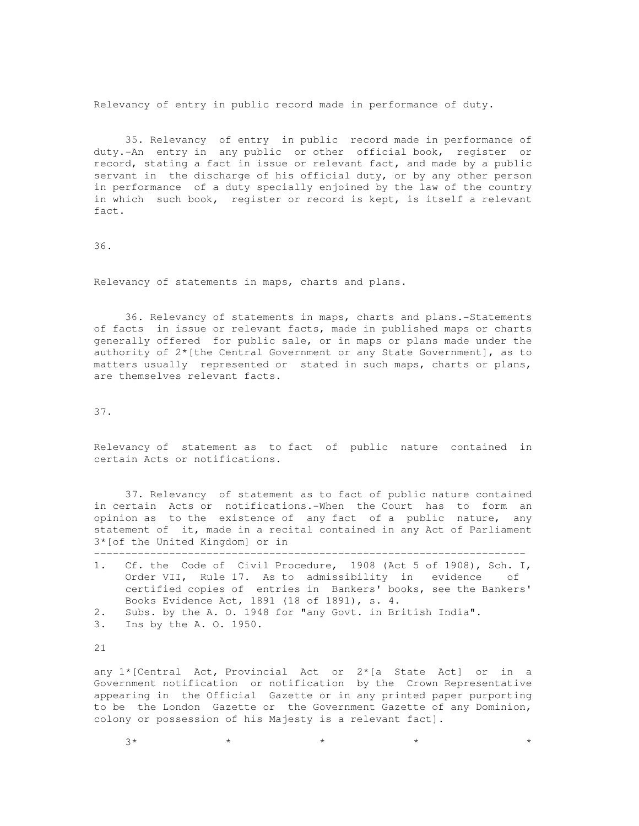Relevancy of entry in public record made in performance of duty.

 35. Relevancy of entry in public record made in performance of duty.-An entry in any public or other official book, register or record, stating a fact in issue or relevant fact, and made by a public servant in the discharge of his official duty, or by any other person in performance of a duty specially enjoined by the law of the country in which such book, register or record is kept, is itself a relevant fact.

36.

Relevancy of statements in maps, charts and plans.

 36. Relevancy of statements in maps, charts and plans.-Statements of facts in issue or relevant facts, made in published maps or charts generally offered for public sale, or in maps or plans made under the authority of 2\*[the Central Government or any State Government], as to matters usually represented or stated in such maps, charts or plans, are themselves relevant facts.

37.

Relevancy of statement as to fact of public nature contained in certain Acts or notifications.

 37. Relevancy of statement as to fact of public nature contained in certain Acts or notifications.-When the Court has to form an opinion as to the existence of any fact of a public nature, any statement of it, made in a recital contained in any Act of Parliament 3\*[of the United Kingdom] or in

---------------------------------------------------------------------

| 1. Cf. the Code of Civil Procedure, 1908 (Act 5 of 1908), Sch. I, |
|-------------------------------------------------------------------|
| Order VII, Rule 17. As to admissibility in evidence of            |
| certified copies of entries in Bankers' books, see the Bankers'   |
| Books Evidence Act, 1891 (18 of 1891), s. 4.                      |
| 2. Subs. by the A. O. 1948 for "any Govt. in British India".      |
|                                                                   |

3. Ins by the A. O. 1950.

21

any 1\*[Central Act, Provincial Act or 2\*[a State Act] or in a Government notification or notification by the Crown Representative appearing in the Official Gazette or in any printed paper purporting to be the London Gazette or the Government Gazette of any Dominion, colony or possession of his Majesty is a relevant fact].

 $3*$  \* \* \* \* \* \* \* \* \* \* \*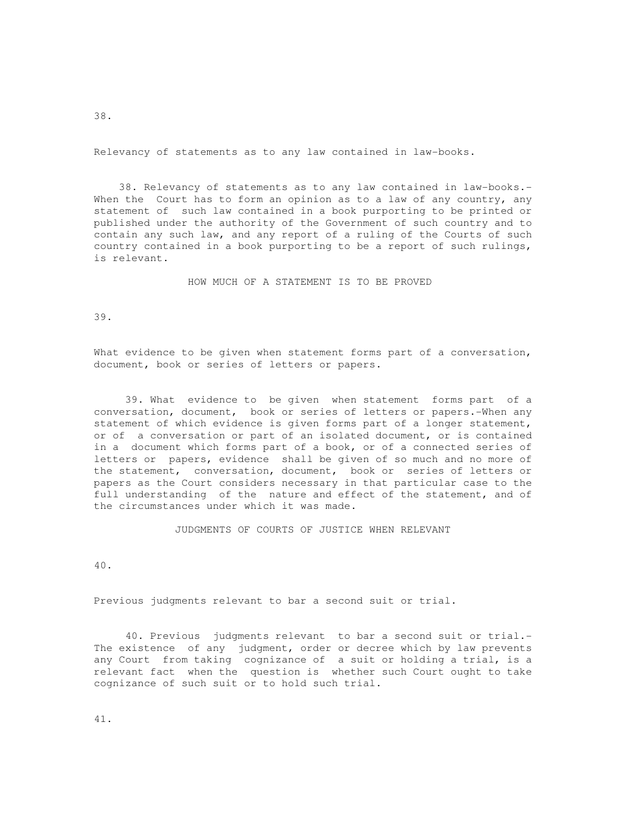Relevancy of statements as to any law contained in law-books.

 38. Relevancy of statements as to any law contained in law-books.- When the Court has to form an opinion as to a law of any country, any statement of such law contained in a book purporting to be printed or published under the authority of the Government of such country and to contain any such law, and any report of a ruling of the Courts of such country contained in a book purporting to be a report of such rulings, is relevant.

HOW MUCH OF A STATEMENT IS TO BE PROVED

39.

What evidence to be given when statement forms part of a conversation, document, book or series of letters or papers.

 39. What evidence to be given when statement forms part of a conversation, document, book or series of letters or papers.-When any statement of which evidence is given forms part of a longer statement, or of a conversation or part of an isolated document, or is contained in a document which forms part of a book, or of a connected series of letters or papers, evidence shall be given of so much and no more of the statement, conversation, document, book or series of letters or papers as the Court considers necessary in that particular case to the full understanding of the nature and effect of the statement, and of the circumstances under which it was made.

JUDGMENTS OF COURTS OF JUSTICE WHEN RELEVANT

40.

Previous judgments relevant to bar a second suit or trial.

 40. Previous judgments relevant to bar a second suit or trial.- The existence of any judgment, order or decree which by law prevents any Court from taking cognizance of a suit or holding a trial, is a relevant fact when the question is whether such Court ought to take cognizance of such suit or to hold such trial.

41.

38.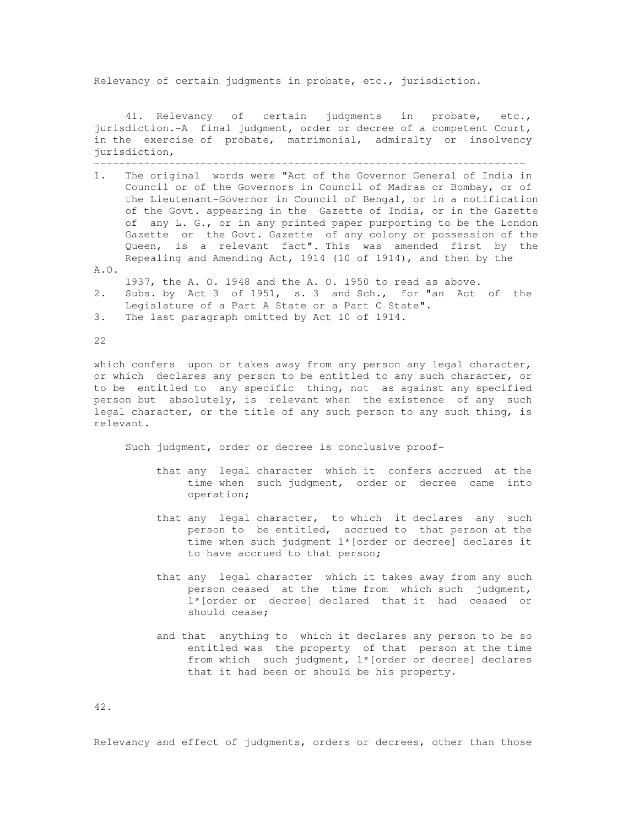Relevancy of certain judgments in probate, etc., jurisdiction.

 41. Relevancy of certain judgments in probate, etc., jurisdiction.-A final judgment, order or decree of a competent Court, in the exercise of probate, matrimonial, admiralty or insolvency jurisdiction, ---------------------------------------------------------------------

- 1. The original words were "Act of the Governor General of India in Council or of the Governors in Council of Madras or Bombay, or of the Lieutenant-Governor in Council of Bengal, or in a notification of the Govt. appearing in the Gazette of India, or in the Gazette of any L. G., or in any printed paper purporting to be the London Gazette or the Govt. Gazette of any colony or possession of the Queen, is a relevant fact". This was amended first by the Repealing and Amending Act, 1914 (10 of 1914), and then by the
- $A.0.$ 
	- 1937, the A. O. 1948 and the A. O. 1950 to read as above.
- 2. Subs. by Act 3 of 1951, s. 3 and Sch., for "an Act of the Legislature of a Part A State or a Part C State".
- 3. The last paragraph omitted by Act 10 of 1914.

22

which confers upon or takes away from any person any legal character, or which declares any person to be entitled to any such character, or to be entitled to any specific thing, not as against any specified person but absolutely, is relevant when the existence of any such legal character, or the title of any such person to any such thing, is relevant.

Such judgment, order or decree is conclusive proof-

- that any legal character which it confers accrued at the time when such judgment, order or decree came into operation;
- that any legal character, to which it declares any such person to be entitled, accrued to that person at the time when such judgment 1\*[order or decree] declares it to have accrued to that person;
- that any legal character which it takes away from any such person ceased at the time from which such judgment, 1\*[order or decree] declared that it had ceased or should cease;
- and that anything to which it declares any person to be so entitled was the property of that person at the time from which such judgment, 1\*[order or decree] declares that it had been or should be his property.

42.

Relevancy and effect of judgments, orders or decrees, other than those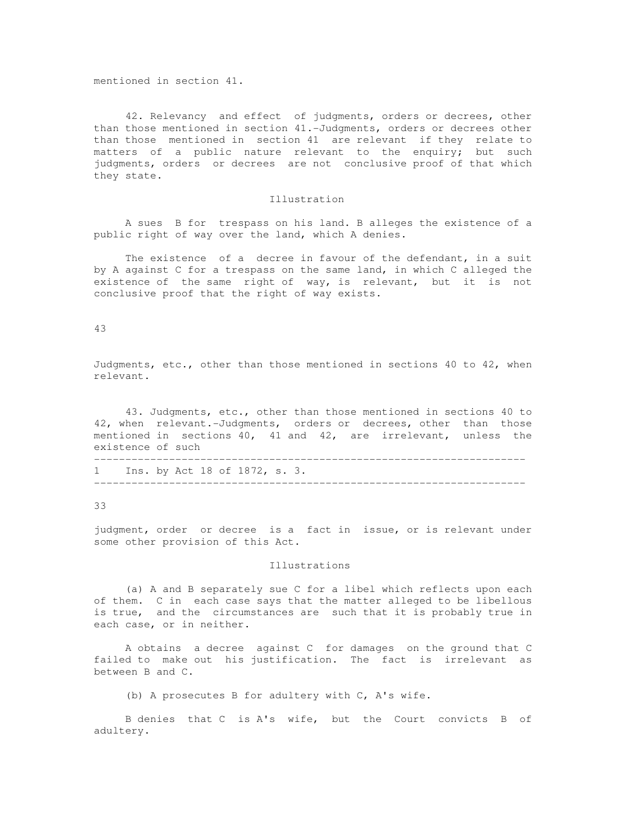mentioned in section 41.

 42. Relevancy and effect of judgments, orders or decrees, other than those mentioned in section 41.-Judgments, orders or decrees other than those mentioned in section 41 are relevant if they relate to matters of a public nature relevant to the enquiry; but such judgments, orders or decrees are not conclusive proof of that which they state.

### Illustration

 A sues B for trespass on his land. B alleges the existence of a public right of way over the land, which A denies.

 The existence of a decree in favour of the defendant, in a suit by A against C for a trespass on the same land, in which C alleged the existence of the same right of way, is relevant, but it is not conclusive proof that the right of way exists.

43

Judgments, etc., other than those mentioned in sections 40 to 42, when relevant.

 43. Judgments, etc., other than those mentioned in sections 40 to 42, when relevant.-Judgments, orders or decrees, other than those mentioned in sections 40, 41 and 42, are irrelevant, unless the existence of such ---------------------------------------------------------------------

1 Ins. by Act 18 of 1872, s. 3. ---------------------------------------------------------------------

33

judgment, order or decree is a fact in issue, or is relevant under some other provision of this Act.

# Illustrations

 (a) A and B separately sue C for a libel which reflects upon each of them. C in each case says that the matter alleged to be libellous is true, and the circumstances are such that it is probably true in each case, or in neither.

 A obtains a decree against C for damages on the ground that C failed to make out his justification. The fact is irrelevant as between B and C.

(b) A prosecutes B for adultery with C, A's wife.

 B denies that C is A's wife, but the Court convicts B of adultery.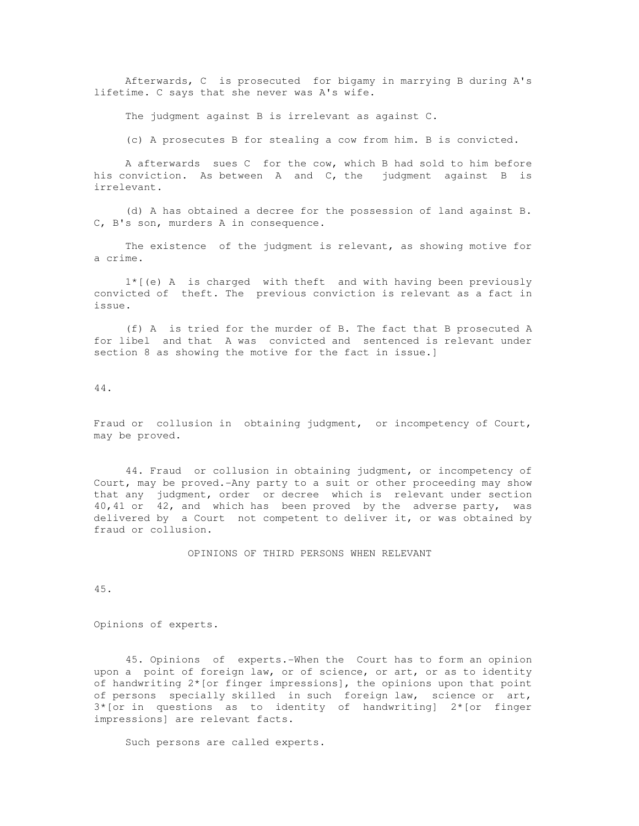Afterwards, C is prosecuted for bigamy in marrying B during A's lifetime. C says that she never was A's wife.

The judgment against B is irrelevant as against C.

(c) A prosecutes B for stealing a cow from him. B is convicted.

 A afterwards sues C for the cow, which B had sold to him before his conviction. As between A and C, the judgment against B is irrelevant.

 (d) A has obtained a decree for the possession of land against B. C, B's son, murders A in consequence.

 The existence of the judgment is relevant, as showing motive for a crime.

 $1*(e)$  A is charged with theft and with having been previously convicted of theft. The previous conviction is relevant as a fact in issue.

 (f) A is tried for the murder of B. The fact that B prosecuted A for libel and that A was convicted and sentenced is relevant under section 8 as showing the motive for the fact in issue.]

44.

Fraud or collusion in obtaining judgment, or incompetency of Court, may be proved.

 44. Fraud or collusion in obtaining judgment, or incompetency of Court, may be proved.-Any party to a suit or other proceeding may show that any judgment, order or decree which is relevant under section 40,41 or 42, and which has been proved by the adverse party, was delivered by a Court not competent to deliver it, or was obtained by fraud or collusion.

OPINIONS OF THIRD PERSONS WHEN RELEVANT

45.

Opinions of experts.

 45. Opinions of experts.-When the Court has to form an opinion upon a point of foreign law, or of science, or art, or as to identity of handwriting  $2*($  or finger impressions], the opinions upon that point of persons specially skilled in such foreign law, science or art,  $3*($ or in questions as to identity of handwriting]  $2*($ or finger impressions] are relevant facts.

Such persons are called experts.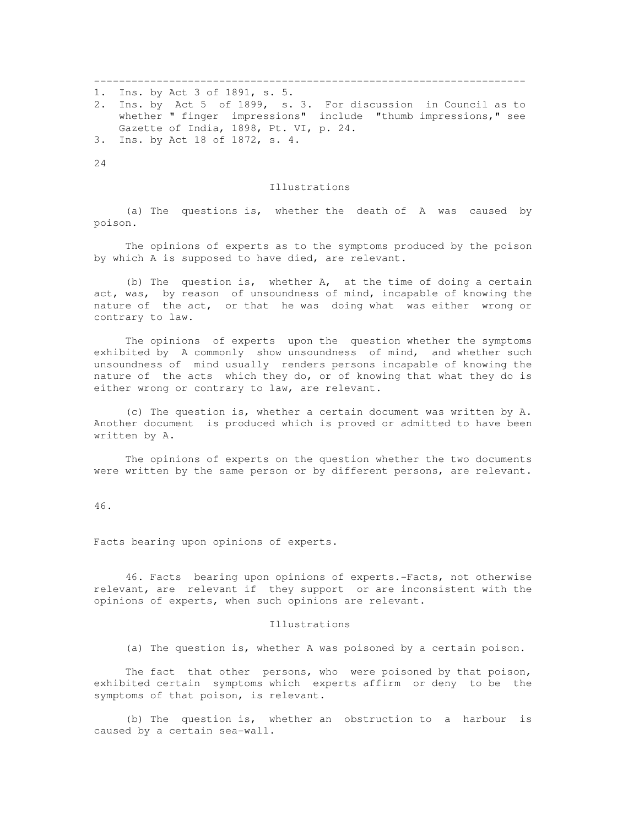--------------------------------------------------------------------- 1. Ins. by Act 3 of 1891, s. 5. 2. Ins. by Act 5 of 1899, s. 3. For discussion in Council as to whether " finger impressions" include "thumb impressions," see Gazette of India, 1898, Pt. VI, p. 24. 3. Ins. by Act 18 of 1872, s. 4.

24

#### Illustrations

 (a) The questions is, whether the death of A was caused by poison.

 The opinions of experts as to the symptoms produced by the poison by which A is supposed to have died, are relevant.

 (b) The question is, whether A, at the time of doing a certain act, was, by reason of unsoundness of mind, incapable of knowing the nature of the act, or that he was doing what was either wrong or contrary to law.

 The opinions of experts upon the question whether the symptoms exhibited by A commonly show unsoundness of mind, and whether such unsoundness of mind usually renders persons incapable of knowing the nature of the acts which they do, or of knowing that what they do is either wrong or contrary to law, are relevant.

 (c) The question is, whether a certain document was written by A. Another document is produced which is proved or admitted to have been written by A.

 The opinions of experts on the question whether the two documents were written by the same person or by different persons, are relevant.

46.

Facts bearing upon opinions of experts.

 46. Facts bearing upon opinions of experts.-Facts, not otherwise relevant, are relevant if they support or are inconsistent with the opinions of experts, when such opinions are relevant.

#### Illustrations

(a) The question is, whether A was poisoned by a certain poison.

The fact that other persons, who were poisoned by that poison, exhibited certain symptoms which experts affirm or deny to be the symptoms of that poison, is relevant.

 (b) The question is, whether an obstruction to a harbour is caused by a certain sea-wall.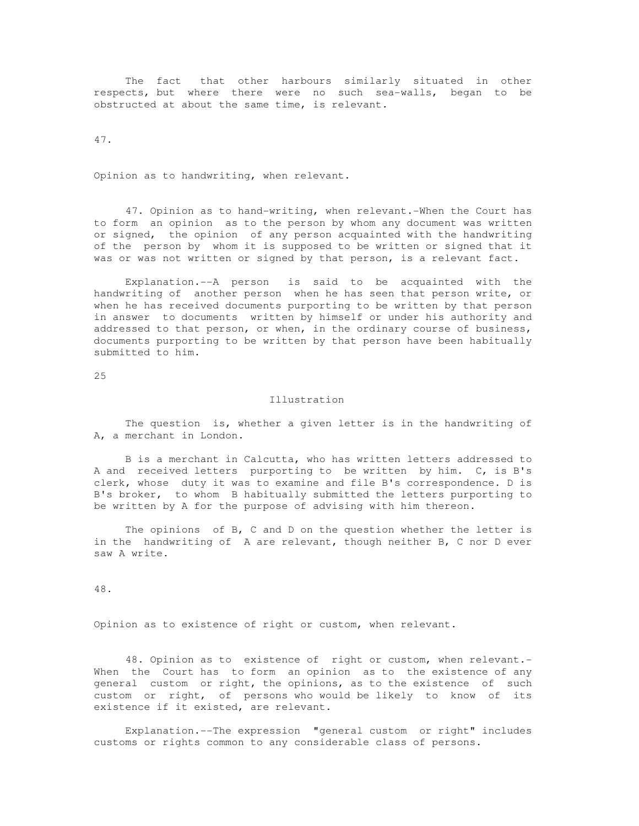The fact that other harbours similarly situated in other respects, but where there were no such sea-walls, began to be obstructed at about the same time, is relevant.

47.

Opinion as to handwriting, when relevant.

 47. Opinion as to hand-writing, when relevant.-When the Court has to form an opinion as to the person by whom any document was written or signed, the opinion of any person acquainted with the handwriting of the person by whom it is supposed to be written or signed that it was or was not written or signed by that person, is a relevant fact.

 Explanation.--A person is said to be acquainted with the handwriting of another person when he has seen that person write, or when he has received documents purporting to be written by that person in answer to documents written by himself or under his authority and addressed to that person, or when, in the ordinary course of business, documents purporting to be written by that person have been habitually submitted to him.

25

### Illustration

 The question is, whether a given letter is in the handwriting of A, a merchant in London.

 B is a merchant in Calcutta, who has written letters addressed to A and received letters purporting to be written by him. C, is B's clerk, whose duty it was to examine and file B's correspondence. D is B's broker, to whom B habitually submitted the letters purporting to be written by A for the purpose of advising with him thereon.

 The opinions of B, C and D on the question whether the letter is in the handwriting of A are relevant, though neither B, C nor D ever saw A write.

48.

Opinion as to existence of right or custom, when relevant.

 48. Opinion as to existence of right or custom, when relevant.- When the Court has to form an opinion as to the existence of any general custom or right, the opinions, as to the existence of such custom or right, of persons who would be likely to know of its existence if it existed, are relevant.

 Explanation.--The expression "general custom or right" includes customs or rights common to any considerable class of persons.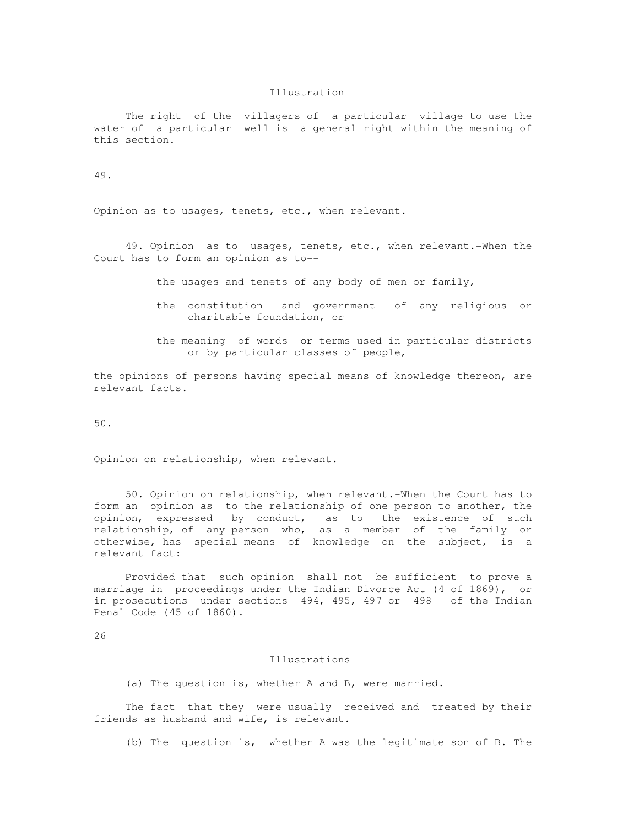### Illustration

 The right of the villagers of a particular village to use the water of a particular well is a general right within the meaning of this section.

49.

Opinion as to usages, tenets, etc., when relevant.

 49. Opinion as to usages, tenets, etc., when relevant.-When the Court has to form an opinion as to--

the usages and tenets of any body of men or family,

- the constitution and government of any religious or charitable foundation, or
- the meaning of words or terms used in particular districts or by particular classes of people,

the opinions of persons having special means of knowledge thereon, are relevant facts.

50.

Opinion on relationship, when relevant.

 50. Opinion on relationship, when relevant.-When the Court has to form an opinion as to the relationship of one person to another, the opinion, expressed by conduct, as to the existence of such by conduct, as to the existence of such relationship, of any person who, as a member of the family or otherwise, has special means of knowledge on the subject, is a relevant fact:

 Provided that such opinion shall not be sufficient to prove a marriage in proceedings under the Indian Divorce Act (4 of 1869), or in prosecutions under sections 494, 495, 497 or 498 of the Indian Penal Code (45 of 1860).

26

### Illustrations

(a) The question is, whether A and B, were married.

 The fact that they were usually received and treated by their friends as husband and wife, is relevant.

(b) The question is, whether A was the legitimate son of B. The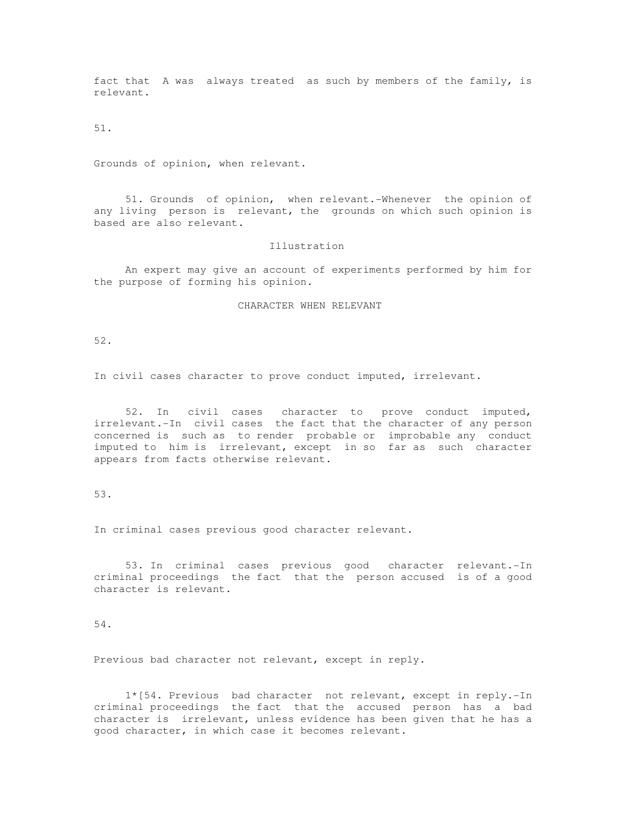fact that A was always treated as such by members of the family, is relevant.

51.

Grounds of opinion, when relevant.

 51. Grounds of opinion, when relevant.-Whenever the opinion of any living person is relevant, the grounds on which such opinion is based are also relevant.

# Illustration

 An expert may give an account of experiments performed by him for the purpose of forming his opinion.

# CHARACTER WHEN RELEVANT

52.

In civil cases character to prove conduct imputed, irrelevant.

 52. In civil cases character to prove conduct imputed, irrelevant.-In civil cases the fact that the character of any person concerned is such as to render probable or improbable any conduct imputed to him is irrelevant, except in so far as such character appears from facts otherwise relevant.

# 53.

In criminal cases previous good character relevant.

 53. In criminal cases previous good character relevant.-In criminal proceedings the fact that the person accused is of a good character is relevant.

# 54.

Previous bad character not relevant, except in reply.

 1\*[54. Previous bad character not relevant, except in reply.-In criminal proceedings the fact that the accused person has a bad character is irrelevant, unless evidence has been given that he has a good character, in which case it becomes relevant.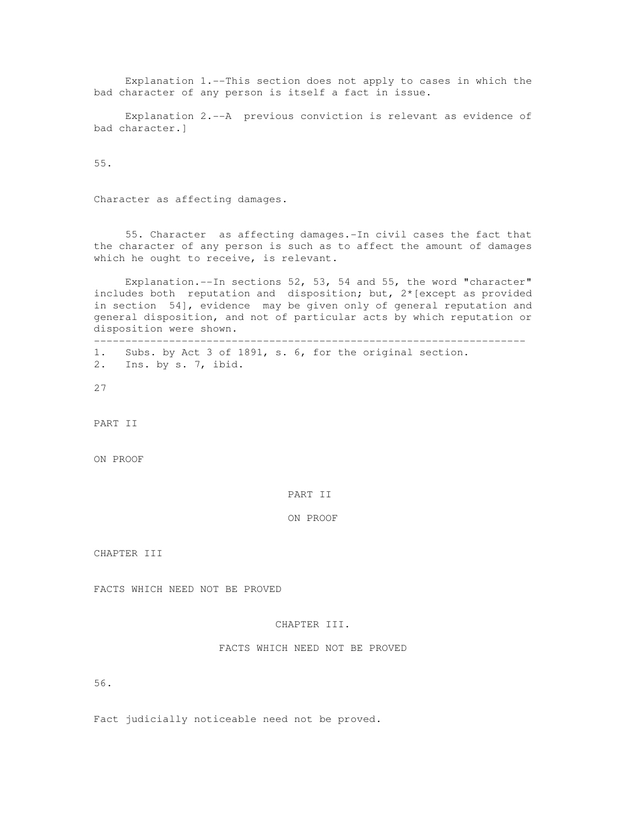Explanation 1.--This section does not apply to cases in which the bad character of any person is itself a fact in issue.

 Explanation 2.--A previous conviction is relevant as evidence of bad character.]

55.

Character as affecting damages.

 55. Character as affecting damages.-In civil cases the fact that the character of any person is such as to affect the amount of damages which he ought to receive, is relevant.

 Explanation.--In sections 52, 53, 54 and 55, the word "character" includes both reputation and disposition; but, 2\*[except as provided in section 54], evidence may be given only of general reputation and general disposition, and not of particular acts by which reputation or disposition were shown.

--------------------------------------------------------------------- 1. Subs. by Act 3 of 1891, s. 6, for the original section.

2. Ins. by s. 7, ibid.

27

PART II

ON PROOF

PART II

ON PROOF

CHAPTER III

FACTS WHICH NEED NOT BE PROVED

### CHAPTER III.

# FACTS WHICH NEED NOT BE PROVED

56.

Fact judicially noticeable need not be proved.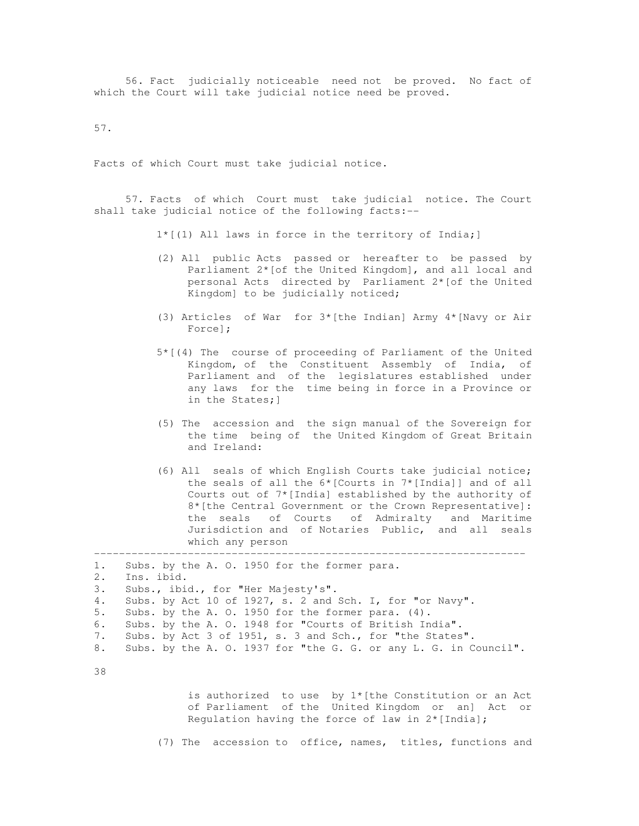56. Fact judicially noticeable need not be proved. No fact of which the Court will take judicial notice need be proved.

57.

Facts of which Court must take judicial notice.

 57. Facts of which Court must take judicial notice. The Court shall take judicial notice of the following facts:--

1\*[(1) All laws in force in the territory of India;]

- (2) All public Acts passed or hereafter to be passed by Parliament 2\*[of the United Kingdom], and all local and personal Acts directed by Parliament 2\*[of the United Kingdom] to be judicially noticed;
- (3) Articles of War for 3\*[the Indian] Army 4\*[Navy or Air Force];
- 5\*[(4) The course of proceeding of Parliament of the United Kingdom, of the Constituent Assembly of India, of Parliament and of the legislatures established under any laws for the time being in force in a Province or in the States;]
- (5) The accession and the sign manual of the Sovereign for the time being of the United Kingdom of Great Britain and Ireland:
- (6) All seals of which English Courts take judicial notice; the seals of all the 6\*[Courts in 7\*[India]] and of all Courts out of 7\*[India] established by the authority of 8\*[the Central Government or the Crown Representative]: the seals of Courts of Admiralty and Maritime Jurisdiction and of Notaries Public, and all seals which any person

```
1. Subs. by the A. O. 1950 for the former para. 
2. Ins. ibid. 
3. Subs., ibid., for "Her Majesty's". 
4. Subs. by Act 10 of 1927, s. 2 and Sch. I, for "or Navy". 
5. Subs. by the A. O. 1950 for the former para. (4). 
6. Subs. by the A. O. 1948 for "Courts of British India". 
7. Subs. by Act 3 of 1951, s. 3 and Sch., for "the States". 
8. Subs. by the A. O. 1937 for "the G. G. or any L. G. in Council".
```
---------------------------------------------------------------------

38

 is authorized to use by 1\*[the Constitution or an Act of Parliament of the United Kingdom or an] Act or Regulation having the force of law in 2\*[India];

(7) The accession to office, names, titles, functions and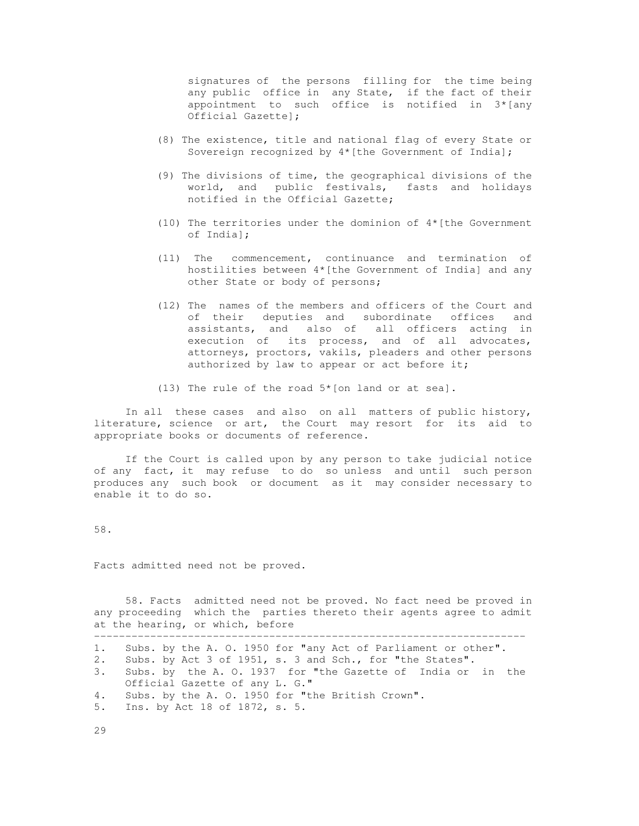signatures of the persons filling for the time being any public office in any State, if the fact of their appointment to such office is notified in 3\*[any Official Gazette];

- (8) The existence, title and national flag of every State or Sovereign recognized by 4\*[the Government of India];
- (9) The divisions of time, the geographical divisions of the world, and public festivals, fasts and holidays notified in the Official Gazette;
- (10) The territories under the dominion of 4\*[the Government of India];
- (11) The commencement, continuance and termination of hostilities between 4\*[the Government of India] and any other State or body of persons;
- (12) The names of the members and officers of the Court and of their deputies and subordinate offices and assistants, and also of all officers acting in execution of its process, and of all advocates, attorneys, proctors, vakils, pleaders and other persons authorized by law to appear or act before it;

(13) The rule of the road 5\*[on land or at sea].

 In all these cases and also on all matters of public history, literature, science or art, the Court may resort for its aid to appropriate books or documents of reference.

 If the Court is called upon by any person to take judicial notice of any fact, it may refuse to do so unless and until such person produces any such book or document as it may consider necessary to enable it to do so.

58.

Facts admitted need not be proved.

 58. Facts admitted need not be proved. No fact need be proved in any proceeding which the parties thereto their agents agree to admit at the hearing, or which, before ---------------------------------------------------------------------

- 1. Subs. by the A. O. 1950 for "any Act of Parliament or other".
- 2. Subs. by Act 3 of 1951, s. 3 and Sch., for "the States".
- 3. Subs. by the A. O. 1937 for "the Gazette of India or in the Official Gazette of any L. G."
- 4. Subs. by the A. O. 1950 for "the British Crown".
- 5. Ins. by Act 18 of 1872, s. 5.

29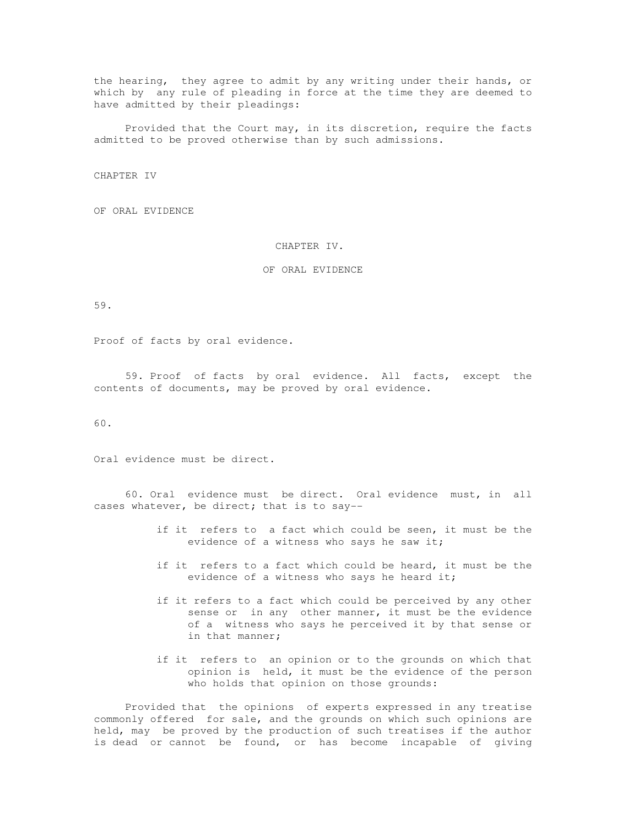the hearing, they agree to admit by any writing under their hands, or which by any rule of pleading in force at the time they are deemed to have admitted by their pleadings:

 Provided that the Court may, in its discretion, require the facts admitted to be proved otherwise than by such admissions.

CHAPTER IV

OF ORAL EVIDENCE

# CHAPTER IV.

### OF ORAL EVIDENCE

59.

Proof of facts by oral evidence.

 59. Proof of facts by oral evidence. All facts, except the contents of documents, may be proved by oral evidence.

60.

Oral evidence must be direct.

 60. Oral evidence must be direct. Oral evidence must, in all cases whatever, be direct; that is to say--

- if it refers to a fact which could be seen, it must be the evidence of a witness who says he saw it;
- if it refers to a fact which could be heard, it must be the evidence of a witness who says he heard it;
- if it refers to a fact which could be perceived by any other sense or in any other manner, it must be the evidence of a witness who says he perceived it by that sense or in that manner;
- if it refers to an opinion or to the grounds on which that opinion is held, it must be the evidence of the person who holds that opinion on those grounds:

 Provided that the opinions of experts expressed in any treatise commonly offered for sale, and the grounds on which such opinions are held, may be proved by the production of such treatises if the author is dead or cannot be found, or has become incapable of giving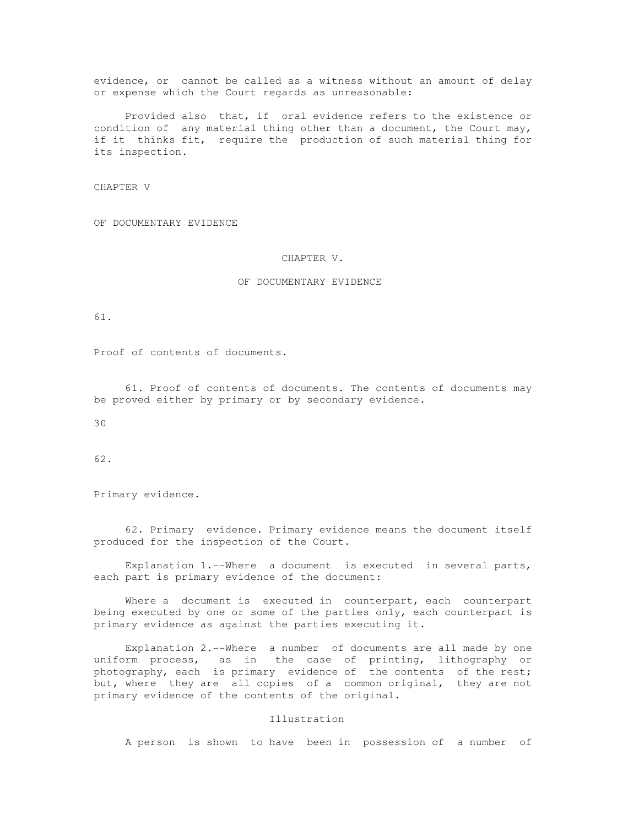evidence, or cannot be called as a witness without an amount of delay or expense which the Court regards as unreasonable:

 Provided also that, if oral evidence refers to the existence or condition of any material thing other than a document, the Court may, if it thinks fit, require the production of such material thing for its inspection.

CHAPTER V

OF DOCUMENTARY EVIDENCE

# CHAPTER V.

# OF DOCUMENTARY EVIDENCE

61.

Proof of contents of documents.

 61. Proof of contents of documents. The contents of documents may be proved either by primary or by secondary evidence.

30

62.

Primary evidence.

 62. Primary evidence. Primary evidence means the document itself produced for the inspection of the Court.

 Explanation 1.--Where a document is executed in several parts, each part is primary evidence of the document:

 Where a document is executed in counterpart, each counterpart being executed by one or some of the parties only, each counterpart is primary evidence as against the parties executing it.

 Explanation 2.--Where a number of documents are all made by one uniform process, as in the case of printing, lithography or photography, each is primary evidence of the contents of the rest; but, where they are all copies of a common original, they are not primary evidence of the contents of the original.

## Illustration

A person is shown to have been in possession of a number of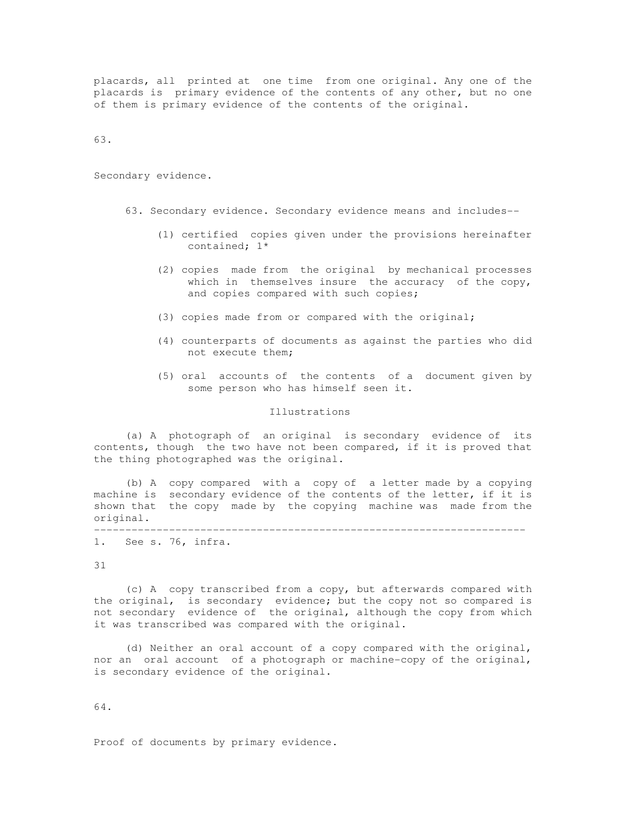placards, all printed at one time from one original. Any one of the placards is primary evidence of the contents of any other, but no one of them is primary evidence of the contents of the original.

63.

Secondary evidence.

- 63. Secondary evidence. Secondary evidence means and includes--
	- (1) certified copies given under the provisions hereinafter contained; 1\*
	- (2) copies made from the original by mechanical processes which in themselves insure the accuracy of the copy, and copies compared with such copies;
	- (3) copies made from or compared with the original;
	- (4) counterparts of documents as against the parties who did not execute them;
	- (5) oral accounts of the contents of a document given by some person who has himself seen it.

### Illustrations

 (a) A photograph of an original is secondary evidence of its contents, though the two have not been compared, if it is proved that the thing photographed was the original.

 (b) A copy compared with a copy of a letter made by a copying machine is secondary evidence of the contents of the letter, if it is shown that the copy made by the copying machine was made from the original. ---------------------------------------------------------------------

1. See s. 76, infra.

31

 (c) A copy transcribed from a copy, but afterwards compared with the original, is secondary evidence; but the copy not so compared is not secondary evidence of the original, although the copy from which it was transcribed was compared with the original.

 (d) Neither an oral account of a copy compared with the original, nor an oral account of a photograph or machine-copy of the original, is secondary evidence of the original.

64.

Proof of documents by primary evidence.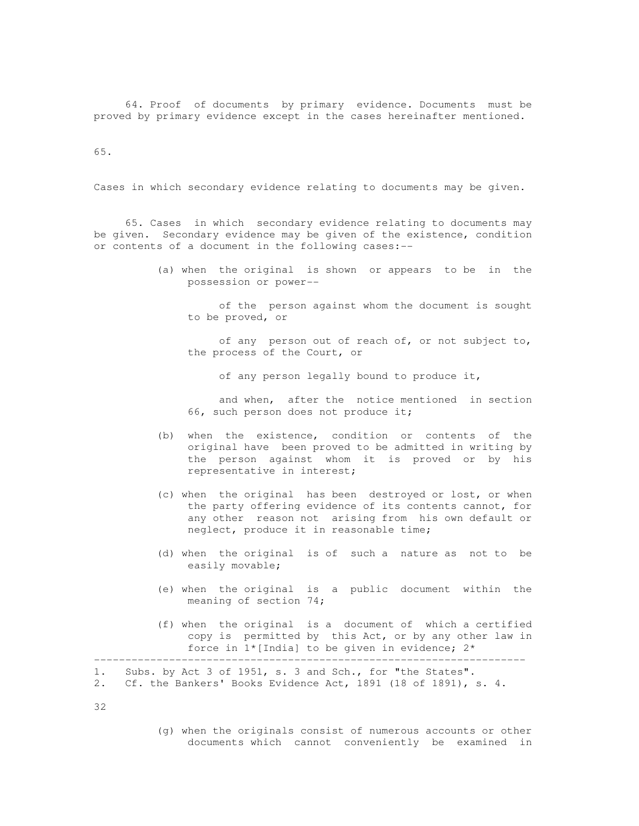64. Proof of documents by primary evidence. Documents must be proved by primary evidence except in the cases hereinafter mentioned.

65.

Cases in which secondary evidence relating to documents may be given.

 65. Cases in which secondary evidence relating to documents may be given. Secondary evidence may be given of the existence, condition or contents of a document in the following cases:--

> (a) when the original is shown or appears to be in the possession or power--

 of the person against whom the document is sought to be proved, or

 of any person out of reach of, or not subject to, the process of the Court, or

of any person legally bound to produce it,

 and when, after the notice mentioned in section 66, such person does not produce it;

- (b) when the existence, condition or contents of the original have been proved to be admitted in writing by the person against whom it is proved or by his representative in interest;
- (c) when the original has been destroyed or lost, or when the party offering evidence of its contents cannot, for any other reason not arising from his own default or neglect, produce it in reasonable time;
- (d) when the original is of such a nature as not to be easily movable;
- (e) when the original is a public document within the meaning of section 74;
- (f) when the original is a document of which a certified copy is permitted by this Act, or by any other law in force in  $1*$  [India] to be given in evidence;  $2*$

1. Subs. by Act 3 of 1951, s. 3 and Sch., for "the States".

2. Cf. the Bankers' Books Evidence Act, 1891 (18 of 1891), s. 4.

32

 (g) when the originals consist of numerous accounts or other documents which cannot conveniently be examined in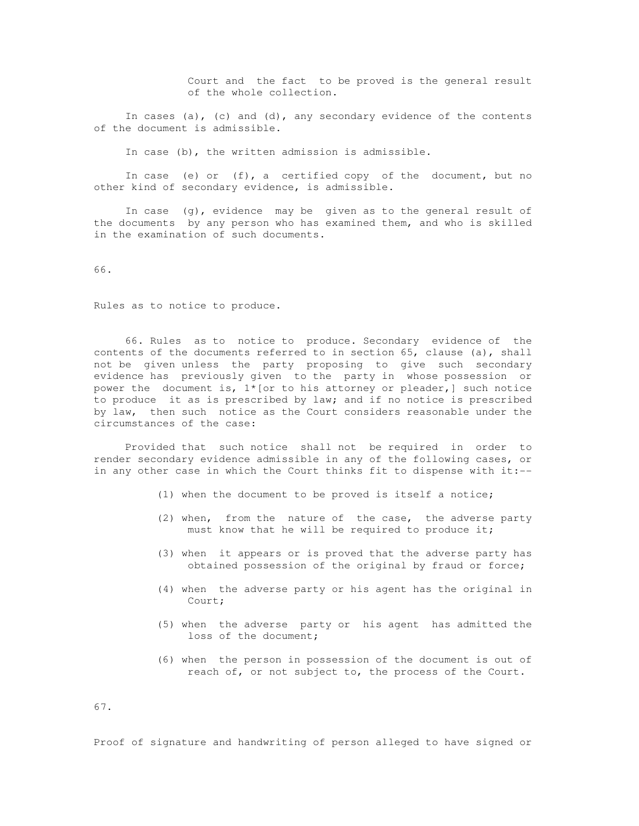Court and the fact to be proved is the general result of the whole collection.

In cases  $(a)$ ,  $(c)$  and  $(d)$ , any secondary evidence of the contents of the document is admissible.

In case (b), the written admission is admissible.

In case (e) or  $(f)$ , a certified copy of the document, but no other kind of secondary evidence, is admissible.

 In case (g), evidence may be given as to the general result of the documents by any person who has examined them, and who is skilled in the examination of such documents.

66.

Rules as to notice to produce.

 66. Rules as to notice to produce. Secondary evidence of the contents of the documents referred to in section 65, clause (a), shall not be given unless the party proposing to give such secondary evidence has previously given to the party in whose possession or power the document is,  $1*(\text{or to his attempt or pleader})$  such notice to produce it as is prescribed by law; and if no notice is prescribed by law, then such notice as the Court considers reasonable under the circumstances of the case:

 Provided that such notice shall not be required in order to render secondary evidence admissible in any of the following cases, or in any other case in which the Court thinks fit to dispense with it:--

- (1) when the document to be proved is itself a notice;
- (2) when, from the nature of the case, the adverse party must know that he will be required to produce it;
- (3) when it appears or is proved that the adverse party has obtained possession of the original by fraud or force;
- (4) when the adverse party or his agent has the original in Court;
- (5) when the adverse party or his agent has admitted the loss of the document;
- (6) when the person in possession of the document is out of reach of, or not subject to, the process of the Court.

67.

Proof of signature and handwriting of person alleged to have signed or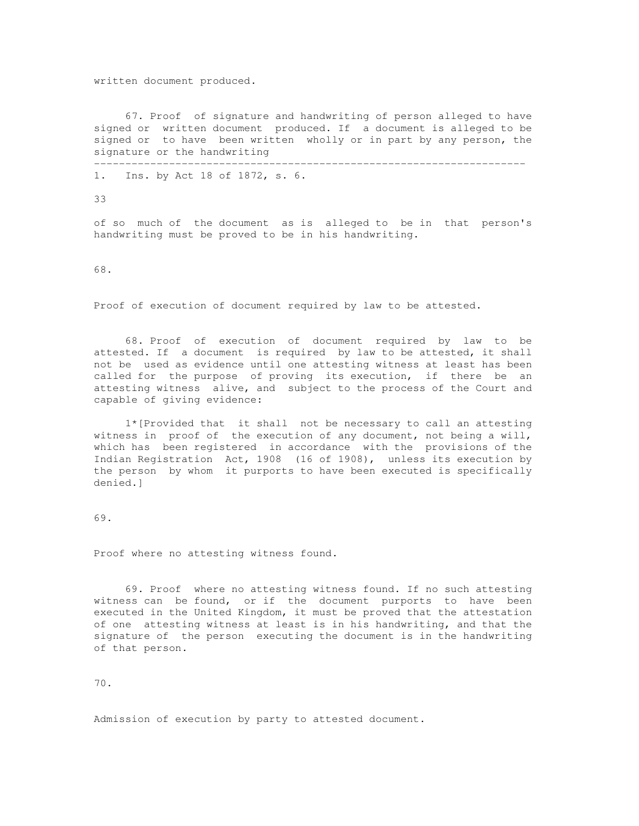written document produced.

 67. Proof of signature and handwriting of person alleged to have signed or written document produced. If a document is alleged to be signed or to have been written wholly or in part by any person, the signature or the handwriting ---------------------------------------------------------------------

1. Ins. by Act 18 of 1872, s. 6.

33

of so much of the document as is alleged to be in that person's handwriting must be proved to be in his handwriting.

68.

Proof of execution of document required by law to be attested.

 68. Proof of execution of document required by law to be attested. If a document is required by law to be attested, it shall not be used as evidence until one attesting witness at least has been called for the purpose of proving its execution, if there be an attesting witness alive, and subject to the process of the Court and capable of giving evidence:

 1\*[Provided that it shall not be necessary to call an attesting witness in proof of the execution of any document, not being a will, which has been registered in accordance with the provisions of the Indian Registration Act, 1908 (16 of 1908), unless its execution by the person by whom it purports to have been executed is specifically denied.]

69.

Proof where no attesting witness found.

 69. Proof where no attesting witness found. If no such attesting witness can be found, or if the document purports to have been executed in the United Kingdom, it must be proved that the attestation of one attesting witness at least is in his handwriting, and that the signature of the person executing the document is in the handwriting of that person.

70.

Admission of execution by party to attested document.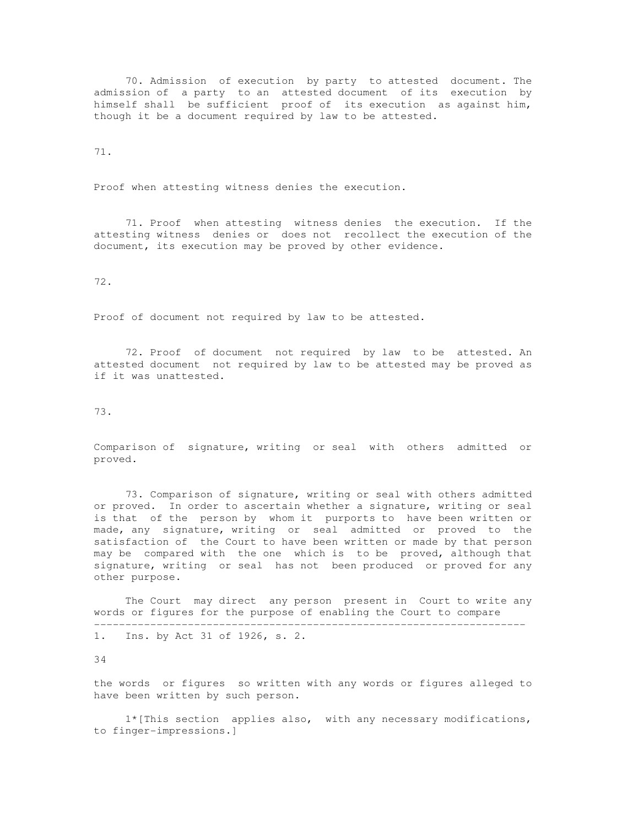70. Admission of execution by party to attested document. The admission of a party to an attested document of its execution by himself shall be sufficient proof of its execution as against him, though it be a document required by law to be attested.

### 71.

Proof when attesting witness denies the execution.

 71. Proof when attesting witness denies the execution. If the attesting witness denies or does not recollect the execution of the document, its execution may be proved by other evidence.

# 72.

Proof of document not required by law to be attested.

 72. Proof of document not required by law to be attested. An attested document not required by law to be attested may be proved as if it was unattested.

73.

Comparison of signature, writing or seal with others admitted or proved.

 73. Comparison of signature, writing or seal with others admitted or proved. In order to ascertain whether a signature, writing or seal is that of the person by whom it purports to have been written or made, any signature, writing or seal admitted or proved to the satisfaction of the Court to have been written or made by that person may be compared with the one which is to be proved, although that signature, writing or seal has not been produced or proved for any other purpose.

 The Court may direct any person present in Court to write any words or figures for the purpose of enabling the Court to compare ---------------------------------------------------------------------

1. Ins. by Act 31 of 1926, s. 2.

34

the words or figures so written with any words or figures alleged to have been written by such person.

 1\*[This section applies also, with any necessary modifications, to finger-impressions.]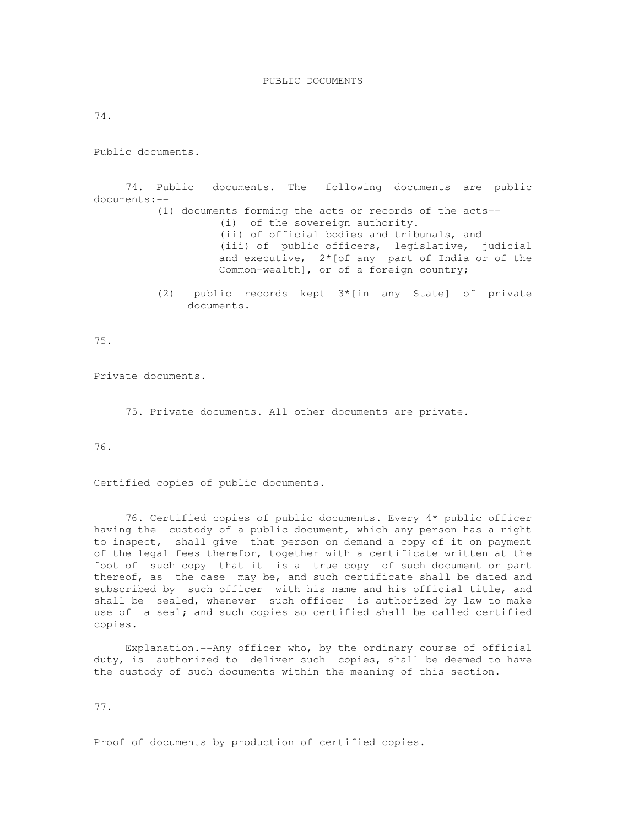74.

Public documents.

 74. Public documents. The following documents are public documents:-- (1) documents forming the acts or records of the acts-- (i) of the sovereign authority. (ii) of official bodies and tribunals, and (iii) of public officers, legislative, judicial and executive, 2\*[of any part of India or of the Common-wealth], or of a foreign country;

> (2) public records kept 3\*[in any State] of private documents.

75.

Private documents.

75. Private documents. All other documents are private.

76.

Certified copies of public documents.

 76. Certified copies of public documents. Every 4\* public officer having the custody of a public document, which any person has a right to inspect, shall give that person on demand a copy of it on payment of the legal fees therefor, together with a certificate written at the foot of such copy that it is a true copy of such document or part thereof, as the case may be, and such certificate shall be dated and subscribed by such officer with his name and his official title, and shall be sealed, whenever such officer is authorized by law to make use of a seal; and such copies so certified shall be called certified copies.

 Explanation.--Any officer who, by the ordinary course of official duty, is authorized to deliver such copies, shall be deemed to have the custody of such documents within the meaning of this section.

77.

Proof of documents by production of certified copies.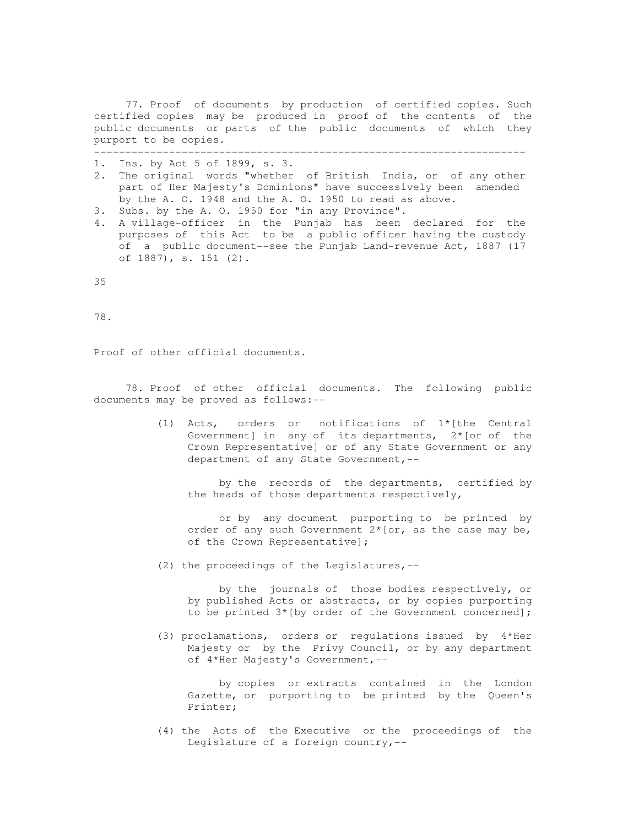77. Proof of documents by production of certified copies. Such certified copies may be produced in proof of the contents of the public documents or parts of the public documents of which they purport to be copies. ---------------------------------------------------------------------

1. Ins. by Act 5 of 1899, s. 3.

- 2. The original words "whether of British India, or of any other part of Her Majesty's Dominions" have successively been amended by the A. O. 1948 and the A. O. 1950 to read as above.
- 3. Subs. by the A. O. 1950 for "in any Province".
- 4. A village-officer in the Punjab has been declared for the purposes of this Act to be a public officer having the custody of a public document--see the Punjab Land-revenue Act, 1887 (17 of 1887), s. 151 (2).

35

78.

Proof of other official documents.

 78. Proof of other official documents. The following public documents may be proved as follows:--

> (1) Acts, orders or notifications of 1\*[the Central Government] in any of its departments, 2\* [or of the Crown Representative] or of any State Government or any department of any State Government,--

 by the records of the departments, certified by the heads of those departments respectively,

 or by any document purporting to be printed by order of any such Government 2\*[or, as the case may be, of the Crown Representative];

(2) the proceedings of the Legislatures,--

 by the journals of those bodies respectively, or by published Acts or abstracts, or by copies purporting to be printed 3\*[by order of the Government concerned];

 (3) proclamations, orders or regulations issued by 4\*Her Majesty or by the Privy Council, or by any department of 4\*Her Majesty's Government,--

 by copies or extracts contained in the London Gazette, or purporting to be printed by the Queen's Printer;

 (4) the Acts of the Executive or the proceedings of the Legislature of a foreign country,--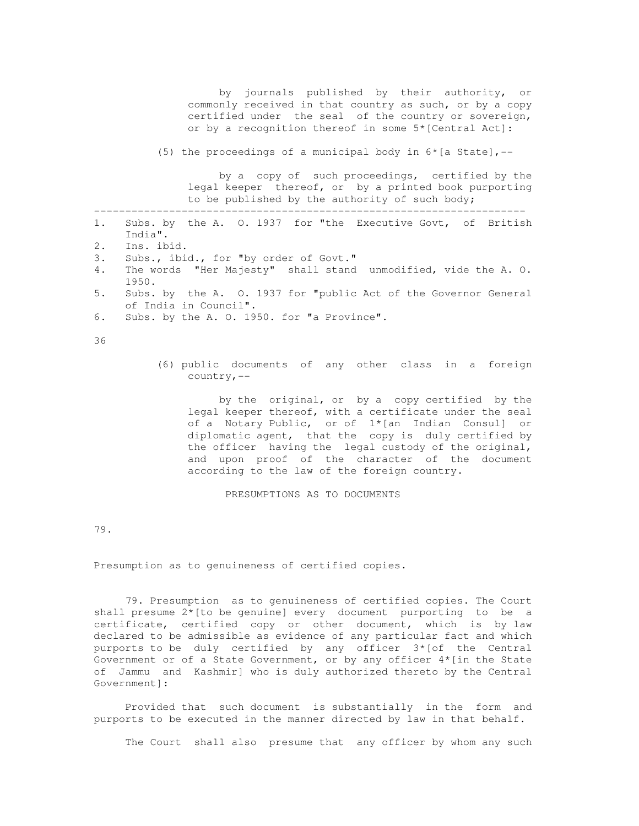by journals published by their authority, or commonly received in that country as such, or by a copy certified under the seal of the country or sovereign, or by a recognition thereof in some 5\*[Central Act]: (5) the proceedings of a municipal body in  $6*(a + b)$  - by a copy of such proceedings, certified by the legal keeper thereof, or by a printed book purporting to be published by the authority of such body; --------------------------------------------------------------------- 1. Subs. by the A. O. 1937 for "the Executive Govt, of British India". 2. Ins. ibid. 3. Subs., ibid., for "by order of Govt." 4. The words "Her Majesty" shall stand unmodified, vide the A. O. 1950. 5. Subs. by the A. O. 1937 for "public Act of the Governor General of India in Council". 6. Subs. by the A. O. 1950. for "a Province". 36 (6) public documents of any other class in a foreign country,- by the original, or by a copy certified by the legal keeper thereof, with a certificate under the seal of a Notary Public, or of 1\*[an Indian Consul] or diplomatic agent, that the copy is duly certified by the officer having the legal custody of the original, and upon proof of the character of the document according to the law of the foreign country. PRESUMPTIONS AS TO DOCUMENTS

79.

Presumption as to genuineness of certified copies.

 79. Presumption as to genuineness of certified copies. The Court shall presume 2\*[to be genuine] every document purporting to be a certificate, certified copy or other document, which is by law declared to be admissible as evidence of any particular fact and which purports to be duly certified by any officer  $3*($ of the Central Government or of a State Government, or by any officer 4\*[in the State of Jammu and Kashmir] who is duly authorized thereto by the Central Government]:

 Provided that such document is substantially in the form and purports to be executed in the manner directed by law in that behalf.

The Court shall also presume that any officer by whom any such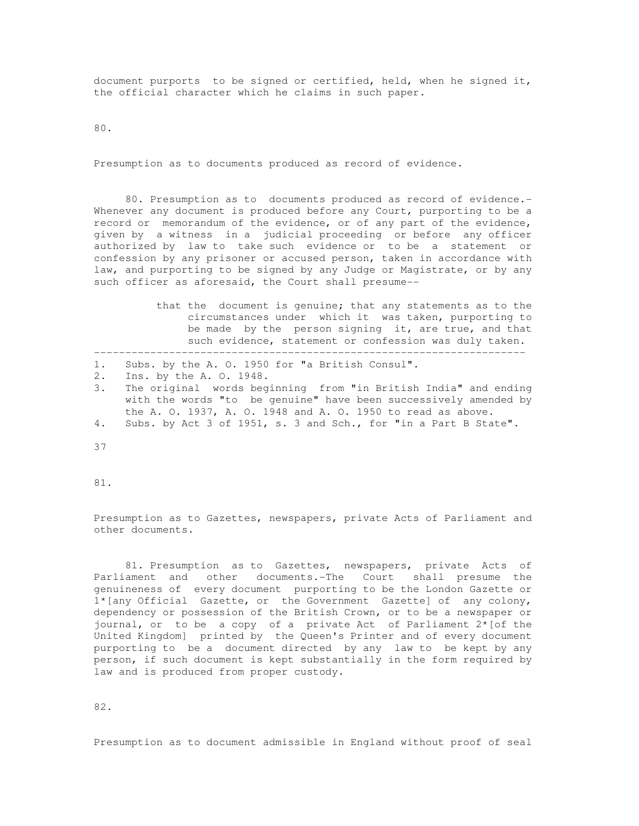document purports to be signed or certified, held, when he signed it, the official character which he claims in such paper.

80.

Presumption as to documents produced as record of evidence.

 80. Presumption as to documents produced as record of evidence.- Whenever any document is produced before any Court, purporting to be a record or memorandum of the evidence, or of any part of the evidence, given by a witness in a judicial proceeding or before any officer authorized by law to take such evidence or to be a statement or confession by any prisoner or accused person, taken in accordance with law, and purporting to be signed by any Judge or Magistrate, or by any such officer as aforesaid, the Court shall presume--

> that the document is genuine; that any statements as to the circumstances under which it was taken, purporting to be made by the person signing it, are true, and that such evidence, statement or confession was duly taken.

|  |  |  |  |  | 1. Subs. by the A. O. 1950 for "a British Consul". |
|--|--|--|--|--|----------------------------------------------------|

- 2. Ins. by the A. O. 1948.
- 3. The original words beginning from "in British India" and ending with the words "to be genuine" have been successively amended by the A. O. 1937, A. O. 1948 and A. O. 1950 to read as above. 4. Subs. by Act 3 of 1951, s. 3 and Sch., for "in a Part B State".

---------------------------------------------------------------------

37

81.

Presumption as to Gazettes, newspapers, private Acts of Parliament and other documents.

 81. Presumption as to Gazettes, newspapers, private Acts of Parliament and other documents.-The Court shall presume the genuineness of every document purporting to be the London Gazette or 1\*[any Official Gazette, or the Government Gazette] of any colony, dependency or possession of the British Crown, or to be a newspaper or journal, or to be a copy of a private Act of Parliament 2\*[of the United Kingdom] printed by the Queen's Printer and of every document purporting to be a document directed by any law to be kept by any person, if such document is kept substantially in the form required by law and is produced from proper custody.

82.

Presumption as to document admissible in England without proof of seal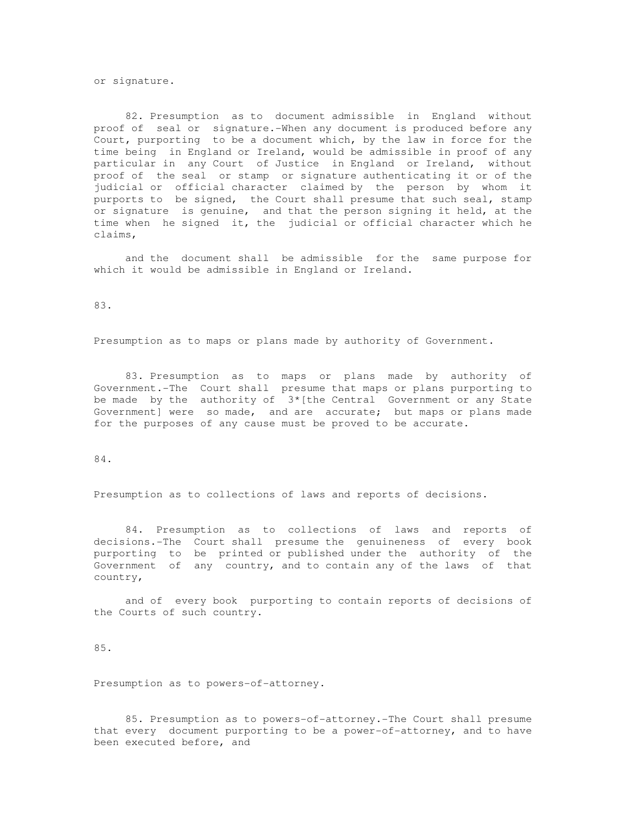or signature.

 82. Presumption as to document admissible in England without proof of seal or signature.-When any document is produced before any Court, purporting to be a document which, by the law in force for the time being in England or Ireland, would be admissible in proof of any particular in any Court of Justice in England or Ireland, without proof of the seal or stamp or signature authenticating it or of the judicial or official character claimed by the person by whom it purports to be signed, the Court shall presume that such seal, stamp or signature is genuine, and that the person signing it held, at the time when he signed it, the judicial or official character which he claims,

 and the document shall be admissible for the same purpose for which it would be admissible in England or Ireland.

83.

Presumption as to maps or plans made by authority of Government.

 83. Presumption as to maps or plans made by authority of Government.-The Court shall presume that maps or plans purporting to be made by the authority of  $3*($  the Central Government or any State Government] were so made, and are accurate; but maps or plans made for the purposes of any cause must be proved to be accurate.

84.

Presumption as to collections of laws and reports of decisions.

 84. Presumption as to collections of laws and reports of decisions.-The Court shall presume the genuineness of every book purporting to be printed or published under the authority of the Government of any country, and to contain any of the laws of that country,

 and of every book purporting to contain reports of decisions of the Courts of such country.

85.

Presumption as to powers-of-attorney.

 85. Presumption as to powers-of-attorney.-The Court shall presume that every document purporting to be a power-of-attorney, and to have been executed before, and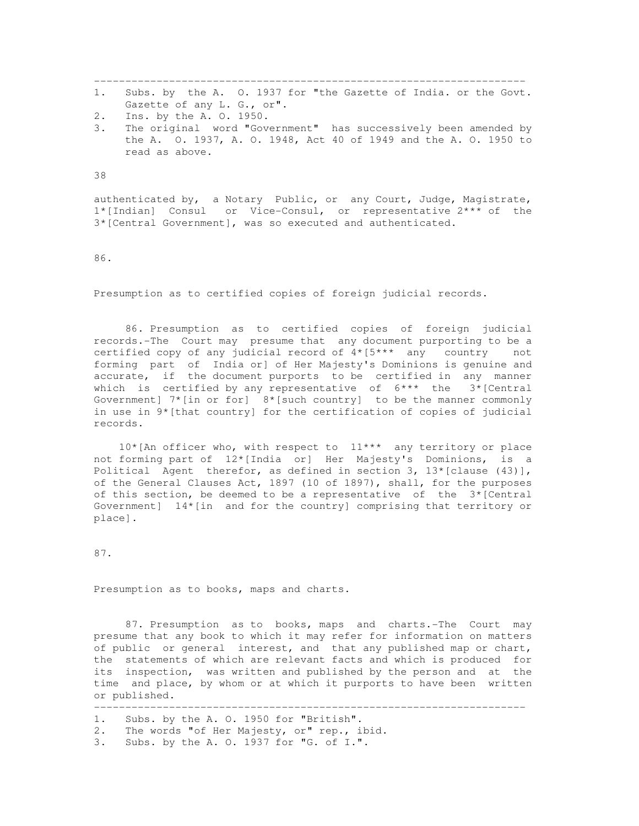--------------------------------------------------------------------- 1. Subs. by the A. O. 1937 for "the Gazette of India. or the Govt.

- Gazette of any L. G., or".
- 2. Ins. by the A. O. 1950.
- 3. The original word "Government" has successively been amended by the A. O. 1937, A. O. 1948, Act 40 of 1949 and the A. O. 1950 to read as above.

38

authenticated by, a Notary Public, or any Court, Judge, Magistrate, 1\*[Indian] Consul or Vice-Consul, or representative 2\*\*\* of the 3\*[Central Government], was so executed and authenticated.

86.

Presumption as to certified copies of foreign judicial records.

 86. Presumption as to certified copies of foreign judicial records.-The Court may presume that any document purporting to be a certified copy of any judicial record of 4\*[5\*\*\* any country not forming part of India or] of Her Majesty's Dominions is genuine and accurate, if the document purports to be certified in any manner which is certified by any representative of  $6***$  the  $3*[Central]$ Government]  $7*(\text{in or for}]$   $8*(\text{such country})$  to be the manner commonly in use in 9\*[that country] for the certification of copies of judicial records.

 10\*[An officer who, with respect to 11\*\*\* any territory or place not forming part of 12\*[India or] Her Majesty's Dominions, is a Political Agent therefor, as defined in section 3,  $13*$  [clause (43)], of the General Clauses Act, 1897 (10 of 1897), shall, for the purposes of this section, be deemed to be a representative of the  $3*$ [Central Government]  $14*[in]$  and for the country] comprising that territory or place].

87.

Presumption as to books, maps and charts.

 87. Presumption as to books, maps and charts.-The Court may presume that any book to which it may refer for information on matters of public or general interest, and that any published map or chart, the statements of which are relevant facts and which is produced for its inspection, was written and published by the person and at the time and place, by whom or at which it purports to have been written or published.

- --------------------------------------------------------------------- 1. Subs. by the A. O. 1950 for "British".
- 2. The words "of Her Majesty, or" rep., ibid.
- 3. Subs. by the A. O. 1937 for "G. of I.".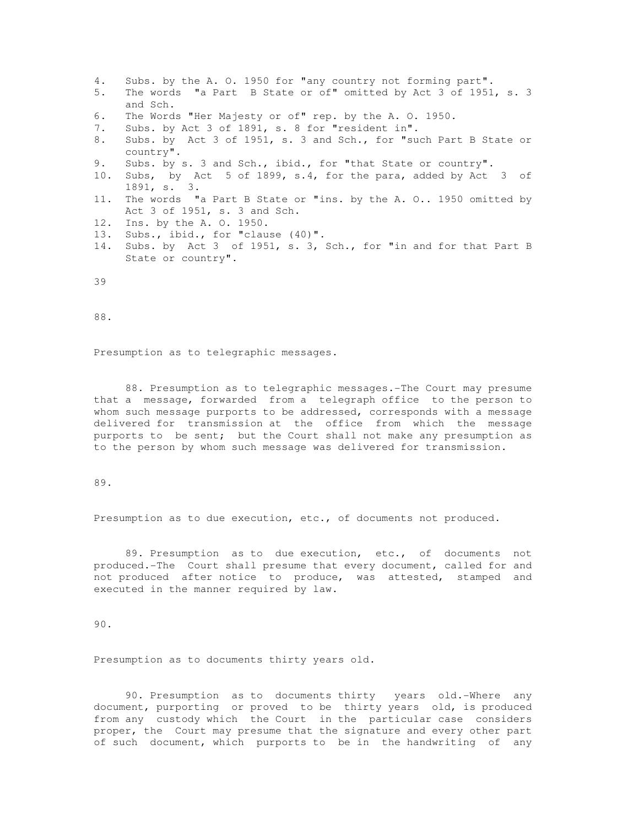- 4. Subs. by the A. O. 1950 for "any country not forming part". 5. The words "a Part B State or of" omitted by Act 3 of 1951, s. 3 and Sch.
- 6. The Words "Her Majesty or of" rep. by the A. O. 1950.
- 7. Subs. by Act 3 of 1891, s. 8 for "resident in".
- 8. Subs. by Act 3 of 1951, s. 3 and Sch., for "such Part B State or country".
- 9. Subs. by s. 3 and Sch., ibid., for "that State or country".
- 10. Subs, by Act 5 of 1899, s.4, for the para, added by Act 3 of 1891, s. 3.
- 11. The words "a Part B State or "ins. by the A. O.. 1950 omitted by Act 3 of 1951, s. 3 and Sch.
- 12. Ins. by the A. O. 1950.
- 13. Subs., ibid., for "clause (40)".
- 14. Subs. by Act 3 of 1951, s. 3, Sch., for "in and for that Part B State or country".

39

88.

Presumption as to telegraphic messages.

 88. Presumption as to telegraphic messages.-The Court may presume that a message, forwarded from a telegraph office to the person to whom such message purports to be addressed, corresponds with a message delivered for transmission at the office from which the message purports to be sent; but the Court shall not make any presumption as to the person by whom such message was delivered for transmission.

89.

Presumption as to due execution, etc., of documents not produced.

 89. Presumption as to due execution, etc., of documents not produced.-The Court shall presume that every document, called for and not produced after notice to produce, was attested, stamped and executed in the manner required by law.

90.

Presumption as to documents thirty years old.

 90. Presumption as to documents thirty years old.-Where any document, purporting or proved to be thirty years old, is produced from any custody which the Court in the particular case considers proper, the Court may presume that the signature and every other part of such document, which purports to be in the handwriting of any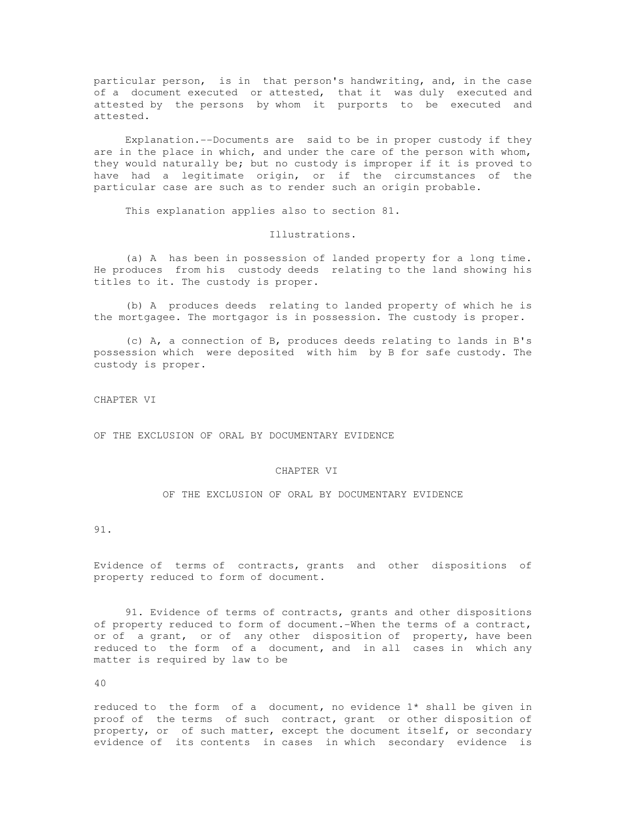particular person, is in that person's handwriting, and, in the case of a document executed or attested, that it was duly executed and attested by the persons by whom it purports to be executed and attested.

 Explanation.--Documents are said to be in proper custody if they are in the place in which, and under the care of the person with whom, they would naturally be; but no custody is improper if it is proved to have had a legitimate origin, or if the circumstances of the particular case are such as to render such an origin probable.

This explanation applies also to section 81.

Illustrations.

 (a) A has been in possession of landed property for a long time. He produces from his custody deeds relating to the land showing his titles to it. The custody is proper.

 (b) A produces deeds relating to landed property of which he is the mortgagee. The mortgagor is in possession. The custody is proper.

 (c) A, a connection of B, produces deeds relating to lands in B's possession which were deposited with him by B for safe custody. The custody is proper.

CHAPTER VI

OF THE EXCLUSION OF ORAL BY DOCUMENTARY EVIDENCE

## CHAPTER VI

OF THE EXCLUSION OF ORAL BY DOCUMENTARY EVIDENCE

# 91.

Evidence of terms of contracts, grants and other dispositions of property reduced to form of document.

 91. Evidence of terms of contracts, grants and other dispositions of property reduced to form of document.-When the terms of a contract, or of a grant, or of any other disposition of property, have been reduced to the form of a document, and in all cases in which any matter is required by law to be

40

reduced to the form of a document, no evidence 1\* shall be given in proof of the terms of such contract, grant or other disposition of property, or of such matter, except the document itself, or secondary evidence of its contents in cases in which secondary evidence is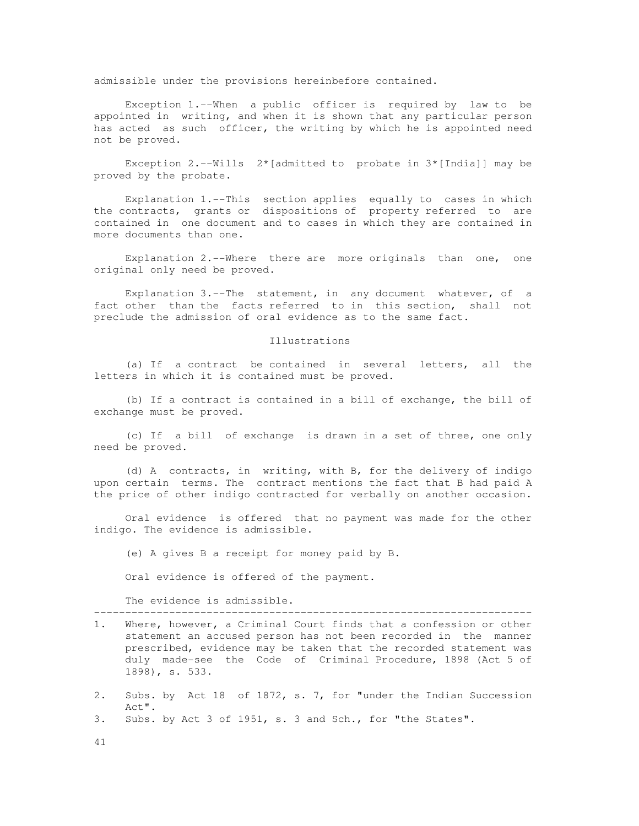admissible under the provisions hereinbefore contained.

 Exception 1.--When a public officer is required by law to be appointed in writing, and when it is shown that any particular person has acted as such officer, the writing by which he is appointed need not be proved.

Exception 2.--Wills  $2^*[{\text{admitted to}}]$  probate in  $3*[{\text{India}}]$  may be proved by the probate.

 Explanation 1.--This section applies equally to cases in which the contracts, grants or dispositions of property referred to are contained in one document and to cases in which they are contained in more documents than one.

 Explanation 2.--Where there are more originals than one, one original only need be proved.

 Explanation 3.--The statement, in any document whatever, of a fact other than the facts referred to in this section, shall not preclude the admission of oral evidence as to the same fact.

#### Illustrations

 (a) If a contract be contained in several letters, all the letters in which it is contained must be proved.

 (b) If a contract is contained in a bill of exchange, the bill of exchange must be proved.

 (c) If a bill of exchange is drawn in a set of three, one only need be proved.

 (d) A contracts, in writing, with B, for the delivery of indigo upon certain terms. The contract mentions the fact that B had paid A the price of other indigo contracted for verbally on another occasion.

 Oral evidence is offered that no payment was made for the other indigo. The evidence is admissible.

(e) A gives B a receipt for money paid by B.

Oral evidence is offered of the payment.

The evidence is admissible.

1. Where, however, a Criminal Court finds that a confession or other statement an accused person has not been recorded in the manner prescribed, evidence may be taken that the recorded statement was duly made-see the Code of Criminal Procedure, 1898 (Act 5 of 1898), s. 533.

----------------------------------------------------------------------

- 2. Subs. by Act 18 of 1872, s. 7, for "under the Indian Succession Act".
- 3. Subs. by Act 3 of 1951, s. 3 and Sch., for "the States".
- 41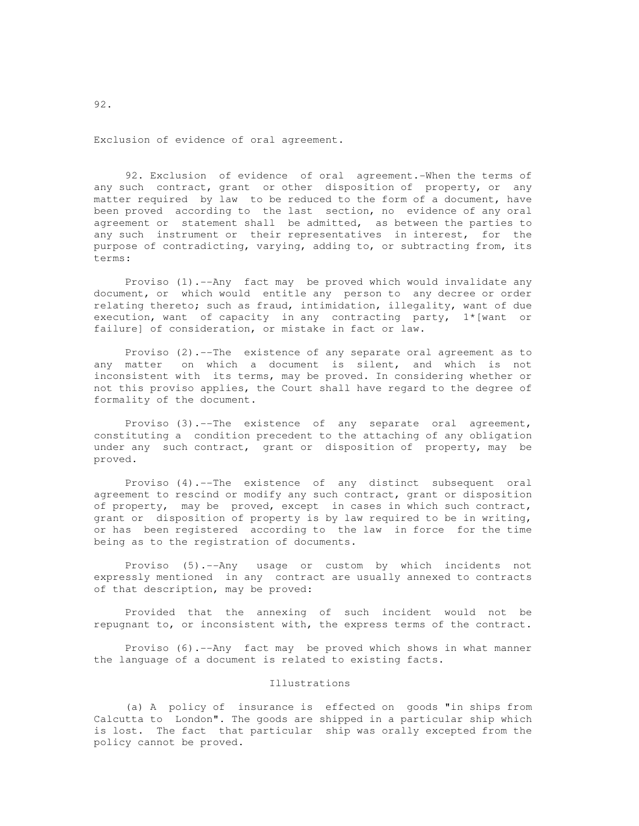Exclusion of evidence of oral agreement.

 92. Exclusion of evidence of oral agreement.-When the terms of any such contract, grant or other disposition of property, or any matter required by law to be reduced to the form of a document, have been proved according to the last section, no evidence of any oral agreement or statement shall be admitted, as between the parties to any such instrument or their representatives in interest, for the purpose of contradicting, varying, adding to, or subtracting from, its terms:

 Proviso (1).--Any fact may be proved which would invalidate any document, or which would entitle any person to any decree or order relating thereto; such as fraud, intimidation, illegality, want of due execution, want of capacity in any contracting party, 1\*[want or failure] of consideration, or mistake in fact or law.

 Proviso (2).--The existence of any separate oral agreement as to any matter on which a document is silent, and which is not inconsistent with its terms, may be proved. In considering whether or not this proviso applies, the Court shall have regard to the degree of formality of the document.

 Proviso (3).--The existence of any separate oral agreement, constituting a condition precedent to the attaching of any obligation under any such contract, grant or disposition of property, may be proved.

 Proviso (4).--The existence of any distinct subsequent oral agreement to rescind or modify any such contract, grant or disposition of property, may be proved, except in cases in which such contract, grant or disposition of property is by law required to be in writing, or has been registered according to the law in force for the time being as to the registration of documents.

 Proviso (5).--Any usage or custom by which incidents not expressly mentioned in any contract are usually annexed to contracts of that description, may be proved:

 Provided that the annexing of such incident would not be repugnant to, or inconsistent with, the express terms of the contract.

 Proviso (6).--Any fact may be proved which shows in what manner the language of a document is related to existing facts.

# Illustrations

 (a) A policy of insurance is effected on goods "in ships from Calcutta to London". The goods are shipped in a particular ship which is lost. The fact that particular ship was orally excepted from the policy cannot be proved.

92.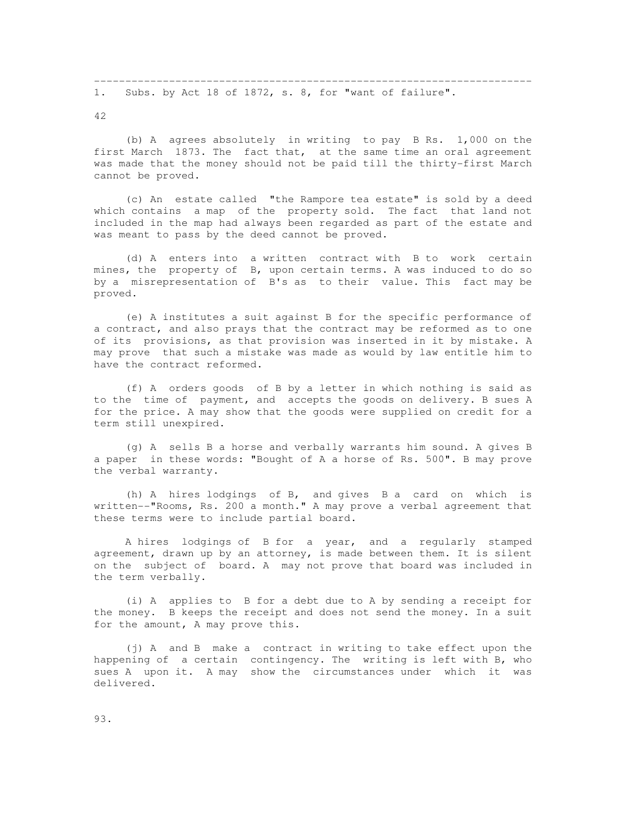42

 (b) A agrees absolutely in writing to pay B Rs. 1,000 on the first March 1873. The fact that, at the same time an oral agreement was made that the money should not be paid till the thirty-first March cannot be proved.

 (c) An estate called "the Rampore tea estate" is sold by a deed which contains a map of the property sold. The fact that land not included in the map had always been regarded as part of the estate and was meant to pass by the deed cannot be proved.

 (d) A enters into a written contract with B to work certain mines, the property of B, upon certain terms. A was induced to do so by a misrepresentation of B's as to their value. This fact may be proved.

 (e) A institutes a suit against B for the specific performance of a contract, and also prays that the contract may be reformed as to one of its provisions, as that provision was inserted in it by mistake. A may prove that such a mistake was made as would by law entitle him to have the contract reformed.

 (f) A orders goods of B by a letter in which nothing is said as to the time of payment, and accepts the goods on delivery. B sues A for the price. A may show that the goods were supplied on credit for a term still unexpired.

 (g) A sells B a horse and verbally warrants him sound. A gives B a paper in these words: "Bought of A a horse of Rs. 500". B may prove the verbal warranty.

 (h) A hires lodgings of B, and gives B a card on which is written--"Rooms, Rs. 200 a month." A may prove a verbal agreement that these terms were to include partial board.

 A hires lodgings of B for a year, and a regularly stamped agreement, drawn up by an attorney, is made between them. It is silent on the subject of board. A may not prove that board was included in the term verbally.

 (i) A applies to B for a debt due to A by sending a receipt for the money. B keeps the receipt and does not send the money. In a suit for the amount, A may prove this.

 (j) A and B make a contract in writing to take effect upon the happening of a certain contingency. The writing is left with B, who sues A upon it. A may show the circumstances under which it was delivered.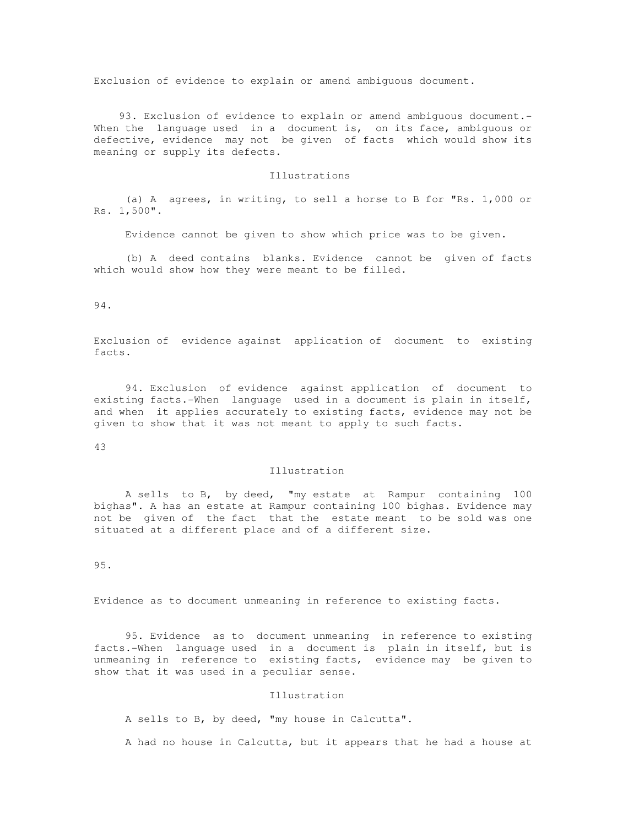Exclusion of evidence to explain or amend ambiguous document.

 93. Exclusion of evidence to explain or amend ambiguous document.- When the language used in a document is, on its face, ambiguous or defective, evidence may not be given of facts which would show its meaning or supply its defects.

## Illustrations

 (a) A agrees, in writing, to sell a horse to B for "Rs. 1,000 or Rs. 1,500".

Evidence cannot be given to show which price was to be given.

 (b) A deed contains blanks. Evidence cannot be given of facts which would show how they were meant to be filled.

94.

Exclusion of evidence against application of document to existing facts.

 94. Exclusion of evidence against application of document to existing facts.-When language used in a document is plain in itself, and when it applies accurately to existing facts, evidence may not be given to show that it was not meant to apply to such facts.

43

### Illustration

 A sells to B, by deed, "my estate at Rampur containing 100 bighas". A has an estate at Rampur containing 100 bighas. Evidence may not be given of the fact that the estate meant to be sold was one situated at a different place and of a different size.

95.

Evidence as to document unmeaning in reference to existing facts.

 95. Evidence as to document unmeaning in reference to existing facts.-When language used in a document is plain in itself, but is unmeaning in reference to existing facts, evidence may be given to show that it was used in a peculiar sense.

#### Illustration

A sells to B, by deed, "my house in Calcutta".

A had no house in Calcutta, but it appears that he had a house at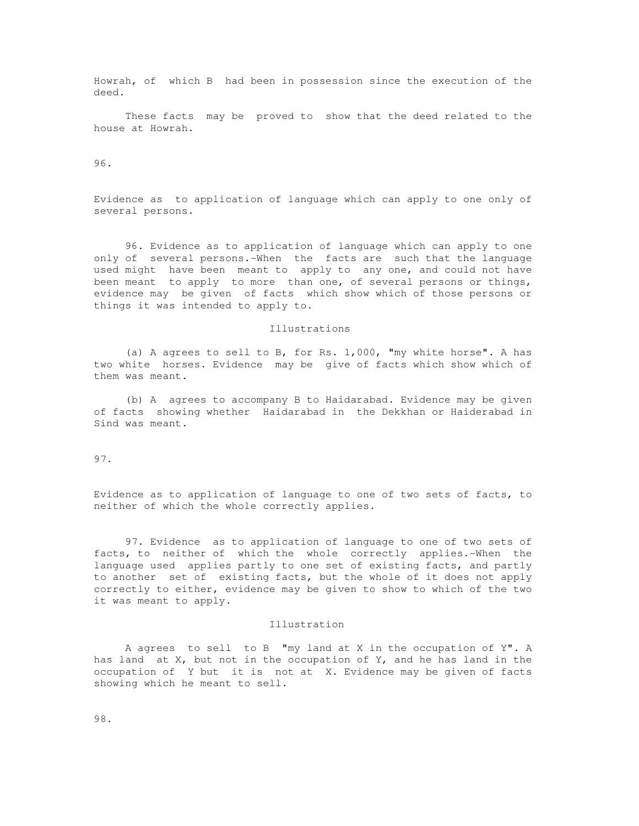Howrah, of which B had been in possession since the execution of the deed.

 These facts may be proved to show that the deed related to the house at Howrah.

96.

Evidence as to application of language which can apply to one only of several persons.

 96. Evidence as to application of language which can apply to one only of several persons.-When the facts are such that the language used might have been meant to apply to any one, and could not have been meant to apply to more than one, of several persons or things, evidence may be given of facts which show which of those persons or things it was intended to apply to.

## Illustrations

 (a) A agrees to sell to B, for Rs. 1,000, "my white horse". A has two white horses. Evidence may be give of facts which show which of them was meant.

 (b) A agrees to accompany B to Haidarabad. Evidence may be given of facts showing whether Haidarabad in the Dekkhan or Haiderabad in Sind was meant.

97.

Evidence as to application of language to one of two sets of facts, to neither of which the whole correctly applies.

 97. Evidence as to application of language to one of two sets of facts, to neither of which the whole correctly applies.-When the language used applies partly to one set of existing facts, and partly to another set of existing facts, but the whole of it does not apply correctly to either, evidence may be given to show to which of the two it was meant to apply.

### Illustration

 A agrees to sell to B "my land at X in the occupation of Y". A has land at  $X$ , but not in the occupation of  $Y$ , and he has land in the occupation of Y but it is not at X. Evidence may be given of facts showing which he meant to sell.

98.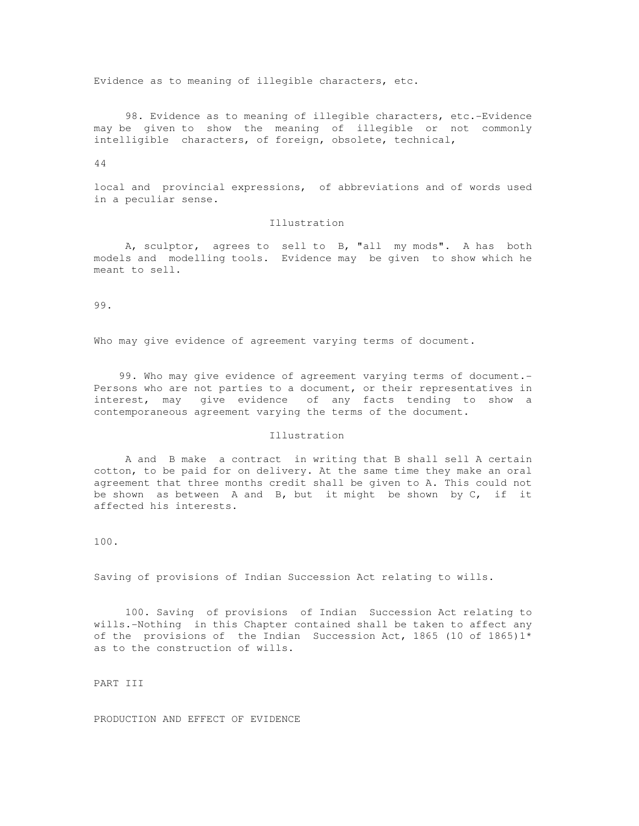Evidence as to meaning of illegible characters, etc.

 98. Evidence as to meaning of illegible characters, etc.-Evidence may be given to show the meaning of illegible or not commonly intelligible characters, of foreign, obsolete, technical,

44

local and provincial expressions, of abbreviations and of words used in a peculiar sense.

## Illustration

 A, sculptor, agrees to sell to B, "all my mods". A has both models and modelling tools. Evidence may be given to show which he meant to sell.

99.

Who may give evidence of agreement varying terms of document.

 99. Who may give evidence of agreement varying terms of document.- Persons who are not parties to a document, or their representatives in interest, may give evidence of any facts tending to show a contemporaneous agreement varying the terms of the document.

### Illustration

 A and B make a contract in writing that B shall sell A certain cotton, to be paid for on delivery. At the same time they make an oral agreement that three months credit shall be given to A. This could not be shown as between A and B, but it might be shown by C, if it affected his interests.

100.

Saving of provisions of Indian Succession Act relating to wills.

 100. Saving of provisions of Indian Succession Act relating to wills.-Nothing in this Chapter contained shall be taken to affect any of the provisions of the Indian Succession Act, 1865 (10 of 1865) $1*$ as to the construction of wills.

PART III

PRODUCTION AND EFFECT OF EVIDENCE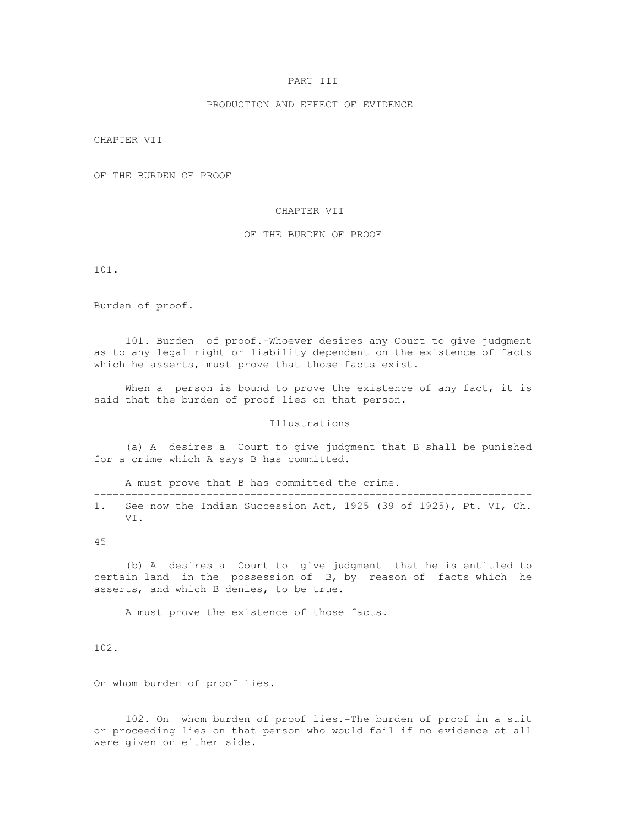# PART III

### PRODUCTION AND EFFECT OF EVIDENCE

CHAPTER VII

OF THE BURDEN OF PROOF

### CHAPTER VII

# OF THE BURDEN OF PROOF

101.

Burden of proof.

 101. Burden of proof.-Whoever desires any Court to give judgment as to any legal right or liability dependent on the existence of facts which he asserts, must prove that those facts exist.

When a person is bound to prove the existence of any fact, it is said that the burden of proof lies on that person.

Illustrations

 (a) A desires a Court to give judgment that B shall be punished for a crime which A says B has committed.

A must prove that B has committed the crime.

---------------------------------------------------------------------- 1. See now the Indian Succession Act, 1925 (39 of 1925), Pt. VI, Ch. VI.

45

 (b) A desires a Court to give judgment that he is entitled to certain land in the possession of B, by reason of facts which he asserts, and which B denies, to be true.

A must prove the existence of those facts.

102.

On whom burden of proof lies.

 102. On whom burden of proof lies.-The burden of proof in a suit or proceeding lies on that person who would fail if no evidence at all were given on either side.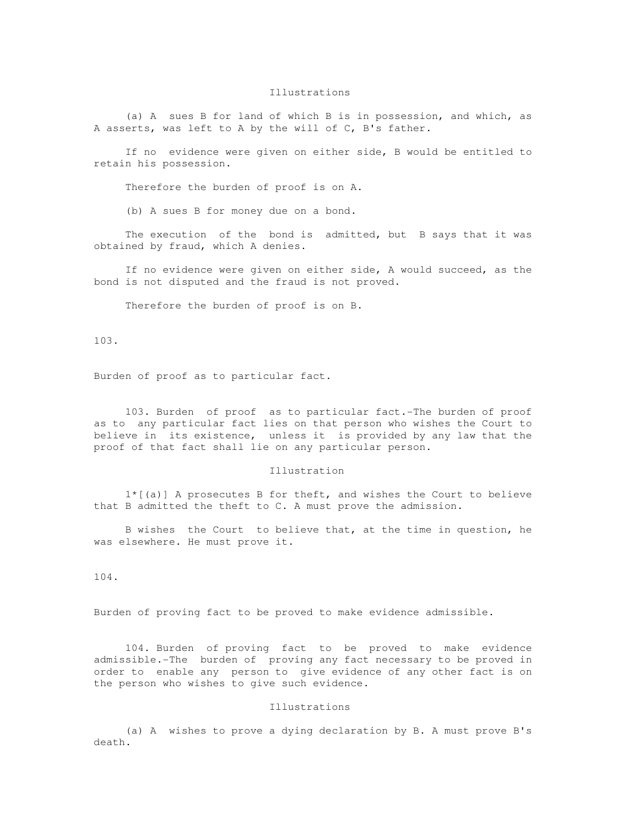### Illustrations

 (a) A sues B for land of which B is in possession, and which, as A asserts, was left to A by the will of C, B's father.

 If no evidence were given on either side, B would be entitled to retain his possession.

Therefore the burden of proof is on A.

(b) A sues B for money due on a bond.

 The execution of the bond is admitted, but B says that it was obtained by fraud, which A denies.

 If no evidence were given on either side, A would succeed, as the bond is not disputed and the fraud is not proved.

Therefore the burden of proof is on B.

103.

Burden of proof as to particular fact.

 103. Burden of proof as to particular fact.-The burden of proof as to any particular fact lies on that person who wishes the Court to believe in its existence, unless it is provided by any law that the proof of that fact shall lie on any particular person.

## Illustration

 1\*[(a)] A prosecutes B for theft, and wishes the Court to believe that B admitted the theft to C. A must prove the admission.

 B wishes the Court to believe that, at the time in question, he was elsewhere. He must prove it.

104.

Burden of proving fact to be proved to make evidence admissible.

 104. Burden of proving fact to be proved to make evidence admissible.-The burden of proving any fact necessary to be proved in order to enable any person to give evidence of any other fact is on the person who wishes to give such evidence.

### Illustrations

 (a) A wishes to prove a dying declaration by B. A must prove B's death.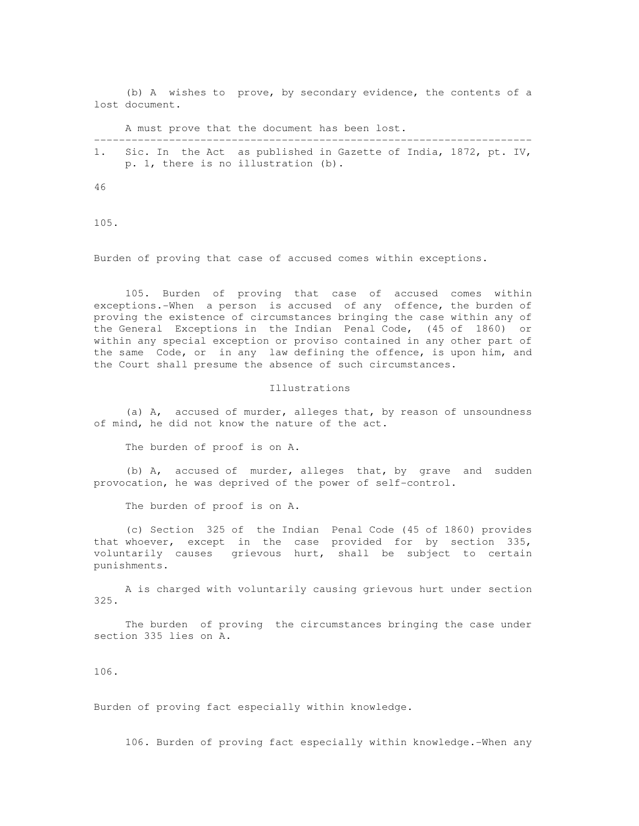(b) A wishes to prove, by secondary evidence, the contents of a lost document.

A must prove that the document has been lost.

---------------------------------------------------------------------- 1. Sic. In the Act as published in Gazette of India, 1872, pt. IV, p. 1, there is no illustration (b).

46

105.

Burden of proving that case of accused comes within exceptions.

 105. Burden of proving that case of accused comes within exceptions.-When a person is accused of any offence, the burden of proving the existence of circumstances bringing the case within any of the General Exceptions in the Indian Penal Code, (45 of 1860) or within any special exception or proviso contained in any other part of the same Code, or in any law defining the offence, is upon him, and the Court shall presume the absence of such circumstances.

#### Illustrations

 (a) A, accused of murder, alleges that, by reason of unsoundness of mind, he did not know the nature of the act.

The burden of proof is on A.

 (b) A, accused of murder, alleges that, by grave and sudden provocation, he was deprived of the power of self-control.

The burden of proof is on A.

 (c) Section 325 of the Indian Penal Code (45 of 1860) provides that whoever, except in the case provided for by section 335, voluntarily causes grievous hurt, shall be subject to certain punishments.

 A is charged with voluntarily causing grievous hurt under section 325.

 The burden of proving the circumstances bringing the case under section 335 lies on A.

106.

Burden of proving fact especially within knowledge.

106. Burden of proving fact especially within knowledge.-When any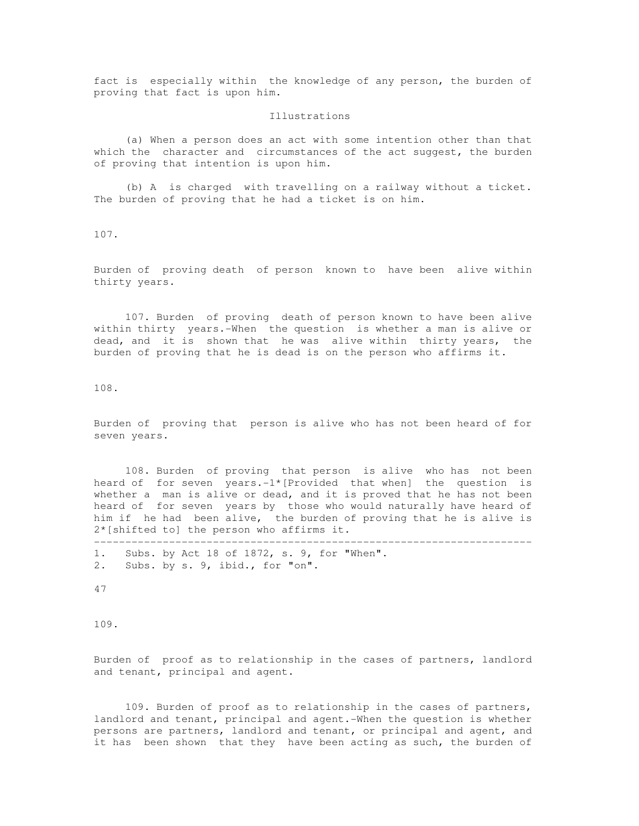fact is especially within the knowledge of any person, the burden of proving that fact is upon him.

#### Illustrations

 (a) When a person does an act with some intention other than that which the character and circumstances of the act suggest, the burden of proving that intention is upon him.

 (b) A is charged with travelling on a railway without a ticket. The burden of proving that he had a ticket is on him.

107.

Burden of proving death of person known to have been alive within thirty years.

 107. Burden of proving death of person known to have been alive within thirty years.-When the question is whether a man is alive or dead, and it is shown that he was alive within thirty years, the burden of proving that he is dead is on the person who affirms it.

108.

Burden of proving that person is alive who has not been heard of for seven years.

 108. Burden of proving that person is alive who has not been heard of for seven years.-1\*[Provided that when] the question is whether a man is alive or dead, and it is proved that he has not been heard of for seven years by those who would naturally have heard of him if he had been alive, the burden of proving that he is alive is 2\*[shifted to] the person who affirms it.

----------------------------------------------------------------------

1. Subs. by Act 18 of 1872, s. 9, for "When". 2. Subs. by s. 9, ibid., for "on".

47

109.

Burden of proof as to relationship in the cases of partners, landlord and tenant, principal and agent.

 109. Burden of proof as to relationship in the cases of partners, landlord and tenant, principal and agent.-When the question is whether persons are partners, landlord and tenant, or principal and agent, and it has been shown that they have been acting as such, the burden of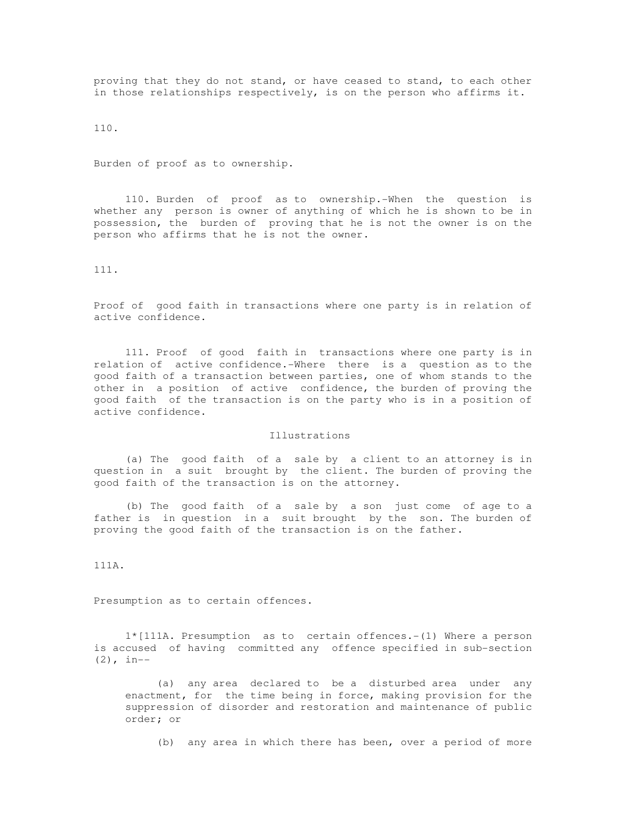proving that they do not stand, or have ceased to stand, to each other in those relationships respectively, is on the person who affirms it.

110.

Burden of proof as to ownership.

 110. Burden of proof as to ownership.-When the question is whether any person is owner of anything of which he is shown to be in possession, the burden of proving that he is not the owner is on the person who affirms that he is not the owner.

111.

Proof of good faith in transactions where one party is in relation of active confidence.

 111. Proof of good faith in transactions where one party is in relation of active confidence.-Where there is a question as to the good faith of a transaction between parties, one of whom stands to the other in a position of active confidence, the burden of proving the good faith of the transaction is on the party who is in a position of active confidence.

Illustrations

 (a) The good faith of a sale by a client to an attorney is in question in a suit brought by the client. The burden of proving the good faith of the transaction is on the attorney.

 (b) The good faith of a sale by a son just come of age to a father is in question in a suit brought by the son. The burden of proving the good faith of the transaction is on the father.

111A.

Presumption as to certain offences.

 1\*[111A. Presumption as to certain offences.-(1) Where a person is accused of having committed any offence specified in sub-section  $(2)$ , in--

 (a) any area declared to be a disturbed area under any enactment, for the time being in force, making provision for the suppression of disorder and restoration and maintenance of public order; or

(b) any area in which there has been, over a period of more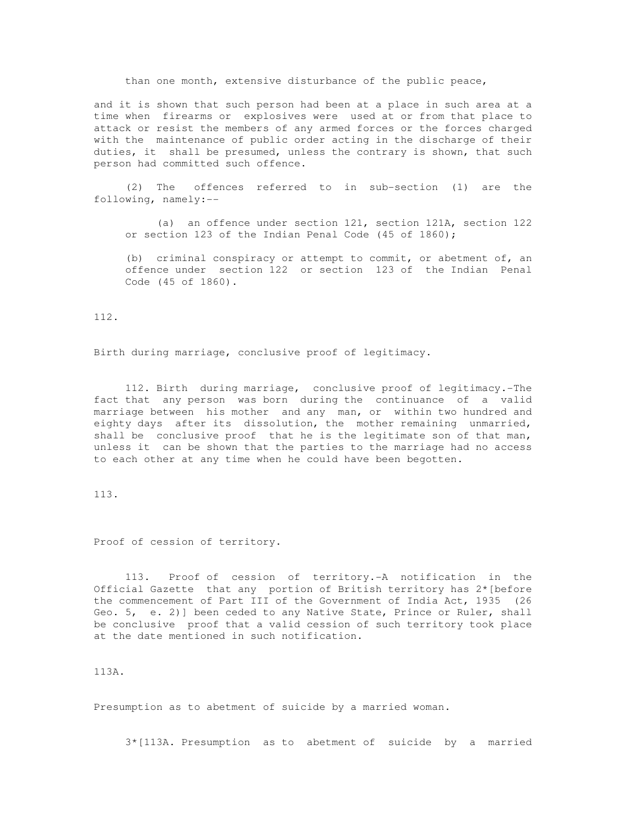than one month, extensive disturbance of the public peace,

and it is shown that such person had been at a place in such area at a time when firearms or explosives were used at or from that place to attack or resist the members of any armed forces or the forces charged with the maintenance of public order acting in the discharge of their duties, it shall be presumed, unless the contrary is shown, that such person had committed such offence.

 (2) The offences referred to in sub-section (1) are the following, namely:--

 (a) an offence under section 121, section 121A, section 122 or section 123 of the Indian Penal Code (45 of 1860);

 (b) criminal conspiracy or attempt to commit, or abetment of, an offence under section 122 or section 123 of the Indian Penal Code (45 of 1860).

112.

Birth during marriage, conclusive proof of legitimacy.

 112. Birth during marriage, conclusive proof of legitimacy.-The fact that any person was born during the continuance of a valid marriage between his mother and any man, or within two hundred and eighty days after its dissolution, the mother remaining unmarried, shall be conclusive proof that he is the legitimate son of that man, unless it can be shown that the parties to the marriage had no access to each other at any time when he could have been begotten.

113.

Proof of cession of territory.

 113. Proof of cession of territory.-A notification in the Official Gazette that any portion of British territory has 2\*[before the commencement of Part III of the Government of India Act, 1935 (26 Geo. 5, e. 2)] been ceded to any Native State, Prince or Ruler, shall be conclusive proof that a valid cession of such territory took place at the date mentioned in such notification.

113A.

Presumption as to abetment of suicide by a married woman.

3\*[113A. Presumption as to abetment of suicide by a married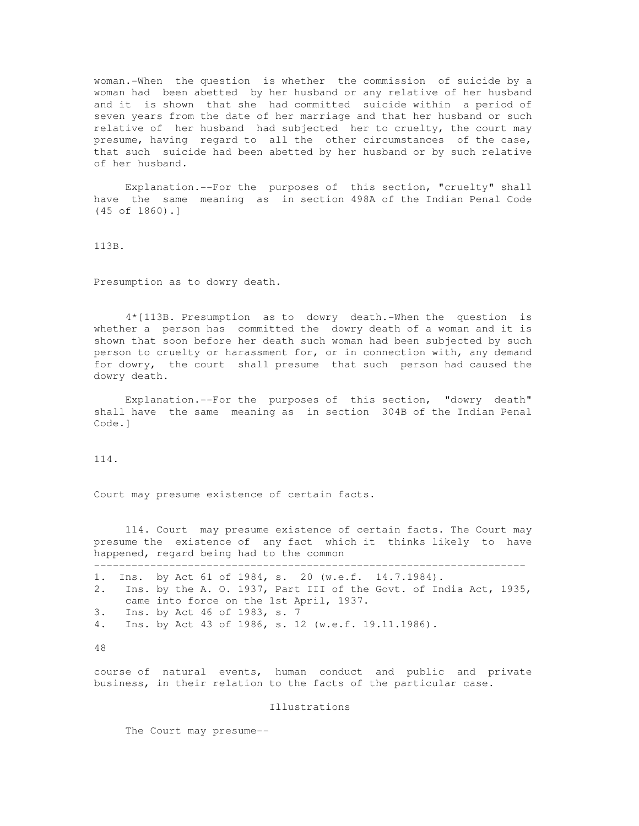woman.-When the question is whether the commission of suicide by a woman had been abetted by her husband or any relative of her husband and it is shown that she had committed suicide within a period of seven years from the date of her marriage and that her husband or such relative of her husband had subjected her to cruelty, the court may presume, having regard to all the other circumstances of the case, that such suicide had been abetted by her husband or by such relative of her husband.

 Explanation.--For the purposes of this section, "cruelty" shall have the same meaning as in section 498A of the Indian Penal Code (45 of 1860).]

113B.

Presumption as to dowry death.

 4\*[113B. Presumption as to dowry death.-When the question is whether a person has committed the dowry death of a woman and it is shown that soon before her death such woman had been subjected by such person to cruelty or harassment for, or in connection with, any demand for dowry, the court shall presume that such person had caused the dowry death.

 Explanation.--For the purposes of this section, "dowry death" shall have the same meaning as in section 304B of the Indian Penal Code.]

114.

Court may presume existence of certain facts.

 114. Court may presume existence of certain facts. The Court may presume the existence of any fact which it thinks likely to have happened, regard being had to the common ---------------------------------------------------------------------

1. Ins. by Act 61 of 1984, s. 20 (w.e.f. 14.7.1984). 2. Ins. by the A. O. 1937, Part III of the Govt. of India Act, 1935, came into force on the 1st April, 1937. 3. Ins. by Act 46 of 1983, s. 7 4. Ins. by Act 43 of 1986, s. 12 (w.e.f. 19.11.1986).

48

course of natural events, human conduct and public and private business, in their relation to the facts of the particular case.

Illustrations

The Court may presume--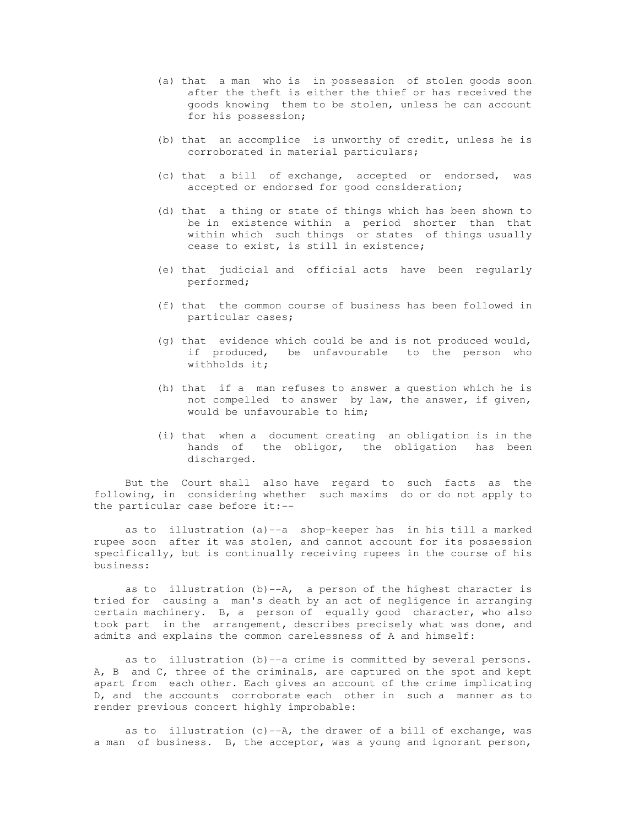- (a) that a man who is in possession of stolen goods soon after the theft is either the thief or has received the goods knowing them to be stolen, unless he can account for his possession;
- (b) that an accomplice is unworthy of credit, unless he is corroborated in material particulars;
- (c) that a bill of exchange, accepted or endorsed, was accepted or endorsed for good consideration;
- (d) that a thing or state of things which has been shown to be in existence within a period shorter than that within which such things or states of things usually cease to exist, is still in existence;
- (e) that judicial and official acts have been regularly performed;
- (f) that the common course of business has been followed in particular cases;
- (g) that evidence which could be and is not produced would, if produced, be unfavourable to the person who withholds it;
- (h) that if a man refuses to answer a question which he is not compelled to answer by law, the answer, if given, would be unfavourable to him;
- (i) that when a document creating an obligation is in the hands of the obligor, the obligation has been discharged.

 But the Court shall also have regard to such facts as the following, in considering whether such maxims do or do not apply to the particular case before it:--

 as to illustration (a)--a shop-keeper has in his till a marked rupee soon after it was stolen, and cannot account for its possession specifically, but is continually receiving rupees in the course of his business:

as to illustration  $(b)$ --A, a person of the highest character is tried for causing a man's death by an act of negligence in arranging certain machinery. B, a person of equally good character, who also took part in the arrangement, describes precisely what was done, and admits and explains the common carelessness of A and himself:

 as to illustration (b)--a crime is committed by several persons. A, B and C, three of the criminals, are captured on the spot and kept apart from each other. Each gives an account of the crime implicating D, and the accounts corroborate each other in such a manner as to render previous concert highly improbable:

as to illustration  $(c)$  --A, the drawer of a bill of exchange, was a man of business. B, the acceptor, was a young and ignorant person,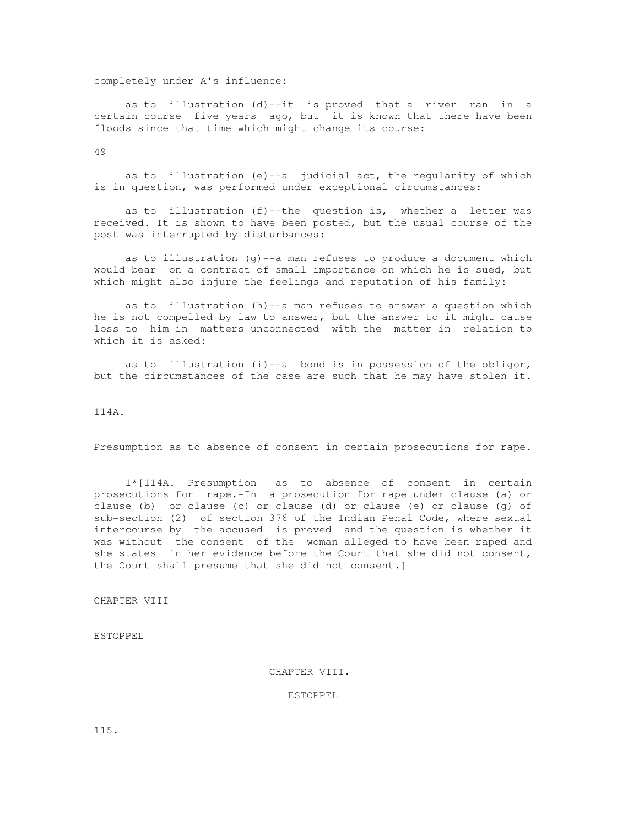## completely under A's influence:

 as to illustration (d)--it is proved that a river ran in a certain course five years ago, but it is known that there have been floods since that time which might change its course:

49

as to illustration (e) -- a judicial act, the regularity of which is in question, was performed under exceptional circumstances:

as to illustration  $(f)$ -the question is, whether a letter was received. It is shown to have been posted, but the usual course of the post was interrupted by disturbances:

 as to illustration (g)--a man refuses to produce a document which would bear on a contract of small importance on which he is sued, but which might also injure the feelings and reputation of his family:

 as to illustration (h)--a man refuses to answer a question which he is not compelled by law to answer, but the answer to it might cause loss to him in matters unconnected with the matter in relation to which it is asked:

as to illustration  $(i)$  --a bond is in possession of the obligor, but the circumstances of the case are such that he may have stolen it.

114A.

Presumption as to absence of consent in certain prosecutions for rape.

 1\*[114A. Presumption as to absence of consent in certain prosecutions for rape.-In a prosecution for rape under clause (a) or clause (b) or clause (c) or clause (d) or clause (e) or clause (g) of sub-section (2) of section 376 of the Indian Penal Code, where sexual intercourse by the accused is proved and the question is whether it was without the consent of the woman alleged to have been raped and she states in her evidence before the Court that she did not consent, the Court shall presume that she did not consent.]

CHAPTER VIII

ESTOPPEL

CHAPTER VIII.

ESTOPPEL

115.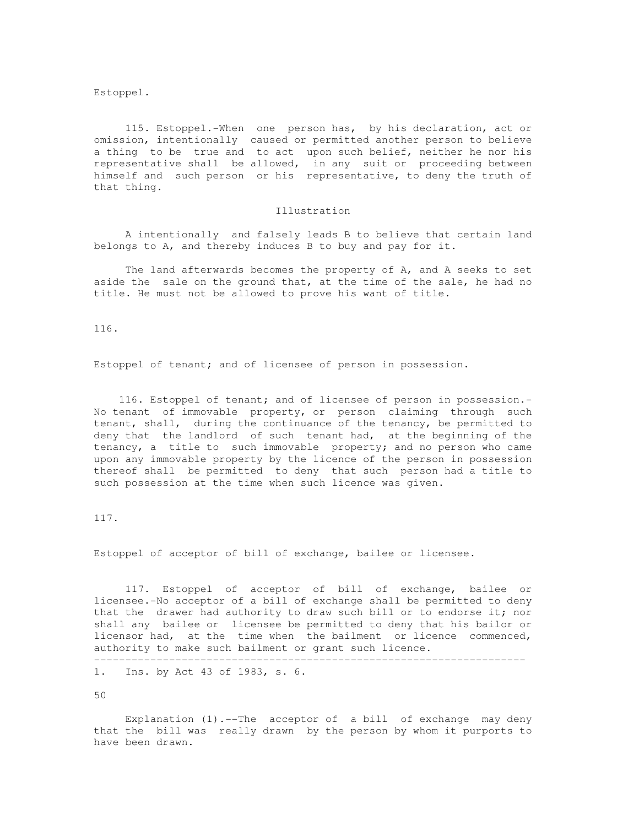Estoppel.

 115. Estoppel.-When one person has, by his declaration, act or omission, intentionally caused or permitted another person to believe a thing to be true and to act upon such belief, neither he nor his representative shall be allowed, in any suit or proceeding between himself and such person or his representative, to deny the truth of that thing.

# Illustration

 A intentionally and falsely leads B to believe that certain land belongs to A, and thereby induces B to buy and pay for it.

 The land afterwards becomes the property of A, and A seeks to set aside the sale on the ground that, at the time of the sale, he had no title. He must not be allowed to prove his want of title.

116.

Estoppel of tenant; and of licensee of person in possession.

 116. Estoppel of tenant; and of licensee of person in possession.- No tenant of immovable property, or person claiming through such tenant, shall, during the continuance of the tenancy, be permitted to deny that the landlord of such tenant had, at the beginning of the tenancy, a title to such immovable property; and no person who came upon any immovable property by the licence of the person in possession thereof shall be permitted to deny that such person had a title to such possession at the time when such licence was given.

117.

Estoppel of acceptor of bill of exchange, bailee or licensee.

 117. Estoppel of acceptor of bill of exchange, bailee or licensee.-No acceptor of a bill of exchange shall be permitted to deny that the drawer had authority to draw such bill or to endorse it; nor shall any bailee or licensee be permitted to deny that his bailor or licensor had, at the time when the bailment or licence commenced, authority to make such bailment or grant such licence.

---------------------------------------------------------------------

1. Ins. by Act 43 of 1983, s. 6.

50

 Explanation (1).--The acceptor of a bill of exchange may deny that the bill was really drawn by the person by whom it purports to have been drawn.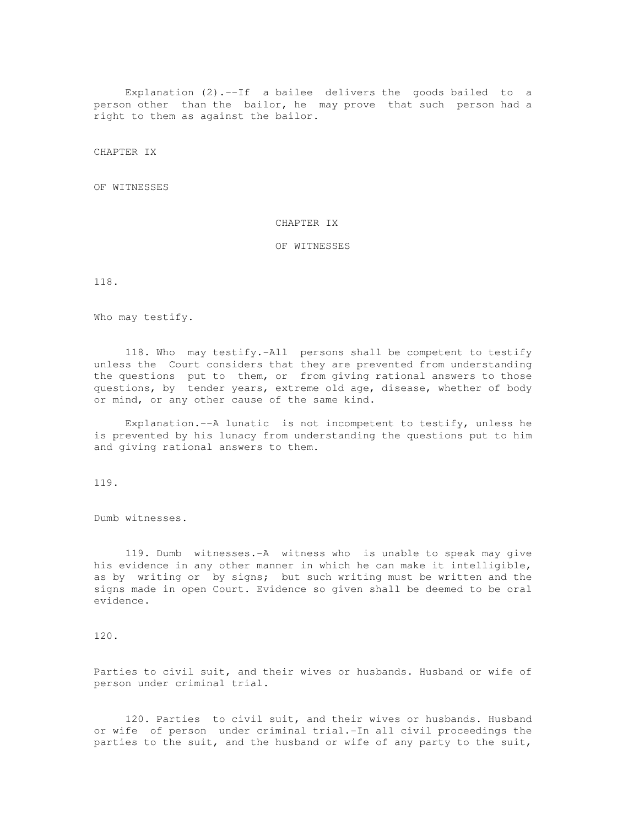Explanation (2).--If a bailee delivers the goods bailed to a person other than the bailor, he may prove that such person had a right to them as against the bailor.

CHAPTER IX

OF WITNESSES

### CHAPTER IX

## OF WITNESSES

118.

Who may testify.

 118. Who may testify.-All persons shall be competent to testify unless the Court considers that they are prevented from understanding the questions put to them, or from giving rational answers to those questions, by tender years, extreme old age, disease, whether of body or mind, or any other cause of the same kind.

 Explanation.--A lunatic is not incompetent to testify, unless he is prevented by his lunacy from understanding the questions put to him and giving rational answers to them.

119.

Dumb witnesses.

 119. Dumb witnesses.-A witness who is unable to speak may give his evidence in any other manner in which he can make it intelligible, as by writing or by signs; but such writing must be written and the signs made in open Court. Evidence so given shall be deemed to be oral evidence.

120.

Parties to civil suit, and their wives or husbands. Husband or wife of person under criminal trial.

 120. Parties to civil suit, and their wives or husbands. Husband or wife of person under criminal trial.-In all civil proceedings the parties to the suit, and the husband or wife of any party to the suit,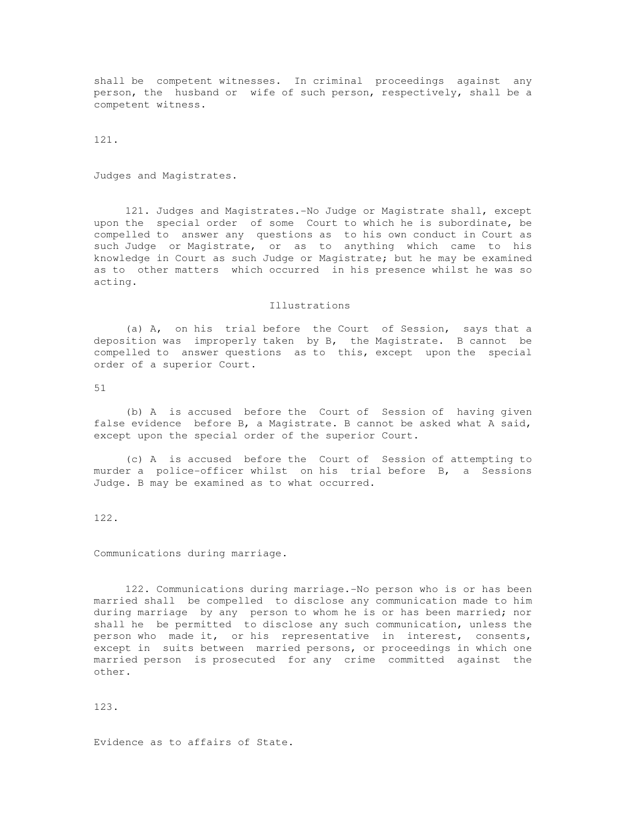shall be competent witnesses. In criminal proceedings against any person, the husband or wife of such person, respectively, shall be a competent witness.

121.

Judges and Magistrates.

 121. Judges and Magistrates.-No Judge or Magistrate shall, except upon the special order of some Court to which he is subordinate, be compelled to answer any questions as to his own conduct in Court as such Judge or Magistrate, or as to anything which came to his knowledge in Court as such Judge or Magistrate; but he may be examined as to other matters which occurred in his presence whilst he was so acting.

### Illustrations

 (a) A, on his trial before the Court of Session, says that a deposition was improperly taken by B, the Magistrate. B cannot be compelled to answer questions as to this, except upon the special order of a superior Court.

51

 (b) A is accused before the Court of Session of having given false evidence before B, a Magistrate. B cannot be asked what A said, except upon the special order of the superior Court.

 (c) A is accused before the Court of Session of attempting to murder a police-officer whilst on his trial before B, a Sessions Judge. B may be examined as to what occurred.

122.

Communications during marriage.

 122. Communications during marriage.-No person who is or has been married shall be compelled to disclose any communication made to him during marriage by any person to whom he is or has been married; nor shall he be permitted to disclose any such communication, unless the person who made it, or his representative in interest, consents, except in suits between married persons, or proceedings in which one married person is prosecuted for any crime committed against the other.

123.

Evidence as to affairs of State.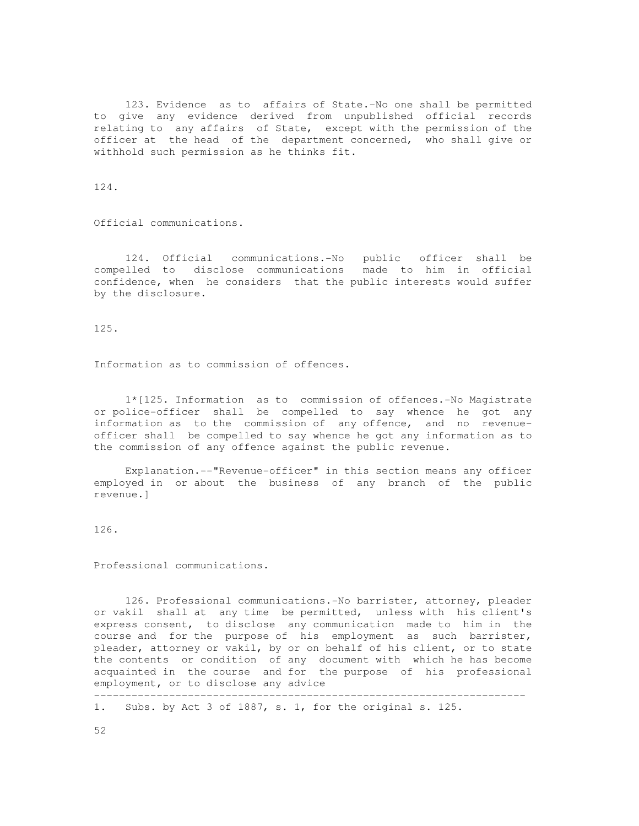123. Evidence as to affairs of State.-No one shall be permitted to give any evidence derived from unpublished official records relating to any affairs of State, except with the permission of the officer at the head of the department concerned, who shall give or withhold such permission as he thinks fit.

124.

Official communications.

 124. Official communications.-No public officer shall be compelled to disclose communications made to him in official confidence, when he considers that the public interests would suffer by the disclosure.

125.

Information as to commission of offences.

 1\*[125. Information as to commission of offences.-No Magistrate or police-officer shall be compelled to say whence he got any information as to the commission of any offence, and no revenueofficer shall be compelled to say whence he got any information as to the commission of any offence against the public revenue.

 Explanation.--"Revenue-officer" in this section means any officer employed in or about the business of any branch of the public revenue.]

126.

Professional communications.

 126. Professional communications.-No barrister, attorney, pleader or vakil shall at any time be permitted, unless with his client's express consent, to disclose any communication made to him in the course and for the purpose of his employment as such barrister, pleader, attorney or vakil, by or on behalf of his client, or to state the contents or condition of any document with which he has become acquainted in the course and for the purpose of his professional employment, or to disclose any advice

---------------------------------------------------------------------

1. Subs. by Act 3 of 1887, s. 1, for the original s. 125.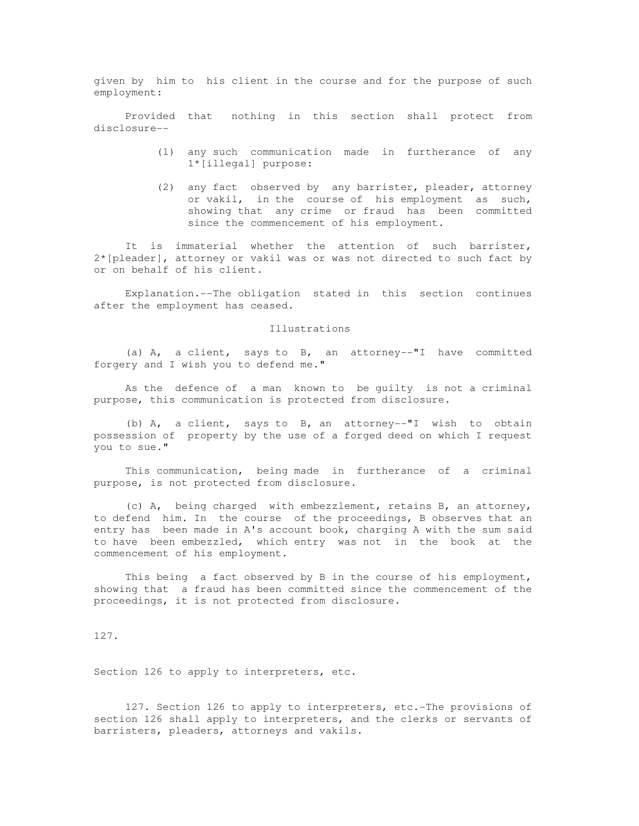given by him to his client in the course and for the purpose of such employment:

 Provided that nothing in this section shall protect from disclosure--

- (1) any such communication made in furtherance of any 1\*[illegal] purpose:
- (2) any fact observed by any barrister, pleader, attorney or vakil, in the course of his employment as such, showing that any crime or fraud has been committed since the commencement of his employment.

 It is immaterial whether the attention of such barrister, 2\*[pleader], attorney or vakil was or was not directed to such fact by or on behalf of his client.

 Explanation.--The obligation stated in this section continues after the employment has ceased.

### Illustrations

 (a) A, a client, says to B, an attorney--"I have committed forgery and I wish you to defend me."

 As the defence of a man known to be guilty is not a criminal purpose, this communication is protected from disclosure.

 (b) A, a client, says to B, an attorney--"I wish to obtain possession of property by the use of a forged deed on which I request you to sue."

 This communication, being made in furtherance of a criminal purpose, is not protected from disclosure.

 (c) A, being charged with embezzlement, retains B, an attorney, to defend him. In the course of the proceedings, B observes that an entry has been made in A's account book, charging A with the sum said to have been embezzled, which entry was not in the book at the commencement of his employment.

This being a fact observed by B in the course of his employment, showing that a fraud has been committed since the commencement of the proceedings, it is not protected from disclosure.

127.

Section 126 to apply to interpreters, etc.

 127. Section 126 to apply to interpreters, etc.-The provisions of section 126 shall apply to interpreters, and the clerks or servants of barristers, pleaders, attorneys and vakils.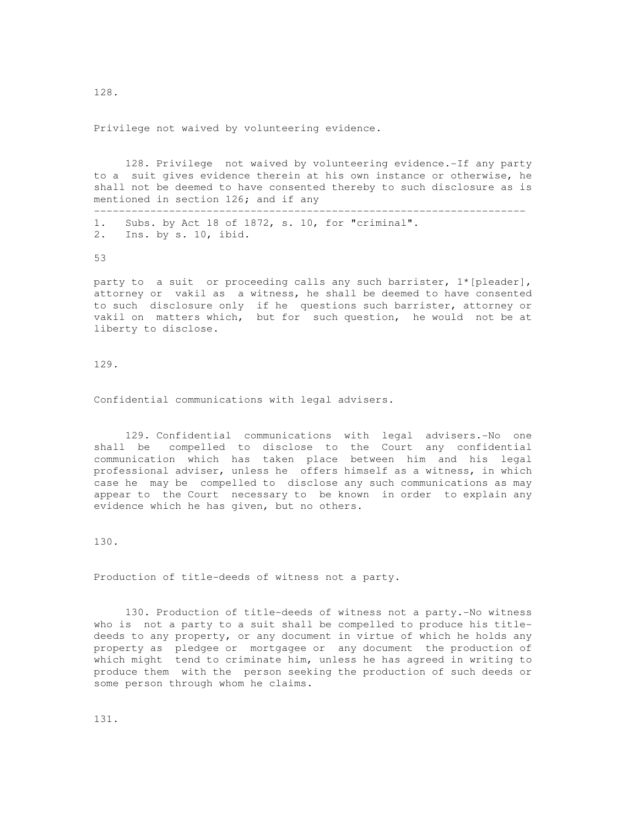Privilege not waived by volunteering evidence.

 128. Privilege not waived by volunteering evidence.-If any party to a suit gives evidence therein at his own instance or otherwise, he shall not be deemed to have consented thereby to such disclosure as is mentioned in section 126; and if any

--------------------------------------------------------------------- 1. Subs. by Act 18 of 1872, s. 10, for "criminal". 2. Ins. by s. 10, ibid.

53

party to a suit or proceeding calls any such barrister, 1\*[pleader], attorney or vakil as a witness, he shall be deemed to have consented to such disclosure only if he questions such barrister, attorney or vakil on matters which, but for such question, he would not be at liberty to disclose.

129.

Confidential communications with legal advisers.

 129. Confidential communications with legal advisers.-No one shall be compelled to disclose to the Court any confidential communication which has taken place between him and his legal professional adviser, unless he offers himself as a witness, in which case he may be compelled to disclose any such communications as may appear to the Court necessary to be known in order to explain any evidence which he has given, but no others.

130.

Production of title-deeds of witness not a party.

 130. Production of title-deeds of witness not a party.-No witness who is not a party to a suit shall be compelled to produce his titledeeds to any property, or any document in virtue of which he holds any property as pledgee or mortgagee or any document the production of which might tend to criminate him, unless he has agreed in writing to produce them with the person seeking the production of such deeds or some person through whom he claims.

131.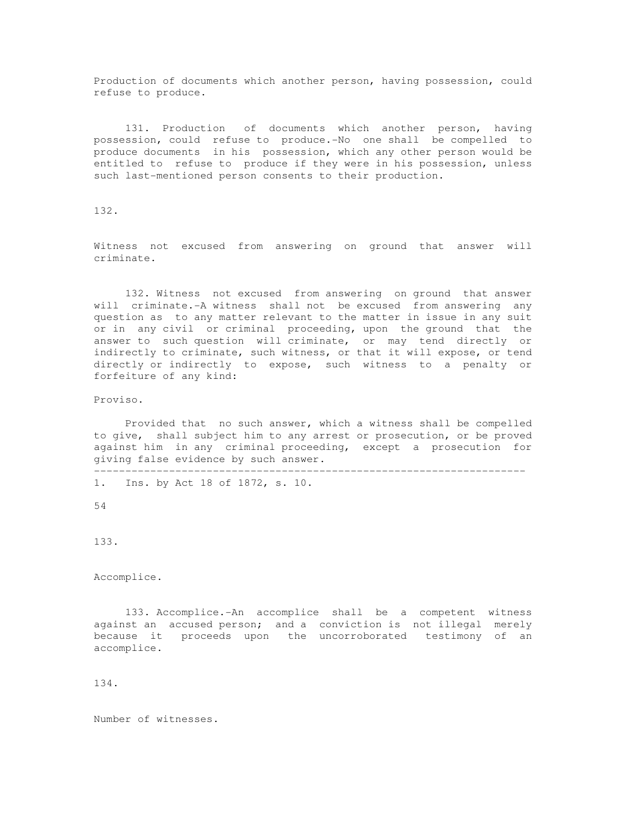Production of documents which another person, having possession, could refuse to produce.

 131. Production of documents which another person, having possession, could refuse to produce.-No one shall be compelled to produce documents in his possession, which any other person would be entitled to refuse to produce if they were in his possession, unless such last-mentioned person consents to their production.

132.

Witness not excused from answering on ground that answer will criminate.

 132. Witness not excused from answering on ground that answer will criminate.-A witness shall not be excused from answering any question as to any matter relevant to the matter in issue in any suit or in any civil or criminal proceeding, upon the ground that the answer to such question will criminate, or may tend directly or indirectly to criminate, such witness, or that it will expose, or tend directly or indirectly to expose, such witness to a penalty or forfeiture of any kind:

Proviso.

 Provided that no such answer, which a witness shall be compelled to give, shall subject him to any arrest or prosecution, or be proved against him in any criminal proceeding, except a prosecution for giving false evidence by such answer.

---------------------------------------------------------------------

1. Ins. by Act 18 of 1872, s. 10.

54

133.

Accomplice.

 133. Accomplice.-An accomplice shall be a competent witness against an accused person; and a conviction is not illegal merely because it proceeds upon the uncorroborated testimony of an accomplice.

134.

Number of witnesses.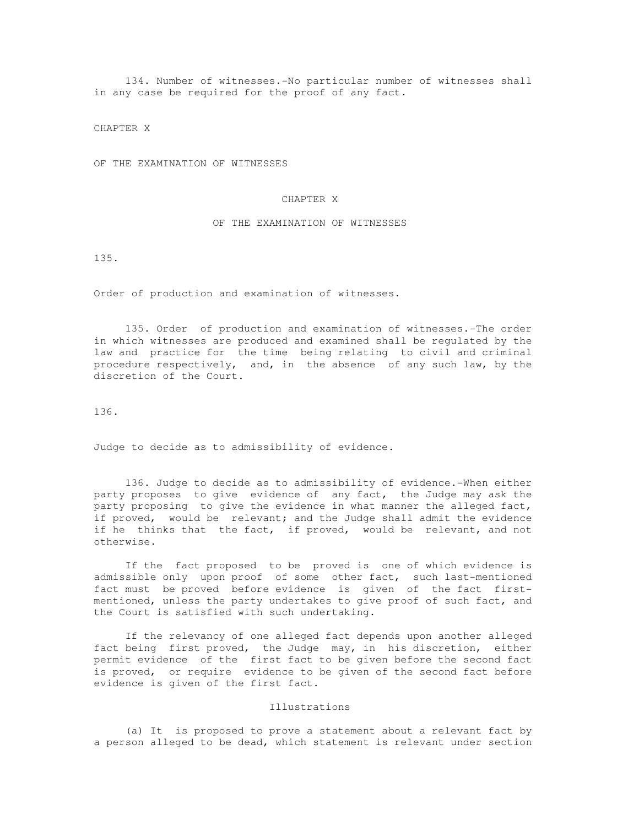134. Number of witnesses.-No particular number of witnesses shall in any case be required for the proof of any fact.

CHAPTER X

OF THE EXAMINATION OF WITNESSES

### CHAPTER X

### OF THE EXAMINATION OF WITNESSES

135.

Order of production and examination of witnesses.

 135. Order of production and examination of witnesses.-The order in which witnesses are produced and examined shall be regulated by the law and practice for the time being relating to civil and criminal procedure respectively, and, in the absence of any such law, by the discretion of the Court.

136.

Judge to decide as to admissibility of evidence.

 136. Judge to decide as to admissibility of evidence.-When either party proposes to give evidence of any fact, the Judge may ask the party proposing to give the evidence in what manner the alleged fact, if proved, would be relevant; and the Judge shall admit the evidence if he thinks that the fact, if proved, would be relevant, and not otherwise.

 If the fact proposed to be proved is one of which evidence is admissible only upon proof of some other fact, such last-mentioned fact must be proved before evidence is given of the fact firstmentioned, unless the party undertakes to give proof of such fact, and the Court is satisfied with such undertaking.

 If the relevancy of one alleged fact depends upon another alleged fact being first proved, the Judge may, in his discretion, either permit evidence of the first fact to be given before the second fact is proved, or require evidence to be given of the second fact before evidence is given of the first fact.

#### Illustrations

 (a) It is proposed to prove a statement about a relevant fact by a person alleged to be dead, which statement is relevant under section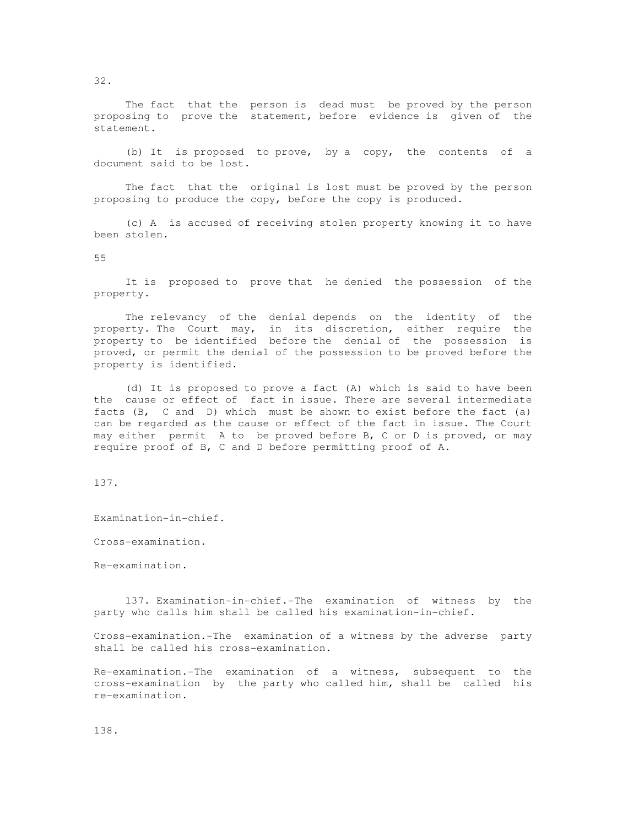The fact that the person is dead must be proved by the person proposing to prove the statement, before evidence is given of the statement.

 (b) It is proposed to prove, by a copy, the contents of a document said to be lost.

 The fact that the original is lost must be proved by the person proposing to produce the copy, before the copy is produced.

 (c) A is accused of receiving stolen property knowing it to have been stolen.

55

 It is proposed to prove that he denied the possession of the property.

 The relevancy of the denial depends on the identity of the property. The Court may, in its discretion, either require the property to be identified before the denial of the possession is proved, or permit the denial of the possession to be proved before the property is identified.

 (d) It is proposed to prove a fact (A) which is said to have been the cause or effect of fact in issue. There are several intermediate facts (B, C and D) which must be shown to exist before the fact (a) can be regarded as the cause or effect of the fact in issue. The Court may either permit A to be proved before B, C or D is proved, or may require proof of B, C and D before permitting proof of A.

137.

Examination-in-chief.

Cross-examination.

Re-examination.

 137. Examination-in-chief.-The examination of witness by the party who calls him shall be called his examination-in-chief.

Cross-examination.-The examination of a witness by the adverse party shall be called his cross-examination.

Re-examination.-The examination of a witness, subsequent to the cross-examination by the party who called him, shall be called his re-examination.

138.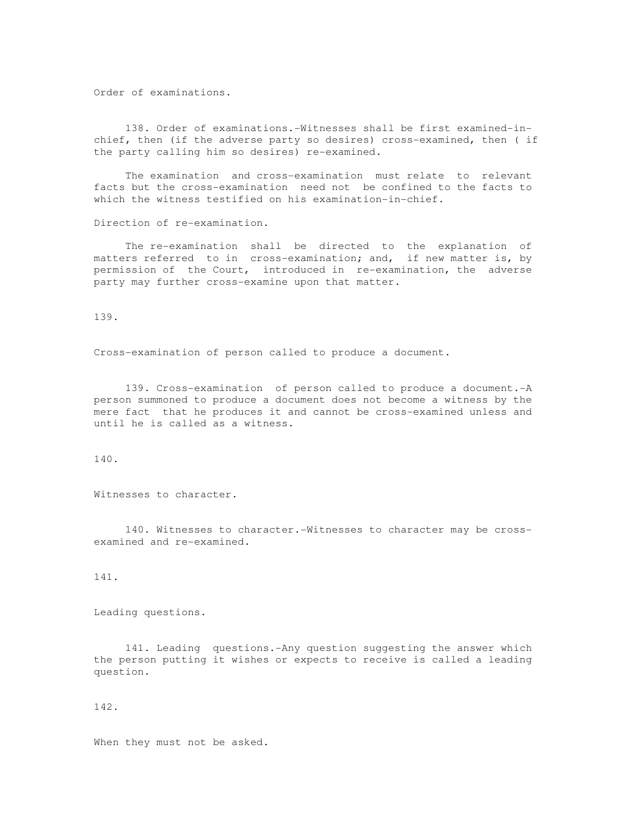Order of examinations.

 138. Order of examinations.-Witnesses shall be first examined-inchief, then (if the adverse party so desires) cross-examined, then ( if the party calling him so desires) re-examined.

 The examination and cross-examination must relate to relevant facts but the cross-examination need not be confined to the facts to which the witness testified on his examination-in-chief.

Direction of re-examination.

 The re-examination shall be directed to the explanation of matters referred to in cross-examination; and, if new matter is, by permission of the Court, introduced in re-examination, the adverse party may further cross-examine upon that matter.

139.

Cross-examination of person called to produce a document.

 139. Cross-examination of person called to produce a document.-A person summoned to produce a document does not become a witness by the mere fact that he produces it and cannot be cross-examined unless and until he is called as a witness.

140.

Witnesses to character.

 140. Witnesses to character.-Witnesses to character may be crossexamined and re-examined.

141.

Leading questions.

 141. Leading questions.-Any question suggesting the answer which the person putting it wishes or expects to receive is called a leading question.

142.

When they must not be asked.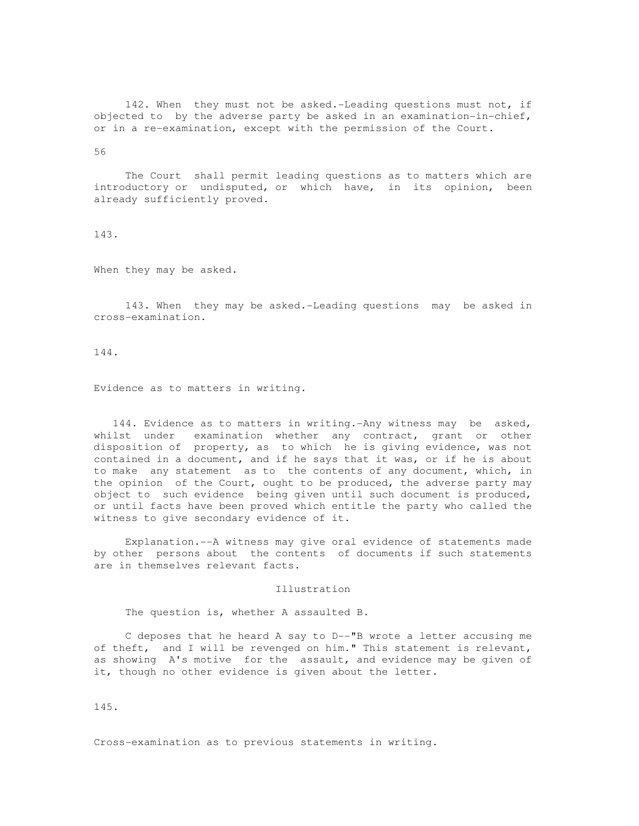142. When they must not be asked.-Leading questions must not, if objected to by the adverse party be asked in an examination-in-chief, or in a re-examination, except with the permission of the Court.

56

 The Court shall permit leading questions as to matters which are introductory or undisputed, or which have, in its opinion, been already sufficiently proved.

# 143.

When they may be asked.

 143. When they may be asked.-Leading questions may be asked in cross-examination.

144.

Evidence as to matters in writing.

 144. Evidence as to matters in writing.-Any witness may be asked, whilst under examination whether any contract, grant or other disposition of property, as to which he is giving evidence, was not contained in a document, and if he says that it was, or if he is about to make any statement as to the contents of any document, which, in the opinion of the Court, ought to be produced, the adverse party may object to such evidence being given until such document is produced, or until facts have been proved which entitle the party who called the witness to give secondary evidence of it.

 Explanation.--A witness may give oral evidence of statements made by other persons about the contents of documents if such statements are in themselves relevant facts.

Illustration

The question is, whether A assaulted B.

 C deposes that he heard A say to D--"B wrote a letter accusing me of theft, and I will be revenged on him." This statement is relevant, as showing A's motive for the assault, and evidence may be given of it, though no other evidence is given about the letter.

145.

Cross-examination as to previous statements in writing.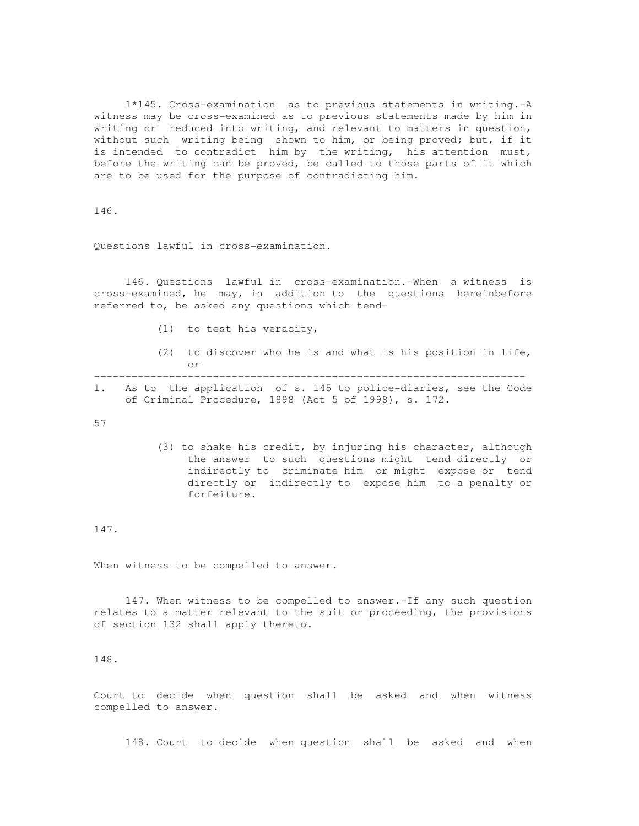1\*145. Cross-examination as to previous statements in writing.-A witness may be cross-examined as to previous statements made by him in writing or reduced into writing, and relevant to matters in question, without such writing being shown to him, or being proved; but, if it is intended to contradict him by the writing, his attention must, before the writing can be proved, be called to those parts of it which are to be used for the purpose of contradicting him.

146.

Questions lawful in cross-examination.

 146. Questions lawful in cross-examination.-When a witness is cross-examined, he may, in addition to the questions hereinbefore referred to, be asked any questions which tend-

- (1) to test his veracity,
- (2) to discover who he is and what is his position in life, or ---------------------------------------------------------------------
- 1. As to the application of s. 145 to police-diaries, see the Code of Criminal Procedure, 1898 (Act 5 of 1998), s. 172.

57

 (3) to shake his credit, by injuring his character, although the answer to such questions might tend directly or indirectly to criminate him or might expose or tend directly or indirectly to expose him to a penalty or forfeiture.

# 147.

When witness to be compelled to answer.

 147. When witness to be compelled to answer.-If any such question relates to a matter relevant to the suit or proceeding, the provisions of section 132 shall apply thereto.

148.

Court to decide when question shall be asked and when witness compelled to answer.

148. Court to decide when question shall be asked and when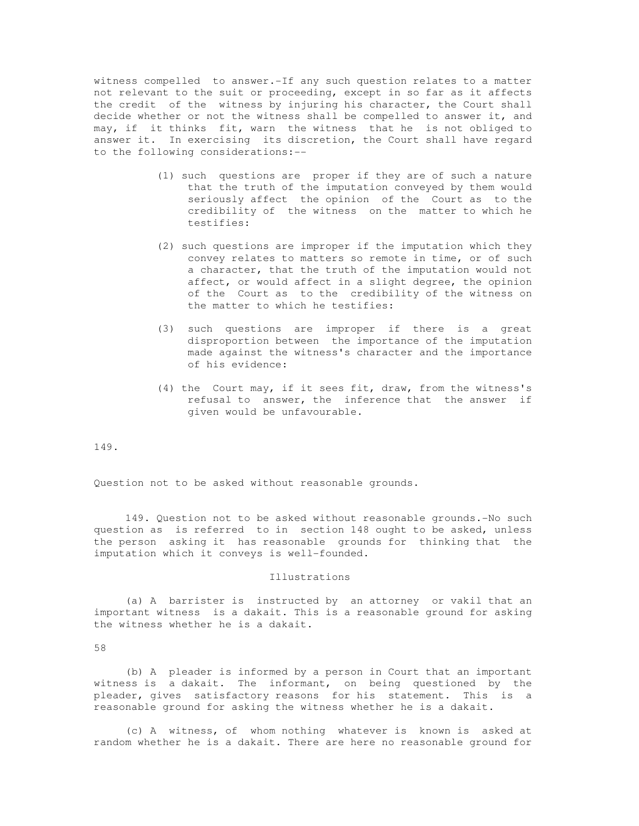witness compelled to answer.-If any such question relates to a matter not relevant to the suit or proceeding, except in so far as it affects the credit of the witness by injuring his character, the Court shall decide whether or not the witness shall be compelled to answer it, and may, if it thinks fit, warn the witness that he is not obliged to answer it. In exercising its discretion, the Court shall have regard to the following considerations:--

- (1) such questions are proper if they are of such a nature that the truth of the imputation conveyed by them would seriously affect the opinion of the Court as to the credibility of the witness on the matter to which he testifies:
- (2) such questions are improper if the imputation which they convey relates to matters so remote in time, or of such a character, that the truth of the imputation would not affect, or would affect in a slight degree, the opinion of the Court as to the credibility of the witness on the matter to which he testifies:
- (3) such questions are improper if there is a great disproportion between the importance of the imputation made against the witness's character and the importance of his evidence:
- (4) the Court may, if it sees fit, draw, from the witness's refusal to answer, the inference that the answer if given would be unfavourable.

# 149.

Question not to be asked without reasonable grounds.

 149. Question not to be asked without reasonable grounds.-No such question as is referred to in section 148 ought to be asked, unless the person asking it has reasonable grounds for thinking that the imputation which it conveys is well-founded.

#### Illustrations

 (a) A barrister is instructed by an attorney or vakil that an important witness is a dakait. This is a reasonable ground for asking the witness whether he is a dakait.

58

 (b) A pleader is informed by a person in Court that an important witness is a dakait. The informant, on being questioned by the pleader, gives satisfactory reasons for his statement. This is a reasonable ground for asking the witness whether he is a dakait.

 (c) A witness, of whom nothing whatever is known is asked at random whether he is a dakait. There are here no reasonable ground for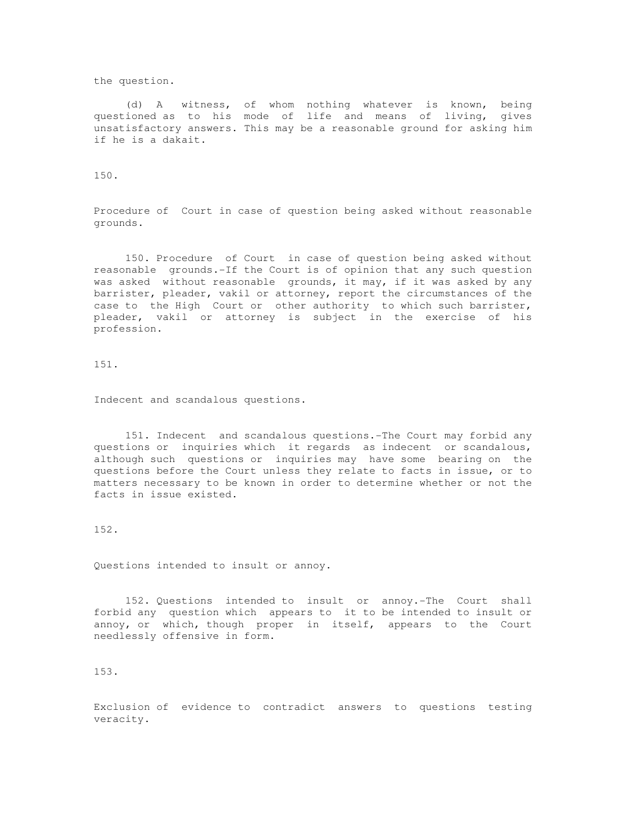the question.

 (d) A witness, of whom nothing whatever is known, being questioned as to his mode of life and means of living, gives unsatisfactory answers. This may be a reasonable ground for asking him if he is a dakait.

150.

Procedure of Court in case of question being asked without reasonable grounds.

 150. Procedure of Court in case of question being asked without reasonable grounds.-If the Court is of opinion that any such question was asked without reasonable grounds, it may, if it was asked by any barrister, pleader, vakil or attorney, report the circumstances of the case to the High Court or other authority to which such barrister, pleader, vakil or attorney is subject in the exercise of his profession.

151.

Indecent and scandalous questions.

 151. Indecent and scandalous questions.-The Court may forbid any questions or inquiries which it regards as indecent or scandalous, although such questions or inquiries may have some bearing on the questions before the Court unless they relate to facts in issue, or to matters necessary to be known in order to determine whether or not the facts in issue existed.

152.

Questions intended to insult or annoy.

 152. Questions intended to insult or annoy.-The Court shall forbid any question which appears to it to be intended to insult or annoy, or which, though proper in itself, appears to the Court needlessly offensive in form.

153.

Exclusion of evidence to contradict answers to questions testing veracity.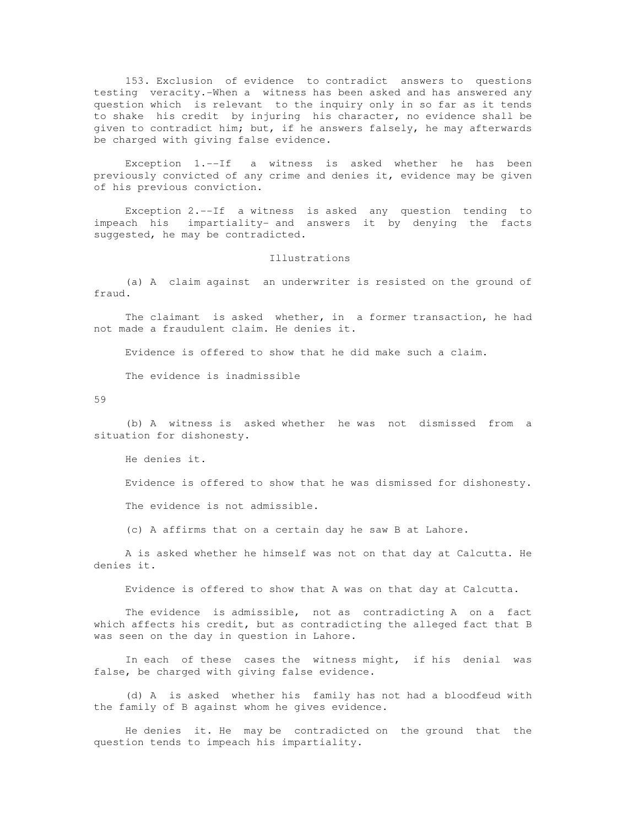153. Exclusion of evidence to contradict answers to questions testing veracity.-When a witness has been asked and has answered any question which is relevant to the inquiry only in so far as it tends to shake his credit by injuring his character, no evidence shall be given to contradict him; but, if he answers falsely, he may afterwards be charged with giving false evidence.

 Exception 1.--If a witness is asked whether he has been previously convicted of any crime and denies it, evidence may be given of his previous conviction.

 Exception 2.--If a witness is asked any question tending to impeach his impartiality- and answers it by denying the facts suggested, he may be contradicted.

## Illustrations

 (a) A claim against an underwriter is resisted on the ground of fraud.

 The claimant is asked whether, in a former transaction, he had not made a fraudulent claim. He denies it.

Evidence is offered to show that he did make such a claim.

The evidence is inadmissible

59

 (b) A witness is asked whether he was not dismissed from a situation for dishonesty.

He denies it.

Evidence is offered to show that he was dismissed for dishonesty.

The evidence is not admissible.

(c) A affirms that on a certain day he saw B at Lahore.

 A is asked whether he himself was not on that day at Calcutta. He denies it.

Evidence is offered to show that A was on that day at Calcutta.

 The evidence is admissible, not as contradicting A on a fact which affects his credit, but as contradicting the alleged fact that B was seen on the day in question in Lahore.

 In each of these cases the witness might, if his denial was false, be charged with giving false evidence.

 (d) A is asked whether his family has not had a bloodfeud with the family of B against whom he gives evidence.

 He denies it. He may be contradicted on the ground that the question tends to impeach his impartiality.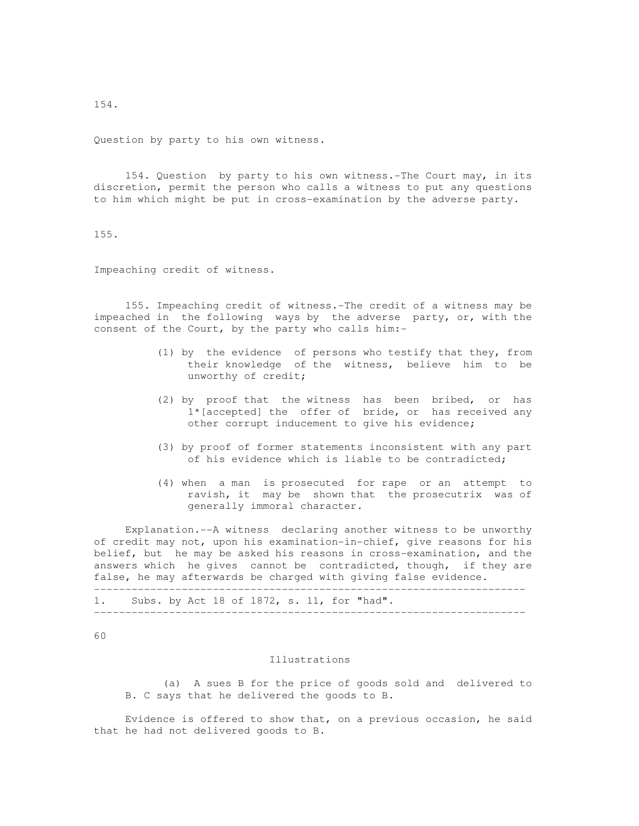Question by party to his own witness.

 154. Question by party to his own witness.-The Court may, in its discretion, permit the person who calls a witness to put any questions to him which might be put in cross-examination by the adverse party.

155.

Impeaching credit of witness.

 155. Impeaching credit of witness.-The credit of a witness may be impeached in the following ways by the adverse party, or, with the consent of the Court, by the party who calls him:-

- (1) by the evidence of persons who testify that they, from their knowledge of the witness, believe him to be unworthy of credit;
- (2) by proof that the witness has been bribed, or has 1\*[accepted] the offer of bride, or has received any other corrupt inducement to give his evidence;
- (3) by proof of former statements inconsistent with any part of his evidence which is liable to be contradicted;
- (4) when a man is prosecuted for rape or an attempt to ravish, it may be shown that the prosecutrix was of generally immoral character.

 Explanation.--A witness declaring another witness to be unworthy of credit may not, upon his examination-in-chief, give reasons for his belief, but he may be asked his reasons in cross-examination, and the answers which he gives cannot be contradicted, though, if they are false, he may afterwards be charged with giving false evidence.

| 1. |  |  |  |  | . Subs. by Act 18 of 1872, s. 11, for "had". |
|----|--|--|--|--|----------------------------------------------|
|    |  |  |  |  |                                              |

60

# Illustrations

 (a) A sues B for the price of goods sold and delivered to B. C says that he delivered the goods to B.

 Evidence is offered to show that, on a previous occasion, he said that he had not delivered goods to B.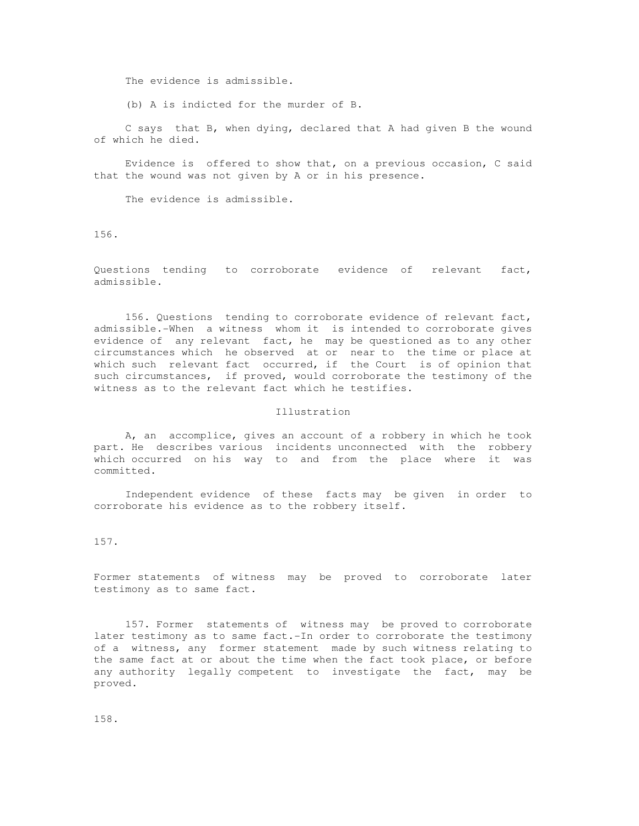The evidence is admissible.

(b) A is indicted for the murder of B.

 C says that B, when dying, declared that A had given B the wound of which he died.

 Evidence is offered to show that, on a previous occasion, C said that the wound was not given by A or in his presence.

The evidence is admissible.

156.

Questions tending to corroborate evidence of relevant fact, admissible.

 156. Questions tending to corroborate evidence of relevant fact, admissible.-When a witness whom it is intended to corroborate gives evidence of any relevant fact, he may be questioned as to any other circumstances which he observed at or near to the time or place at which such relevant fact occurred, if the Court is of opinion that such circumstances, if proved, would corroborate the testimony of the witness as to the relevant fact which he testifies.

## Illustration

 A, an accomplice, gives an account of a robbery in which he took part. He describes various incidents unconnected with the robbery which occurred on his way to and from the place where it was committed.

 Independent evidence of these facts may be given in order to corroborate his evidence as to the robbery itself.

157.

Former statements of witness may be proved to corroborate later testimony as to same fact.

 157. Former statements of witness may be proved to corroborate later testimony as to same fact.-In order to corroborate the testimony of a witness, any former statement made by such witness relating to the same fact at or about the time when the fact took place, or before any authority legally competent to investigate the fact, may be proved.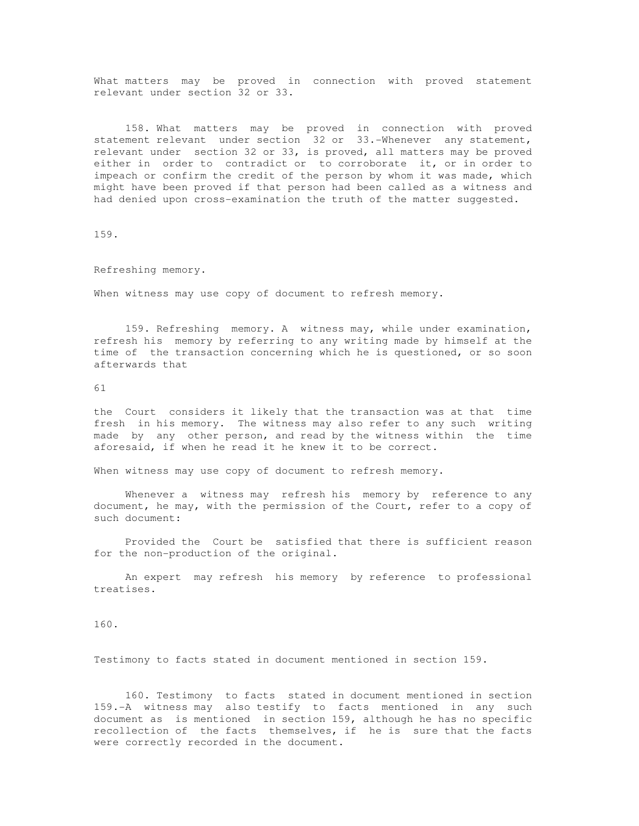What matters may be proved in connection with proved statement relevant under section 32 or 33.

 158. What matters may be proved in connection with proved statement relevant under section 32 or 33.-Whenever any statement, relevant under section 32 or 33, is proved, all matters may be proved either in order to contradict or to corroborate it, or in order to impeach or confirm the credit of the person by whom it was made, which might have been proved if that person had been called as a witness and had denied upon cross-examination the truth of the matter suggested.

159.

Refreshing memory.

When witness may use copy of document to refresh memory.

 159. Refreshing memory. A witness may, while under examination, refresh his memory by referring to any writing made by himself at the time of the transaction concerning which he is questioned, or so soon afterwards that

61

the Court considers it likely that the transaction was at that time fresh in his memory. The witness may also refer to any such writing made by any other person, and read by the witness within the time aforesaid, if when he read it he knew it to be correct.

When witness may use copy of document to refresh memory.

Whenever a witness may refresh his memory by reference to any document, he may, with the permission of the Court, refer to a copy of such document:

 Provided the Court be satisfied that there is sufficient reason for the non-production of the original.

 An expert may refresh his memory by reference to professional treatises.

160.

Testimony to facts stated in document mentioned in section 159.

 160. Testimony to facts stated in document mentioned in section 159.-A witness may also testify to facts mentioned in any such document as is mentioned in section 159, although he has no specific recollection of the facts themselves, if he is sure that the facts were correctly recorded in the document.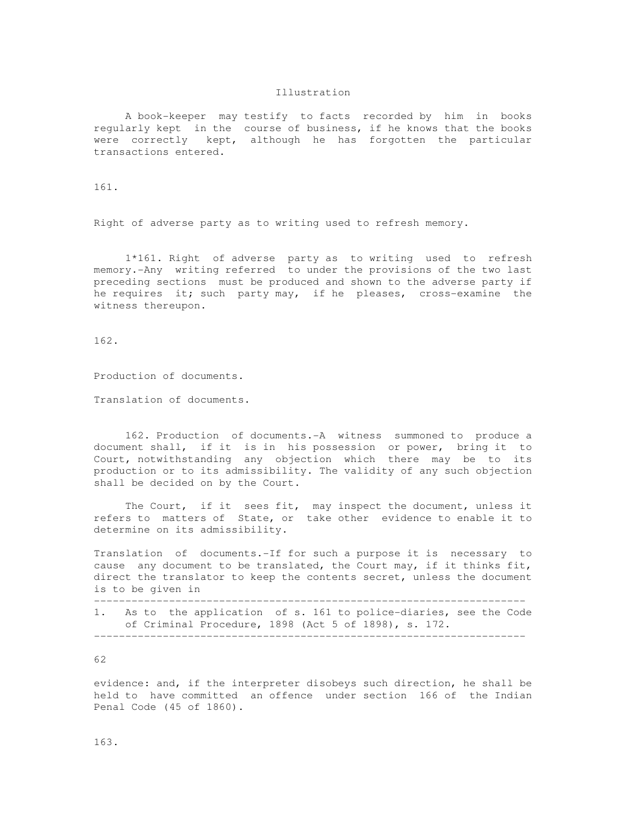## Illustration

 A book-keeper may testify to facts recorded by him in books regularly kept in the course of business, if he knows that the books were correctly kept, although he has forgotten the particular transactions entered.

161.

Right of adverse party as to writing used to refresh memory.

 1\*161. Right of adverse party as to writing used to refresh memory.-Any writing referred to under the provisions of the two last preceding sections must be produced and shown to the adverse party if he requires it; such party may, if he pleases, cross-examine the witness thereupon.

162.

Production of documents.

Translation of documents.

 162. Production of documents.-A witness summoned to produce a document shall, if it is in his possession or power, bring it to Court, notwithstanding any objection which there may be to its production or to its admissibility. The validity of any such objection shall be decided on by the Court.

 The Court, if it sees fit, may inspect the document, unless it refers to matters of State, or take other evidence to enable it to determine on its admissibility.

Translation of documents.-If for such a purpose it is necessary to cause any document to be translated, the Court may, if it thinks fit, direct the translator to keep the contents secret, unless the document is to be given in

---------------------------------------------------------------------

1. As to the application of s. 161 to police-diaries, see the Code of Criminal Procedure, 1898 (Act 5 of 1898), s. 172. ---------------------------------------------------------------------

62

evidence: and, if the interpreter disobeys such direction, he shall be held to have committed an offence under section 166 of the Indian Penal Code (45 of 1860).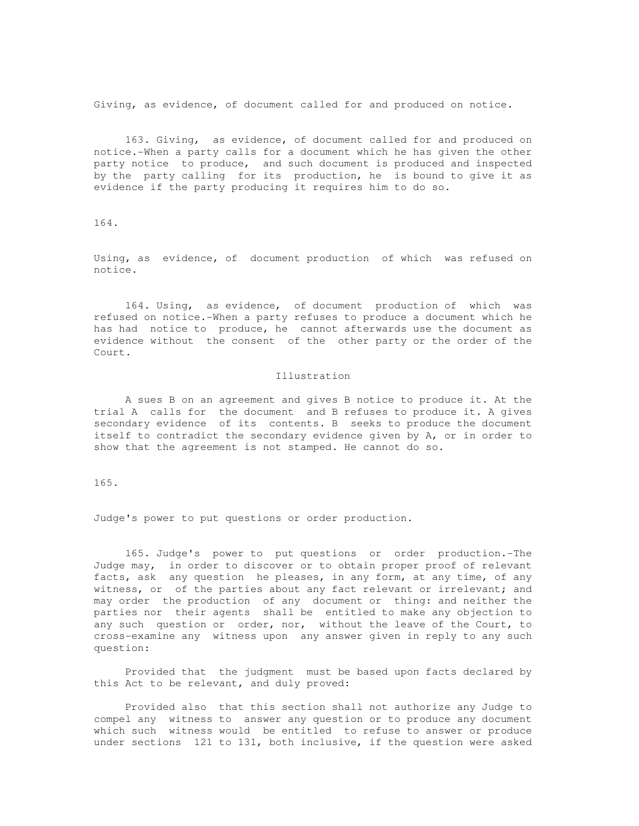Giving, as evidence, of document called for and produced on notice.

 163. Giving, as evidence, of document called for and produced on notice.-When a party calls for a document which he has given the other party notice to produce, and such document is produced and inspected by the party calling for its production, he is bound to give it as evidence if the party producing it requires him to do so.

164.

Using, as evidence, of document production of which was refused on notice.

 164. Using, as evidence, of document production of which was refused on notice.-When a party refuses to produce a document which he has had notice to produce, he cannot afterwards use the document as evidence without the consent of the other party or the order of the Court.

## Illustration

 A sues B on an agreement and gives B notice to produce it. At the trial A calls for the document and B refuses to produce it. A gives secondary evidence of its contents. B seeks to produce the document itself to contradict the secondary evidence given by A, or in order to show that the agreement is not stamped. He cannot do so.

165.

Judge's power to put questions or order production.

 165. Judge's power to put questions or order production.-The Judge may, in order to discover or to obtain proper proof of relevant facts, ask any question he pleases, in any form, at any time, of any witness, or of the parties about any fact relevant or irrelevant; and may order the production of any document or thing: and neither the parties nor their agents shall be entitled to make any objection to any such question or order, nor, without the leave of the Court, to cross-examine any witness upon any answer given in reply to any such question:

 Provided that the judgment must be based upon facts declared by this Act to be relevant, and duly proved:

 Provided also that this section shall not authorize any Judge to compel any witness to answer any question or to produce any document which such witness would be entitled to refuse to answer or produce under sections 121 to 131, both inclusive, if the question were asked